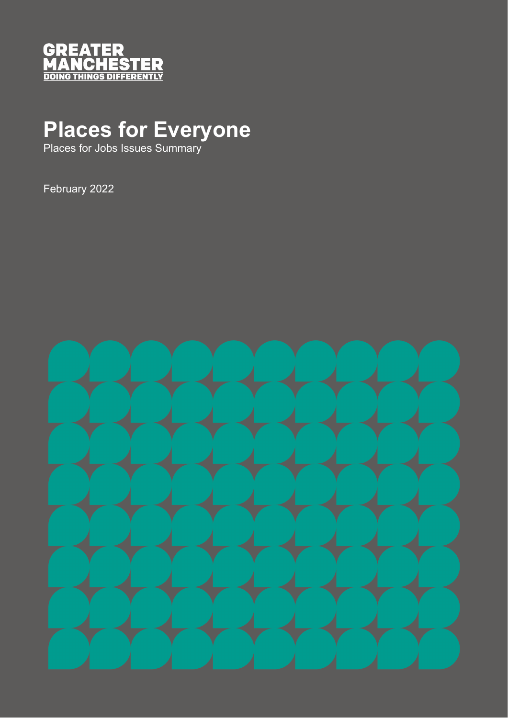

## **Places for Everyone**

Places for Jobs Issues Summary

February 2022

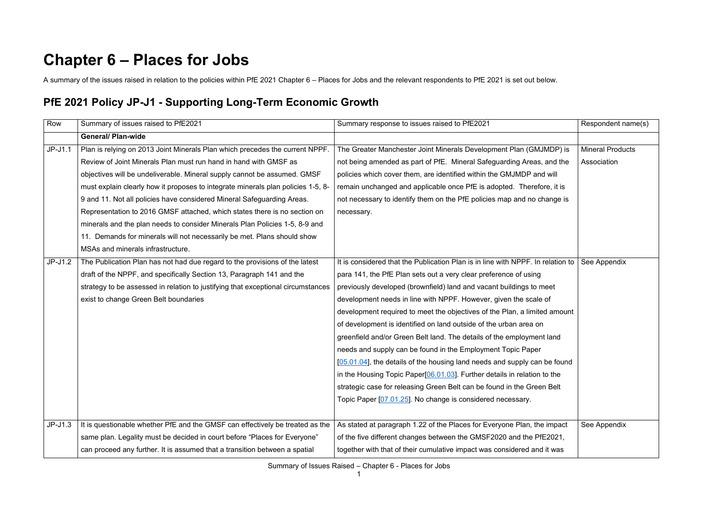## **Chapter 6 – Places for Jobs**

A summary of the issues raised in relation to the policies within PfE 2021 Chapter 6 – Places for Jobs and the relevant respondents to PfE 2021 is set out below.

## **PfE 2021 Policy JP-J1 - Supporting Long-Term Economic Growth**

| Row       | Summary of issues raised to PfE2021                                              | Summary response to issues raised to PfE2021                                                         | Respondent name(s)      |
|-----------|----------------------------------------------------------------------------------|------------------------------------------------------------------------------------------------------|-------------------------|
|           | <b>General/ Plan-wide</b>                                                        |                                                                                                      |                         |
| $JP-J1.1$ | Plan is relying on 2013 Joint Minerals Plan which precedes the current NPPF.     | The Greater Manchester Joint Minerals Development Plan (GMJMDP) is                                   | <b>Mineral Products</b> |
|           | Review of Joint Minerals Plan must run hand in hand with GMSF as                 | not being amended as part of PfE. Mineral Safeguarding Areas, and the                                | Association             |
|           | objectives will be undeliverable. Mineral supply cannot be assumed. GMSF         | policies which cover them, are identified within the GMJMDP and will                                 |                         |
|           | must explain clearly how it proposes to integrate minerals plan policies 1-5, 8- | remain unchanged and applicable once PfE is adopted. Therefore, it is                                |                         |
|           | 9 and 11. Not all policies have considered Mineral Safeguarding Areas.           | not necessary to identify them on the PfE policies map and no change is                              |                         |
|           | Representation to 2016 GMSF attached, which states there is no section on        | necessary.                                                                                           |                         |
|           | minerals and the plan needs to consider Minerals Plan Policies 1-5, 8-9 and      |                                                                                                      |                         |
|           | 11. Demands for minerals will not necessarily be met. Plans should show          |                                                                                                      |                         |
|           | MSAs and minerals infrastructure.                                                |                                                                                                      |                         |
| $JP-J1.2$ | The Publication Plan has not had due regard to the provisions of the latest      | It is considered that the Publication Plan is in line with NPPF. In relation to $\vert$ See Appendix |                         |
|           | draft of the NPPF, and specifically Section 13, Paragraph 141 and the            | para 141, the PfE Plan sets out a very clear preference of using                                     |                         |
|           | strategy to be assessed in relation to justifying that exceptional circumstances | previously developed (brownfield) land and vacant buildings to meet                                  |                         |
|           | exist to change Green Belt boundaries                                            | development needs in line with NPPF. However, given the scale of                                     |                         |
|           |                                                                                  | development required to meet the objectives of the Plan, a limited amount                            |                         |
|           |                                                                                  | of development is identified on land outside of the urban area on                                    |                         |
|           |                                                                                  | greenfield and/or Green Belt land. The details of the employment land                                |                         |
|           |                                                                                  | needs and supply can be found in the Employment Topic Paper                                          |                         |
|           |                                                                                  | [05.01.04], the details of the housing land needs and supply can be found                            |                         |
|           |                                                                                  | in the Housing Topic Paper[06.01.03]. Further details in relation to the                             |                         |
|           |                                                                                  | strategic case for releasing Green Belt can be found in the Green Belt                               |                         |
|           |                                                                                  | Topic Paper [07.01.25]. No change is considered necessary.                                           |                         |
|           |                                                                                  |                                                                                                      |                         |
| $JP-J1.3$ | It is questionable whether PfE and the GMSF can effectively be treated as the    | As stated at paragraph 1.22 of the Places for Everyone Plan, the impact                              | See Appendix            |
|           | same plan. Legality must be decided in court before "Places for Everyone"        | of the five different changes between the GMSF2020 and the PfE2021,                                  |                         |
|           | can proceed any further. It is assumed that a transition between a spatial       | together with that of their cumulative impact was considered and it was                              |                         |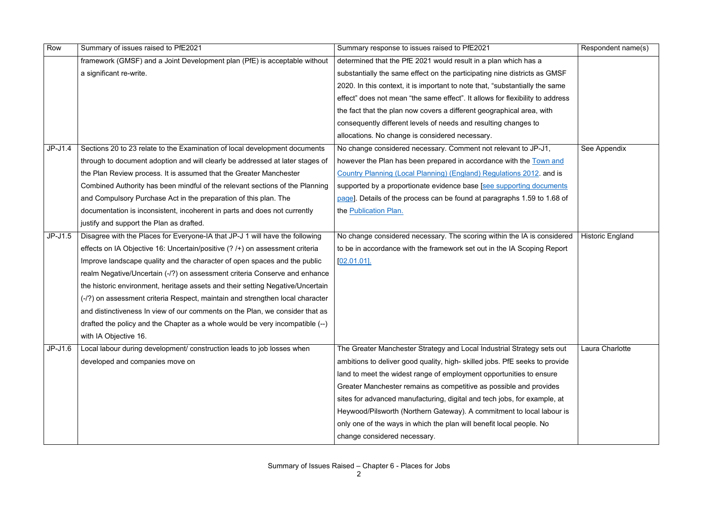| Row       | Summary of issues raised to PfE2021                                            | Summary response to issues raised to PfE2021                                  | Respondent name(s)      |
|-----------|--------------------------------------------------------------------------------|-------------------------------------------------------------------------------|-------------------------|
|           | framework (GMSF) and a Joint Development plan (PfE) is acceptable without      | determined that the PfE 2021 would result in a plan which has a               |                         |
|           | a significant re-write.                                                        | substantially the same effect on the participating nine districts as GMSF     |                         |
|           |                                                                                | 2020. In this context, it is important to note that, "substantially the same  |                         |
|           |                                                                                | effect" does not mean "the same effect". It allows for flexibility to address |                         |
|           |                                                                                | the fact that the plan now covers a different geographical area, with         |                         |
|           |                                                                                | consequently different levels of needs and resulting changes to               |                         |
|           |                                                                                | allocations. No change is considered necessary.                               |                         |
| $JP-J1.4$ | Sections 20 to 23 relate to the Examination of local development documents     | No change considered necessary. Comment not relevant to JP-J1,                | See Appendix            |
|           | through to document adoption and will clearly be addressed at later stages of  | however the Plan has been prepared in accordance with the Town and            |                         |
|           | the Plan Review process. It is assumed that the Greater Manchester             | Country Planning (Local Planning) (England) Regulations 2012. and is          |                         |
|           | Combined Authority has been mindful of the relevant sections of the Planning   | supported by a proportionate evidence base [see supporting documents          |                         |
|           | and Compulsory Purchase Act in the preparation of this plan. The               | page]. Details of the process can be found at paragraphs 1.59 to 1.68 of      |                         |
|           | documentation is inconsistent, incoherent in parts and does not currently      | the Publication Plan.                                                         |                         |
|           | justify and support the Plan as drafted.                                       |                                                                               |                         |
| $JP-J1.5$ | Disagree with the Places for Everyone-IA that JP-J 1 will have the following   | No change considered necessary. The scoring within the IA is considered       | <b>Historic England</b> |
|           | effects on IA Objective 16: Uncertain/positive (? /+) on assessment criteria   | to be in accordance with the framework set out in the IA Scoping Report       |                         |
|           | Improve landscape quality and the character of open spaces and the public      | $[02.01.01]$ .                                                                |                         |
|           | realm Negative/Uncertain (-/?) on assessment criteria Conserve and enhance     |                                                                               |                         |
|           | the historic environment, heritage assets and their setting Negative/Uncertain |                                                                               |                         |
|           | (-/?) on assessment criteria Respect, maintain and strengthen local character  |                                                                               |                         |
|           | and distinctiveness In view of our comments on the Plan, we consider that as   |                                                                               |                         |
|           | drafted the policy and the Chapter as a whole would be very incompatible (--)  |                                                                               |                         |
|           | with IA Objective 16.                                                          |                                                                               |                         |
| $JP-J1.6$ | Local labour during development/ construction leads to job losses when         | The Greater Manchester Strategy and Local Industrial Strategy sets out        | Laura Charlotte         |
|           | developed and companies move on                                                | ambitions to deliver good quality, high-skilled jobs. PfE seeks to provide    |                         |
|           |                                                                                | land to meet the widest range of employment opportunities to ensure           |                         |
|           |                                                                                | Greater Manchester remains as competitive as possible and provides            |                         |
|           |                                                                                | sites for advanced manufacturing, digital and tech jobs, for example, at      |                         |
|           |                                                                                | Heywood/Pilsworth (Northern Gateway). A commitment to local labour is         |                         |
|           |                                                                                | only one of the ways in which the plan will benefit local people. No          |                         |
|           |                                                                                | change considered necessary.                                                  |                         |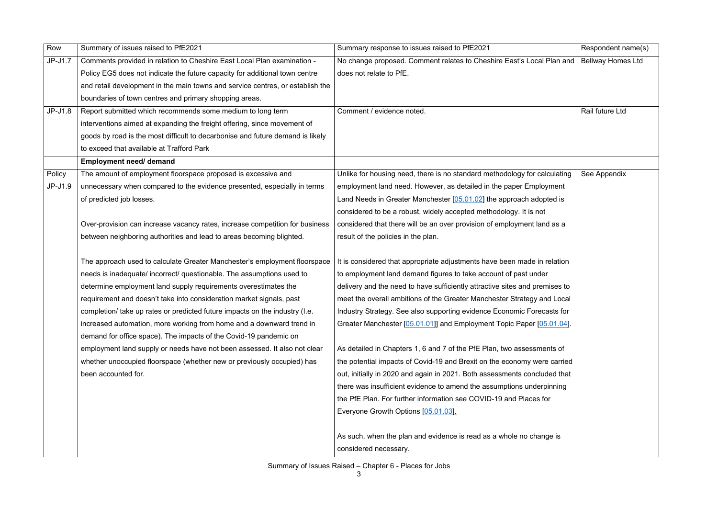| Row       | Summary of issues raised to PfE2021                                            | Summary response to issues raised to PfE2021                                              | Respondent name(s) |
|-----------|--------------------------------------------------------------------------------|-------------------------------------------------------------------------------------------|--------------------|
| $JP-J1.7$ | Comments provided in relation to Cheshire East Local Plan examination -        | No change proposed. Comment relates to Cheshire East's Local Plan and   Bellway Homes Ltd |                    |
|           | Policy EG5 does not indicate the future capacity for additional town centre    | does not relate to PfE.                                                                   |                    |
|           | and retail development in the main towns and service centres, or establish the |                                                                                           |                    |
|           | boundaries of town centres and primary shopping areas.                         |                                                                                           |                    |
| $JP-J1.8$ | Report submitted which recommends some medium to long term                     | Comment / evidence noted.                                                                 | Rail future Ltd    |
|           | interventions aimed at expanding the freight offering, since movement of       |                                                                                           |                    |
|           | goods by road is the most difficult to decarbonise and future demand is likely |                                                                                           |                    |
|           | to exceed that available at Trafford Park                                      |                                                                                           |                    |
|           | <b>Employment need/ demand</b>                                                 |                                                                                           |                    |
| Policy    | The amount of employment floorspace proposed is excessive and                  | Unlike for housing need, there is no standard methodology for calculating                 | See Appendix       |
| $JP-J1.9$ | unnecessary when compared to the evidence presented, especially in terms       | employment land need. However, as detailed in the paper Employment                        |                    |
|           | of predicted job losses.                                                       | Land Needs in Greater Manchester [05.01.02] the approach adopted is                       |                    |
|           |                                                                                | considered to be a robust, widely accepted methodology. It is not                         |                    |
|           | Over-provision can increase vacancy rates, increase competition for business   | considered that there will be an over provision of employment land as a                   |                    |
|           | between neighboring authorities and lead to areas becoming blighted.           | result of the policies in the plan.                                                       |                    |
|           |                                                                                |                                                                                           |                    |
|           | The approach used to calculate Greater Manchester's employment floorspace      | It is considered that appropriate adjustments have been made in relation                  |                    |
|           | needs is inadequate/ incorrect/ questionable. The assumptions used to          | to employment land demand figures to take account of past under                           |                    |
|           | determine employment land supply requirements overestimates the                | delivery and the need to have sufficiently attractive sites and premises to               |                    |
|           | requirement and doesn't take into consideration market signals, past           | meet the overall ambitions of the Greater Manchester Strategy and Local                   |                    |
|           | completion/ take up rates or predicted future impacts on the industry (I.e.    | Industry Strategy. See also supporting evidence Economic Forecasts for                    |                    |
|           | increased automation, more working from home and a downward trend in           | Greater Manchester [05.01.01]] and Employment Topic Paper [05.01.04].                     |                    |
|           | demand for office space). The impacts of the Covid-19 pandemic on              |                                                                                           |                    |
|           | employment land supply or needs have not been assessed. It also not clear      | As detailed in Chapters 1, 6 and 7 of the PfE Plan, two assessments of                    |                    |
|           | whether unoccupied floorspace (whether new or previously occupied) has         | the potential impacts of Covid-19 and Brexit on the economy were carried                  |                    |
|           | been accounted for.                                                            | out, initially in 2020 and again in 2021. Both assessments concluded that                 |                    |
|           |                                                                                | there was insufficient evidence to amend the assumptions underpinning                     |                    |
|           |                                                                                | the PfE Plan. For further information see COVID-19 and Places for                         |                    |
|           |                                                                                | Everyone Growth Options [05.01.03].                                                       |                    |
|           |                                                                                | As such, when the plan and evidence is read as a whole no change is                       |                    |
|           |                                                                                | considered necessary.                                                                     |                    |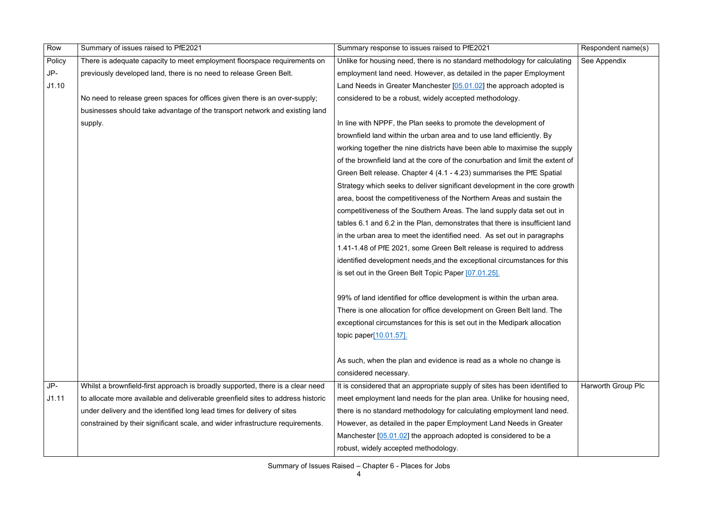| Row    | Summary of issues raised to PfE2021                                             | Summary response to issues raised to PfE2021                                  | Respondent name(s)        |
|--------|---------------------------------------------------------------------------------|-------------------------------------------------------------------------------|---------------------------|
| Policy | There is adequate capacity to meet employment floorspace requirements on        | Unlike for housing need, there is no standard methodology for calculating     | See Appendix              |
| JP-    | previously developed land, there is no need to release Green Belt.              | employment land need. However, as detailed in the paper Employment            |                           |
| J1.10  |                                                                                 | Land Needs in Greater Manchester [05.01.02] the approach adopted is           |                           |
|        | No need to release green spaces for offices given there is an over-supply;      | considered to be a robust, widely accepted methodology.                       |                           |
|        | businesses should take advantage of the transport network and existing land     |                                                                               |                           |
|        | supply.                                                                         | In line with NPPF, the Plan seeks to promote the development of               |                           |
|        |                                                                                 | brownfield land within the urban area and to use land efficiently. By         |                           |
|        |                                                                                 | working together the nine districts have been able to maximise the supply     |                           |
|        |                                                                                 | of the brownfield land at the core of the conurbation and limit the extent of |                           |
|        |                                                                                 | Green Belt release. Chapter 4 (4.1 - 4.23) summarises the PfE Spatial         |                           |
|        |                                                                                 | Strategy which seeks to deliver significant development in the core growth    |                           |
|        |                                                                                 | area, boost the competitiveness of the Northern Areas and sustain the         |                           |
|        |                                                                                 | competitiveness of the Southern Areas. The land supply data set out in        |                           |
|        |                                                                                 | tables 6.1 and 6.2 in the Plan, demonstrates that there is insufficient land  |                           |
|        |                                                                                 | in the urban area to meet the identified need. As set out in paragraphs       |                           |
|        |                                                                                 | 1.41-1.48 of PfE 2021, some Green Belt release is required to address         |                           |
|        |                                                                                 | identified development needs and the exceptional circumstances for this       |                           |
|        |                                                                                 | is set out in the Green Belt Topic Paper [07.01.25].                          |                           |
|        |                                                                                 |                                                                               |                           |
|        |                                                                                 | 99% of land identified for office development is within the urban area.       |                           |
|        |                                                                                 | There is one allocation for office development on Green Belt land. The        |                           |
|        |                                                                                 | exceptional circumstances for this is set out in the Medipark allocation      |                           |
|        |                                                                                 | topic paper[10.01.57].                                                        |                           |
|        |                                                                                 |                                                                               |                           |
|        |                                                                                 | As such, when the plan and evidence is read as a whole no change is           |                           |
|        |                                                                                 | considered necessary.                                                         |                           |
| JP-    | Whilst a brownfield-first approach is broadly supported, there is a clear need  | It is considered that an appropriate supply of sites has been identified to   | <b>Harworth Group Plc</b> |
| J1.11  | to allocate more available and deliverable greenfield sites to address historic | meet employment land needs for the plan area. Unlike for housing need,        |                           |
|        | under delivery and the identified long lead times for delivery of sites         | there is no standard methodology for calculating employment land need.        |                           |
|        | constrained by their significant scale, and wider infrastructure requirements.  | However, as detailed in the paper Employment Land Needs in Greater            |                           |
|        |                                                                                 | Manchester $[05.01.02]$ the approach adopted is considered to be a            |                           |
|        |                                                                                 | robust, widely accepted methodology.                                          |                           |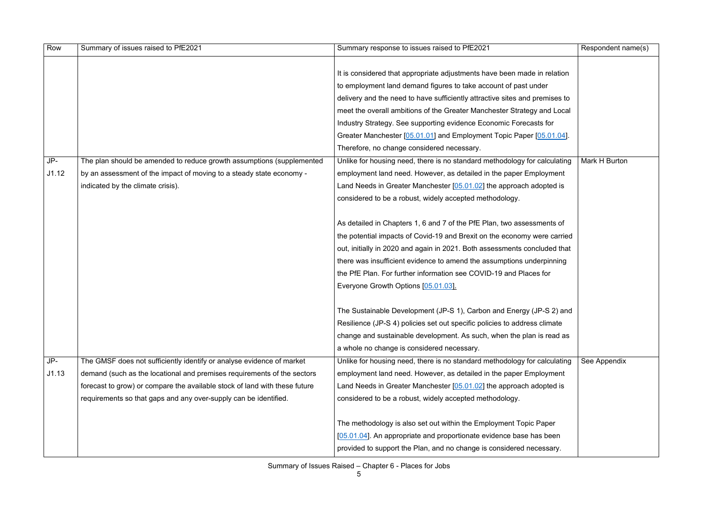| Row   | Summary of issues raised to PfE2021                                        | Summary response to issues raised to PfE2021                                | Respondent name(s) |
|-------|----------------------------------------------------------------------------|-----------------------------------------------------------------------------|--------------------|
|       |                                                                            |                                                                             |                    |
|       |                                                                            | It is considered that appropriate adjustments have been made in relation    |                    |
|       |                                                                            | to employment land demand figures to take account of past under             |                    |
|       |                                                                            | delivery and the need to have sufficiently attractive sites and premises to |                    |
|       |                                                                            | meet the overall ambitions of the Greater Manchester Strategy and Local     |                    |
|       |                                                                            | Industry Strategy. See supporting evidence Economic Forecasts for           |                    |
|       |                                                                            | Greater Manchester [05.01.01] and Employment Topic Paper [05.01.04].        |                    |
|       |                                                                            | Therefore, no change considered necessary.                                  |                    |
| JP-   | The plan should be amended to reduce growth assumptions (supplemented      | Unlike for housing need, there is no standard methodology for calculating   | Mark H Burton      |
| J1.12 | by an assessment of the impact of moving to a steady state economy -       | employment land need. However, as detailed in the paper Employment          |                    |
|       | indicated by the climate crisis).                                          | Land Needs in Greater Manchester [05.01.02] the approach adopted is         |                    |
|       |                                                                            | considered to be a robust, widely accepted methodology.                     |                    |
|       |                                                                            |                                                                             |                    |
|       |                                                                            | As detailed in Chapters 1, 6 and 7 of the PfE Plan, two assessments of      |                    |
|       |                                                                            | the potential impacts of Covid-19 and Brexit on the economy were carried    |                    |
|       |                                                                            | out, initially in 2020 and again in 2021. Both assessments concluded that   |                    |
|       |                                                                            | there was insufficient evidence to amend the assumptions underpinning       |                    |
|       |                                                                            | the PfE Plan. For further information see COVID-19 and Places for           |                    |
|       |                                                                            | Everyone Growth Options [05.01.03].                                         |                    |
|       |                                                                            |                                                                             |                    |
|       |                                                                            | The Sustainable Development (JP-S 1), Carbon and Energy (JP-S 2) and        |                    |
|       |                                                                            | Resilience (JP-S 4) policies set out specific policies to address climate   |                    |
|       |                                                                            | change and sustainable development. As such, when the plan is read as       |                    |
|       |                                                                            | a whole no change is considered necessary.                                  |                    |
| JP-   | The GMSF does not sufficiently identify or analyse evidence of market      | Unlike for housing need, there is no standard methodology for calculating   | See Appendix       |
| J1.13 | demand (such as the locational and premises requirements of the sectors    | employment land need. However, as detailed in the paper Employment          |                    |
|       | forecast to grow) or compare the available stock of land with these future | Land Needs in Greater Manchester [05.01.02] the approach adopted is         |                    |
|       | requirements so that gaps and any over-supply can be identified.           | considered to be a robust, widely accepted methodology.                     |                    |
|       |                                                                            |                                                                             |                    |
|       |                                                                            | The methodology is also set out within the Employment Topic Paper           |                    |
|       |                                                                            | [05.01.04]. An appropriate and proportionate evidence base has been         |                    |
|       |                                                                            | provided to support the Plan, and no change is considered necessary.        |                    |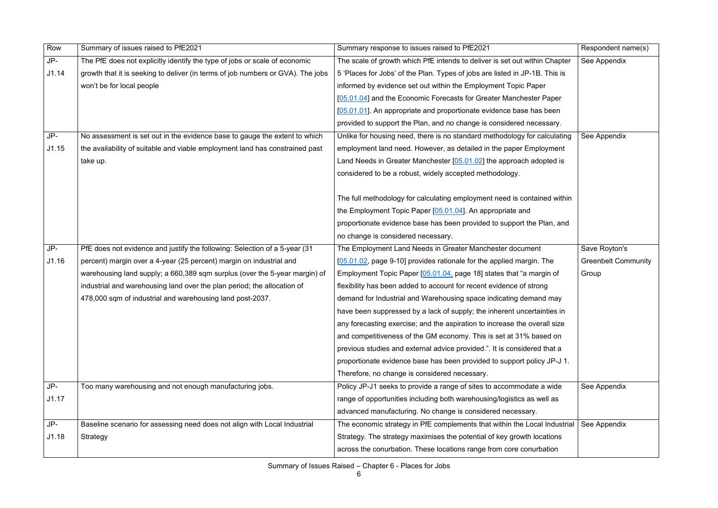| Row   | Summary of issues raised to PfE2021                                             | Summary response to issues raised to PfE2021                                | Respondent name(s)         |
|-------|---------------------------------------------------------------------------------|-----------------------------------------------------------------------------|----------------------------|
| JP-   | The PfE does not explicitly identify the type of jobs or scale of economic      | The scale of growth which PfE intends to deliver is set out within Chapter  | See Appendix               |
| J1.14 | growth that it is seeking to deliver (in terms of job numbers or GVA). The jobs | 5 'Places for Jobs' of the Plan. Types of jobs are listed in JP-1B. This is |                            |
|       | won't be for local people                                                       | informed by evidence set out within the Employment Topic Paper              |                            |
|       |                                                                                 | [05.01.04] and the Economic Forecasts for Greater Manchester Paper          |                            |
|       |                                                                                 | [05.01.01]. An appropriate and proportionate evidence base has been         |                            |
|       |                                                                                 | provided to support the Plan, and no change is considered necessary.        |                            |
| JP-   | No assessment is set out in the evidence base to gauge the extent to which      | Unlike for housing need, there is no standard methodology for calculating   | See Appendix               |
| J1.15 | the availability of suitable and viable employment land has constrained past    | employment land need. However, as detailed in the paper Employment          |                            |
|       | take up.                                                                        | Land Needs in Greater Manchester [05.01.02] the approach adopted is         |                            |
|       |                                                                                 | considered to be a robust, widely accepted methodology.                     |                            |
|       |                                                                                 |                                                                             |                            |
|       |                                                                                 | The full methodology for calculating employment need is contained within    |                            |
|       |                                                                                 | the Employment Topic Paper [05.01.04]. An appropriate and                   |                            |
|       |                                                                                 | proportionate evidence base has been provided to support the Plan, and      |                            |
|       |                                                                                 | no change is considered necessary.                                          |                            |
| JP-   | PfE does not evidence and justify the following: Selection of a 5-year (31      | The Employment Land Needs in Greater Manchester document                    | Save Royton's              |
| J1.16 | percent) margin over a 4-year (25 percent) margin on industrial and             | [05.01.02, page 9-10] provides rationale for the applied margin. The        | <b>Greenbelt Community</b> |
|       | warehousing land supply; a 660,389 sqm surplus (over the 5-year margin) of      | Employment Topic Paper [05.01.04, page 18] states that "a margin of         | Group                      |
|       | industrial and warehousing land over the plan period; the allocation of         | flexibility has been added to account for recent evidence of strong         |                            |
|       | 478,000 sqm of industrial and warehousing land post-2037.                       | demand for Industrial and Warehousing space indicating demand may           |                            |
|       |                                                                                 | have been suppressed by a lack of supply; the inherent uncertainties in     |                            |
|       |                                                                                 | any forecasting exercise; and the aspiration to increase the overall size   |                            |
|       |                                                                                 | and competitiveness of the GM economy. This is set at 31% based on          |                            |
|       |                                                                                 | previous studies and external advice provided.". It is considered that a    |                            |
|       |                                                                                 | proportionate evidence base has been provided to support policy JP-J 1.     |                            |
|       |                                                                                 | Therefore, no change is considered necessary.                               |                            |
| JP-   | Too many warehousing and not enough manufacturing jobs.                         | Policy JP-J1 seeks to provide a range of sites to accommodate a wide        | See Appendix               |
| J1.17 |                                                                                 | range of opportunities including both warehousing/logistics as well as      |                            |
|       |                                                                                 | advanced manufacturing. No change is considered necessary.                  |                            |
| JP-   | Baseline scenario for assessing need does not align with Local Industrial       | The economic strategy in PfE complements that within the Local Industrial   | See Appendix               |
| J1.18 | Strategy                                                                        | Strategy. The strategy maximises the potential of key growth locations      |                            |
|       |                                                                                 | across the conurbation. These locations range from core conurbation         |                            |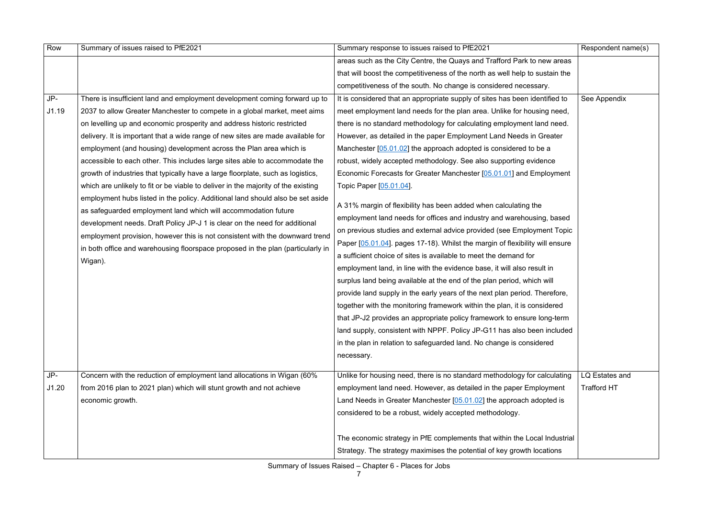| Row   | Summary of issues raised to PfE2021                                                                                                                                                                                                                                                                                                                                                                          | Summary response to issues raised to PfE2021                                                                                                                                                                                                                                                                                                                                                                                                                                                                                                                                                                                                                                                                                                                                                                                                                                                                                      | Respondent name(s) |
|-------|--------------------------------------------------------------------------------------------------------------------------------------------------------------------------------------------------------------------------------------------------------------------------------------------------------------------------------------------------------------------------------------------------------------|-----------------------------------------------------------------------------------------------------------------------------------------------------------------------------------------------------------------------------------------------------------------------------------------------------------------------------------------------------------------------------------------------------------------------------------------------------------------------------------------------------------------------------------------------------------------------------------------------------------------------------------------------------------------------------------------------------------------------------------------------------------------------------------------------------------------------------------------------------------------------------------------------------------------------------------|--------------------|
|       |                                                                                                                                                                                                                                                                                                                                                                                                              | areas such as the City Centre, the Quays and Trafford Park to new areas                                                                                                                                                                                                                                                                                                                                                                                                                                                                                                                                                                                                                                                                                                                                                                                                                                                           |                    |
|       |                                                                                                                                                                                                                                                                                                                                                                                                              | that will boost the competitiveness of the north as well help to sustain the                                                                                                                                                                                                                                                                                                                                                                                                                                                                                                                                                                                                                                                                                                                                                                                                                                                      |                    |
|       |                                                                                                                                                                                                                                                                                                                                                                                                              | competitiveness of the south. No change is considered necessary.                                                                                                                                                                                                                                                                                                                                                                                                                                                                                                                                                                                                                                                                                                                                                                                                                                                                  |                    |
| $JP-$ | There is insufficient land and employment development coming forward up to                                                                                                                                                                                                                                                                                                                                   | It is considered that an appropriate supply of sites has been identified to                                                                                                                                                                                                                                                                                                                                                                                                                                                                                                                                                                                                                                                                                                                                                                                                                                                       | See Appendix       |
| J1.19 | 2037 to allow Greater Manchester to compete in a global market, meet aims                                                                                                                                                                                                                                                                                                                                    | meet employment land needs for the plan area. Unlike for housing need,                                                                                                                                                                                                                                                                                                                                                                                                                                                                                                                                                                                                                                                                                                                                                                                                                                                            |                    |
|       | on levelling up and economic prosperity and address historic restricted                                                                                                                                                                                                                                                                                                                                      | there is no standard methodology for calculating employment land need.                                                                                                                                                                                                                                                                                                                                                                                                                                                                                                                                                                                                                                                                                                                                                                                                                                                            |                    |
|       | delivery. It is important that a wide range of new sites are made available for                                                                                                                                                                                                                                                                                                                              | However, as detailed in the paper Employment Land Needs in Greater                                                                                                                                                                                                                                                                                                                                                                                                                                                                                                                                                                                                                                                                                                                                                                                                                                                                |                    |
|       | employment (and housing) development across the Plan area which is                                                                                                                                                                                                                                                                                                                                           | Manchester $[05.01.02]$ the approach adopted is considered to be a                                                                                                                                                                                                                                                                                                                                                                                                                                                                                                                                                                                                                                                                                                                                                                                                                                                                |                    |
|       | accessible to each other. This includes large sites able to accommodate the                                                                                                                                                                                                                                                                                                                                  | robust, widely accepted methodology. See also supporting evidence                                                                                                                                                                                                                                                                                                                                                                                                                                                                                                                                                                                                                                                                                                                                                                                                                                                                 |                    |
|       | growth of industries that typically have a large floorplate, such as logistics,                                                                                                                                                                                                                                                                                                                              | Economic Forecasts for Greater Manchester [05.01.01] and Employment                                                                                                                                                                                                                                                                                                                                                                                                                                                                                                                                                                                                                                                                                                                                                                                                                                                               |                    |
|       | which are unlikely to fit or be viable to deliver in the majority of the existing                                                                                                                                                                                                                                                                                                                            | Topic Paper [05.01.04].                                                                                                                                                                                                                                                                                                                                                                                                                                                                                                                                                                                                                                                                                                                                                                                                                                                                                                           |                    |
|       | employment hubs listed in the policy. Additional land should also be set aside<br>as safeguarded employment land which will accommodation future<br>development needs. Draft Policy JP-J 1 is clear on the need for additional<br>employment provision, however this is not consistent with the downward trend<br>in both office and warehousing floorspace proposed in the plan (particularly in<br>Wigan). | A 31% margin of flexibility has been added when calculating the<br>employment land needs for offices and industry and warehousing, based<br>on previous studies and external advice provided (see Employment Topic<br>Paper [05.01.04]. pages 17-18). Whilst the margin of flexibility will ensure<br>a sufficient choice of sites is available to meet the demand for<br>employment land, in line with the evidence base, it will also result in<br>surplus land being available at the end of the plan period, which will<br>provide land supply in the early years of the next plan period. Therefore,<br>together with the monitoring framework within the plan, it is considered<br>that JP-J2 provides an appropriate policy framework to ensure long-term<br>land supply, consistent with NPPF. Policy JP-G11 has also been included<br>in the plan in relation to safeguarded land. No change is considered<br>necessary. |                    |
| JP-   | Concern with the reduction of employment land allocations in Wigan (60%                                                                                                                                                                                                                                                                                                                                      | Unlike for housing need, there is no standard methodology for calculating                                                                                                                                                                                                                                                                                                                                                                                                                                                                                                                                                                                                                                                                                                                                                                                                                                                         | LQ Estates and     |
| J1.20 | from 2016 plan to 2021 plan) which will stunt growth and not achieve                                                                                                                                                                                                                                                                                                                                         | employment land need. However, as detailed in the paper Employment                                                                                                                                                                                                                                                                                                                                                                                                                                                                                                                                                                                                                                                                                                                                                                                                                                                                | <b>Trafford HT</b> |
|       | economic growth.                                                                                                                                                                                                                                                                                                                                                                                             | Land Needs in Greater Manchester $[05.01.02]$ the approach adopted is                                                                                                                                                                                                                                                                                                                                                                                                                                                                                                                                                                                                                                                                                                                                                                                                                                                             |                    |
|       |                                                                                                                                                                                                                                                                                                                                                                                                              | considered to be a robust, widely accepted methodology.                                                                                                                                                                                                                                                                                                                                                                                                                                                                                                                                                                                                                                                                                                                                                                                                                                                                           |                    |
|       |                                                                                                                                                                                                                                                                                                                                                                                                              |                                                                                                                                                                                                                                                                                                                                                                                                                                                                                                                                                                                                                                                                                                                                                                                                                                                                                                                                   |                    |
|       |                                                                                                                                                                                                                                                                                                                                                                                                              | The economic strategy in PfE complements that within the Local Industrial                                                                                                                                                                                                                                                                                                                                                                                                                                                                                                                                                                                                                                                                                                                                                                                                                                                         |                    |
|       |                                                                                                                                                                                                                                                                                                                                                                                                              | Strategy. The strategy maximises the potential of key growth locations                                                                                                                                                                                                                                                                                                                                                                                                                                                                                                                                                                                                                                                                                                                                                                                                                                                            |                    |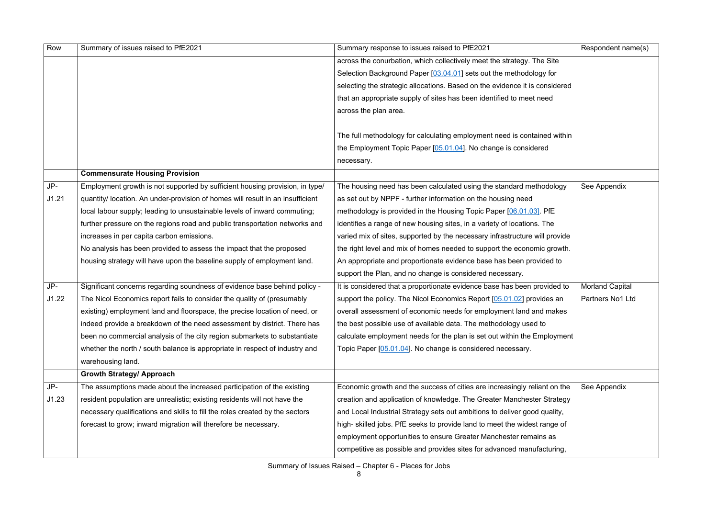| Row   | Summary of issues raised to PfE2021                                            | Summary response to issues raised to PfE2021                                | Respondent name(s)     |
|-------|--------------------------------------------------------------------------------|-----------------------------------------------------------------------------|------------------------|
|       |                                                                                | across the conurbation, which collectively meet the strategy. The Site      |                        |
|       |                                                                                | Selection Background Paper [03.04.01] sets out the methodology for          |                        |
|       |                                                                                | selecting the strategic allocations. Based on the evidence it is considered |                        |
|       |                                                                                | that an appropriate supply of sites has been identified to meet need        |                        |
|       |                                                                                | across the plan area.                                                       |                        |
|       |                                                                                |                                                                             |                        |
|       |                                                                                | The full methodology for calculating employment need is contained within    |                        |
|       |                                                                                | the Employment Topic Paper [05.01.04]. No change is considered              |                        |
|       |                                                                                | necessary.                                                                  |                        |
|       | <b>Commensurate Housing Provision</b>                                          |                                                                             |                        |
| JP-   | Employment growth is not supported by sufficient housing provision, in type/   | The housing need has been calculated using the standard methodology         | See Appendix           |
| J1.21 | quantity/ location. An under-provision of homes will result in an insufficient | as set out by NPPF - further information on the housing need                |                        |
|       | local labour supply; leading to unsustainable levels of inward commuting;      | methodology is provided in the Housing Topic Paper [06.01.03]. PfE          |                        |
|       | further pressure on the regions road and public transportation networks and    | identifies a range of new housing sites, in a variety of locations. The     |                        |
|       | increases in per capita carbon emissions.                                      | varied mix of sites, supported by the necessary infrastructure will provide |                        |
|       | No analysis has been provided to assess the impact that the proposed           | the right level and mix of homes needed to support the economic growth.     |                        |
|       | housing strategy will have upon the baseline supply of employment land.        | An appropriate and proportionate evidence base has been provided to         |                        |
|       |                                                                                | support the Plan, and no change is considered necessary.                    |                        |
| JP-   | Significant concerns regarding soundness of evidence base behind policy -      | It is considered that a proportionate evidence base has been provided to    | <b>Morland Capital</b> |
| J1.22 | The Nicol Economics report fails to consider the quality of (presumably        | support the policy. The Nicol Economics Report [05.01.02] provides an       | Partners No1 Ltd       |
|       | existing) employment land and floorspace, the precise location of need, or     | overall assessment of economic needs for employment land and makes          |                        |
|       | indeed provide a breakdown of the need assessment by district. There has       | the best possible use of available data. The methodology used to            |                        |
|       | been no commercial analysis of the city region submarkets to substantiate      | calculate employment needs for the plan is set out within the Employment    |                        |
|       | whether the north / south balance is appropriate in respect of industry and    | Topic Paper [05.01.04]. No change is considered necessary.                  |                        |
|       | warehousing land.                                                              |                                                                             |                        |
|       | <b>Growth Strategy/ Approach</b>                                               |                                                                             |                        |
| JP-   | The assumptions made about the increased participation of the existing         | Economic growth and the success of cities are increasingly reliant on the   | See Appendix           |
| J1.23 | resident population are unrealistic; existing residents will not have the      | creation and application of knowledge. The Greater Manchester Strategy      |                        |
|       | necessary qualifications and skills to fill the roles created by the sectors   | and Local Industrial Strategy sets out ambitions to deliver good quality,   |                        |
|       | forecast to grow; inward migration will therefore be necessary.                | high-skilled jobs. PfE seeks to provide land to meet the widest range of    |                        |
|       |                                                                                | employment opportunities to ensure Greater Manchester remains as            |                        |
|       |                                                                                | competitive as possible and provides sites for advanced manufacturing,      |                        |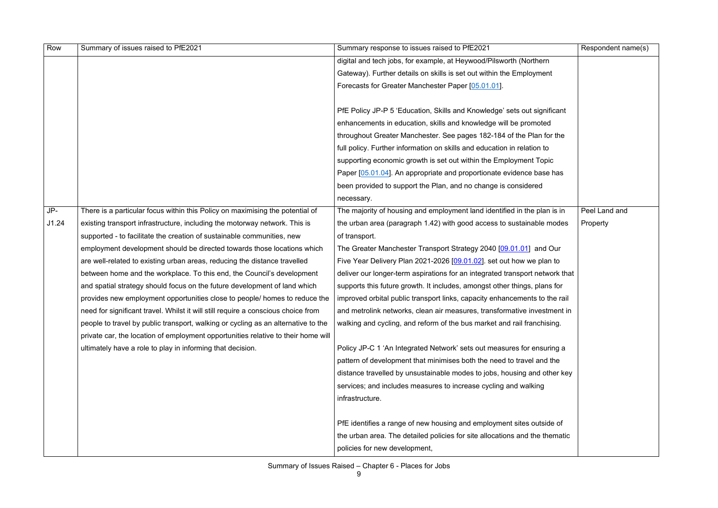| digital and tech jobs, for example, at Heywood/Pilsworth (Northern<br>Gateway). Further details on skills is set out within the Employment<br>Forecasts for Greater Manchester Paper [05.01.01].<br>PfE Policy JP-P 5 'Education, Skills and Knowledge' sets out significant<br>enhancements in education, skills and knowledge will be promoted<br>throughout Greater Manchester. See pages 182-184 of the Plan for the<br>full policy. Further information on skills and education in relation to<br>supporting economic growth is set out within the Employment Topic<br>Paper [05.01.04]. An appropriate and proportionate evidence base has<br>been provided to support the Plan, and no change is considered<br>necessary.<br>$JP-$<br>Peel Land and<br>There is a particular focus within this Policy on maximising the potential of<br>The majority of housing and employment land identified in the plan is in<br>J1.24<br>the urban area (paragraph 1.42) with good access to sustainable modes<br>existing transport infrastructure, including the motorway network. This is<br>Property<br>supported - to facilitate the creation of sustainable communities, new<br>of transport.<br>employment development should be directed towards those locations which<br>The Greater Manchester Transport Strategy 2040 [09.01.01] and Our<br>are well-related to existing urban areas, reducing the distance travelled<br>Five Year Delivery Plan 2021-2026 $[09.01.02]$ . set out how we plan to<br>between home and the workplace. To this end, the Council's development<br>deliver our longer-term aspirations for an integrated transport network that<br>and spatial strategy should focus on the future development of land which<br>supports this future growth. It includes, amongst other things, plans for<br>provides new employment opportunities close to people/ homes to reduce the<br>improved orbital public transport links, capacity enhancements to the rail<br>need for significant travel. Whilst it will still require a conscious choice from<br>and metrolink networks, clean air measures, transformative investment in<br>people to travel by public transport, walking or cycling as an alternative to the<br>walking and cycling, and reform of the bus market and rail franchising.<br>private car, the location of employment opportunities relative to their home will<br>ultimately have a role to play in informing that decision.<br>Policy JP-C 1 'An Integrated Network' sets out measures for ensuring a<br>pattern of development that minimises both the need to travel and the<br>distance travelled by unsustainable modes to jobs, housing and other key<br>services; and includes measures to increase cycling and walking<br>infrastructure.<br>PfE identifies a range of new housing and employment sites outside of<br>the urban area. The detailed policies for site allocations and the thematic | Row | Summary of issues raised to PfE2021 | Summary response to issues raised to PfE2021 | Respondent name(s) |
|---------------------------------------------------------------------------------------------------------------------------------------------------------------------------------------------------------------------------------------------------------------------------------------------------------------------------------------------------------------------------------------------------------------------------------------------------------------------------------------------------------------------------------------------------------------------------------------------------------------------------------------------------------------------------------------------------------------------------------------------------------------------------------------------------------------------------------------------------------------------------------------------------------------------------------------------------------------------------------------------------------------------------------------------------------------------------------------------------------------------------------------------------------------------------------------------------------------------------------------------------------------------------------------------------------------------------------------------------------------------------------------------------------------------------------------------------------------------------------------------------------------------------------------------------------------------------------------------------------------------------------------------------------------------------------------------------------------------------------------------------------------------------------------------------------------------------------------------------------------------------------------------------------------------------------------------------------------------------------------------------------------------------------------------------------------------------------------------------------------------------------------------------------------------------------------------------------------------------------------------------------------------------------------------------------------------------------------------------------------------------------------------------------------------------------------------------------------------------------------------------------------------------------------------------------------------------------------------------------------------------------------------------------------------------------------------------------------------------------------------------------------------------------------------------------------------------------------------------------------------------------------------------------------------------------------------------------|-----|-------------------------------------|----------------------------------------------|--------------------|
|                                                                                                                                                                                                                                                                                                                                                                                                                                                                                                                                                                                                                                                                                                                                                                                                                                                                                                                                                                                                                                                                                                                                                                                                                                                                                                                                                                                                                                                                                                                                                                                                                                                                                                                                                                                                                                                                                                                                                                                                                                                                                                                                                                                                                                                                                                                                                                                                                                                                                                                                                                                                                                                                                                                                                                                                                                                                                                                                                         |     |                                     |                                              |                    |
|                                                                                                                                                                                                                                                                                                                                                                                                                                                                                                                                                                                                                                                                                                                                                                                                                                                                                                                                                                                                                                                                                                                                                                                                                                                                                                                                                                                                                                                                                                                                                                                                                                                                                                                                                                                                                                                                                                                                                                                                                                                                                                                                                                                                                                                                                                                                                                                                                                                                                                                                                                                                                                                                                                                                                                                                                                                                                                                                                         |     |                                     |                                              |                    |
|                                                                                                                                                                                                                                                                                                                                                                                                                                                                                                                                                                                                                                                                                                                                                                                                                                                                                                                                                                                                                                                                                                                                                                                                                                                                                                                                                                                                                                                                                                                                                                                                                                                                                                                                                                                                                                                                                                                                                                                                                                                                                                                                                                                                                                                                                                                                                                                                                                                                                                                                                                                                                                                                                                                                                                                                                                                                                                                                                         |     |                                     |                                              |                    |
|                                                                                                                                                                                                                                                                                                                                                                                                                                                                                                                                                                                                                                                                                                                                                                                                                                                                                                                                                                                                                                                                                                                                                                                                                                                                                                                                                                                                                                                                                                                                                                                                                                                                                                                                                                                                                                                                                                                                                                                                                                                                                                                                                                                                                                                                                                                                                                                                                                                                                                                                                                                                                                                                                                                                                                                                                                                                                                                                                         |     |                                     |                                              |                    |
|                                                                                                                                                                                                                                                                                                                                                                                                                                                                                                                                                                                                                                                                                                                                                                                                                                                                                                                                                                                                                                                                                                                                                                                                                                                                                                                                                                                                                                                                                                                                                                                                                                                                                                                                                                                                                                                                                                                                                                                                                                                                                                                                                                                                                                                                                                                                                                                                                                                                                                                                                                                                                                                                                                                                                                                                                                                                                                                                                         |     |                                     |                                              |                    |
|                                                                                                                                                                                                                                                                                                                                                                                                                                                                                                                                                                                                                                                                                                                                                                                                                                                                                                                                                                                                                                                                                                                                                                                                                                                                                                                                                                                                                                                                                                                                                                                                                                                                                                                                                                                                                                                                                                                                                                                                                                                                                                                                                                                                                                                                                                                                                                                                                                                                                                                                                                                                                                                                                                                                                                                                                                                                                                                                                         |     |                                     |                                              |                    |
|                                                                                                                                                                                                                                                                                                                                                                                                                                                                                                                                                                                                                                                                                                                                                                                                                                                                                                                                                                                                                                                                                                                                                                                                                                                                                                                                                                                                                                                                                                                                                                                                                                                                                                                                                                                                                                                                                                                                                                                                                                                                                                                                                                                                                                                                                                                                                                                                                                                                                                                                                                                                                                                                                                                                                                                                                                                                                                                                                         |     |                                     |                                              |                    |
|                                                                                                                                                                                                                                                                                                                                                                                                                                                                                                                                                                                                                                                                                                                                                                                                                                                                                                                                                                                                                                                                                                                                                                                                                                                                                                                                                                                                                                                                                                                                                                                                                                                                                                                                                                                                                                                                                                                                                                                                                                                                                                                                                                                                                                                                                                                                                                                                                                                                                                                                                                                                                                                                                                                                                                                                                                                                                                                                                         |     |                                     |                                              |                    |
|                                                                                                                                                                                                                                                                                                                                                                                                                                                                                                                                                                                                                                                                                                                                                                                                                                                                                                                                                                                                                                                                                                                                                                                                                                                                                                                                                                                                                                                                                                                                                                                                                                                                                                                                                                                                                                                                                                                                                                                                                                                                                                                                                                                                                                                                                                                                                                                                                                                                                                                                                                                                                                                                                                                                                                                                                                                                                                                                                         |     |                                     |                                              |                    |
|                                                                                                                                                                                                                                                                                                                                                                                                                                                                                                                                                                                                                                                                                                                                                                                                                                                                                                                                                                                                                                                                                                                                                                                                                                                                                                                                                                                                                                                                                                                                                                                                                                                                                                                                                                                                                                                                                                                                                                                                                                                                                                                                                                                                                                                                                                                                                                                                                                                                                                                                                                                                                                                                                                                                                                                                                                                                                                                                                         |     |                                     |                                              |                    |
|                                                                                                                                                                                                                                                                                                                                                                                                                                                                                                                                                                                                                                                                                                                                                                                                                                                                                                                                                                                                                                                                                                                                                                                                                                                                                                                                                                                                                                                                                                                                                                                                                                                                                                                                                                                                                                                                                                                                                                                                                                                                                                                                                                                                                                                                                                                                                                                                                                                                                                                                                                                                                                                                                                                                                                                                                                                                                                                                                         |     |                                     |                                              |                    |
|                                                                                                                                                                                                                                                                                                                                                                                                                                                                                                                                                                                                                                                                                                                                                                                                                                                                                                                                                                                                                                                                                                                                                                                                                                                                                                                                                                                                                                                                                                                                                                                                                                                                                                                                                                                                                                                                                                                                                                                                                                                                                                                                                                                                                                                                                                                                                                                                                                                                                                                                                                                                                                                                                                                                                                                                                                                                                                                                                         |     |                                     |                                              |                    |
|                                                                                                                                                                                                                                                                                                                                                                                                                                                                                                                                                                                                                                                                                                                                                                                                                                                                                                                                                                                                                                                                                                                                                                                                                                                                                                                                                                                                                                                                                                                                                                                                                                                                                                                                                                                                                                                                                                                                                                                                                                                                                                                                                                                                                                                                                                                                                                                                                                                                                                                                                                                                                                                                                                                                                                                                                                                                                                                                                         |     |                                     |                                              |                    |
|                                                                                                                                                                                                                                                                                                                                                                                                                                                                                                                                                                                                                                                                                                                                                                                                                                                                                                                                                                                                                                                                                                                                                                                                                                                                                                                                                                                                                                                                                                                                                                                                                                                                                                                                                                                                                                                                                                                                                                                                                                                                                                                                                                                                                                                                                                                                                                                                                                                                                                                                                                                                                                                                                                                                                                                                                                                                                                                                                         |     |                                     |                                              |                    |
|                                                                                                                                                                                                                                                                                                                                                                                                                                                                                                                                                                                                                                                                                                                                                                                                                                                                                                                                                                                                                                                                                                                                                                                                                                                                                                                                                                                                                                                                                                                                                                                                                                                                                                                                                                                                                                                                                                                                                                                                                                                                                                                                                                                                                                                                                                                                                                                                                                                                                                                                                                                                                                                                                                                                                                                                                                                                                                                                                         |     |                                     |                                              |                    |
|                                                                                                                                                                                                                                                                                                                                                                                                                                                                                                                                                                                                                                                                                                                                                                                                                                                                                                                                                                                                                                                                                                                                                                                                                                                                                                                                                                                                                                                                                                                                                                                                                                                                                                                                                                                                                                                                                                                                                                                                                                                                                                                                                                                                                                                                                                                                                                                                                                                                                                                                                                                                                                                                                                                                                                                                                                                                                                                                                         |     |                                     |                                              |                    |
|                                                                                                                                                                                                                                                                                                                                                                                                                                                                                                                                                                                                                                                                                                                                                                                                                                                                                                                                                                                                                                                                                                                                                                                                                                                                                                                                                                                                                                                                                                                                                                                                                                                                                                                                                                                                                                                                                                                                                                                                                                                                                                                                                                                                                                                                                                                                                                                                                                                                                                                                                                                                                                                                                                                                                                                                                                                                                                                                                         |     |                                     |                                              |                    |
|                                                                                                                                                                                                                                                                                                                                                                                                                                                                                                                                                                                                                                                                                                                                                                                                                                                                                                                                                                                                                                                                                                                                                                                                                                                                                                                                                                                                                                                                                                                                                                                                                                                                                                                                                                                                                                                                                                                                                                                                                                                                                                                                                                                                                                                                                                                                                                                                                                                                                                                                                                                                                                                                                                                                                                                                                                                                                                                                                         |     |                                     |                                              |                    |
|                                                                                                                                                                                                                                                                                                                                                                                                                                                                                                                                                                                                                                                                                                                                                                                                                                                                                                                                                                                                                                                                                                                                                                                                                                                                                                                                                                                                                                                                                                                                                                                                                                                                                                                                                                                                                                                                                                                                                                                                                                                                                                                                                                                                                                                                                                                                                                                                                                                                                                                                                                                                                                                                                                                                                                                                                                                                                                                                                         |     |                                     |                                              |                    |
|                                                                                                                                                                                                                                                                                                                                                                                                                                                                                                                                                                                                                                                                                                                                                                                                                                                                                                                                                                                                                                                                                                                                                                                                                                                                                                                                                                                                                                                                                                                                                                                                                                                                                                                                                                                                                                                                                                                                                                                                                                                                                                                                                                                                                                                                                                                                                                                                                                                                                                                                                                                                                                                                                                                                                                                                                                                                                                                                                         |     |                                     |                                              |                    |
|                                                                                                                                                                                                                                                                                                                                                                                                                                                                                                                                                                                                                                                                                                                                                                                                                                                                                                                                                                                                                                                                                                                                                                                                                                                                                                                                                                                                                                                                                                                                                                                                                                                                                                                                                                                                                                                                                                                                                                                                                                                                                                                                                                                                                                                                                                                                                                                                                                                                                                                                                                                                                                                                                                                                                                                                                                                                                                                                                         |     |                                     |                                              |                    |
|                                                                                                                                                                                                                                                                                                                                                                                                                                                                                                                                                                                                                                                                                                                                                                                                                                                                                                                                                                                                                                                                                                                                                                                                                                                                                                                                                                                                                                                                                                                                                                                                                                                                                                                                                                                                                                                                                                                                                                                                                                                                                                                                                                                                                                                                                                                                                                                                                                                                                                                                                                                                                                                                                                                                                                                                                                                                                                                                                         |     |                                     |                                              |                    |
|                                                                                                                                                                                                                                                                                                                                                                                                                                                                                                                                                                                                                                                                                                                                                                                                                                                                                                                                                                                                                                                                                                                                                                                                                                                                                                                                                                                                                                                                                                                                                                                                                                                                                                                                                                                                                                                                                                                                                                                                                                                                                                                                                                                                                                                                                                                                                                                                                                                                                                                                                                                                                                                                                                                                                                                                                                                                                                                                                         |     |                                     |                                              |                    |
|                                                                                                                                                                                                                                                                                                                                                                                                                                                                                                                                                                                                                                                                                                                                                                                                                                                                                                                                                                                                                                                                                                                                                                                                                                                                                                                                                                                                                                                                                                                                                                                                                                                                                                                                                                                                                                                                                                                                                                                                                                                                                                                                                                                                                                                                                                                                                                                                                                                                                                                                                                                                                                                                                                                                                                                                                                                                                                                                                         |     |                                     |                                              |                    |
|                                                                                                                                                                                                                                                                                                                                                                                                                                                                                                                                                                                                                                                                                                                                                                                                                                                                                                                                                                                                                                                                                                                                                                                                                                                                                                                                                                                                                                                                                                                                                                                                                                                                                                                                                                                                                                                                                                                                                                                                                                                                                                                                                                                                                                                                                                                                                                                                                                                                                                                                                                                                                                                                                                                                                                                                                                                                                                                                                         |     |                                     |                                              |                    |
|                                                                                                                                                                                                                                                                                                                                                                                                                                                                                                                                                                                                                                                                                                                                                                                                                                                                                                                                                                                                                                                                                                                                                                                                                                                                                                                                                                                                                                                                                                                                                                                                                                                                                                                                                                                                                                                                                                                                                                                                                                                                                                                                                                                                                                                                                                                                                                                                                                                                                                                                                                                                                                                                                                                                                                                                                                                                                                                                                         |     |                                     |                                              |                    |
|                                                                                                                                                                                                                                                                                                                                                                                                                                                                                                                                                                                                                                                                                                                                                                                                                                                                                                                                                                                                                                                                                                                                                                                                                                                                                                                                                                                                                                                                                                                                                                                                                                                                                                                                                                                                                                                                                                                                                                                                                                                                                                                                                                                                                                                                                                                                                                                                                                                                                                                                                                                                                                                                                                                                                                                                                                                                                                                                                         |     |                                     |                                              |                    |
|                                                                                                                                                                                                                                                                                                                                                                                                                                                                                                                                                                                                                                                                                                                                                                                                                                                                                                                                                                                                                                                                                                                                                                                                                                                                                                                                                                                                                                                                                                                                                                                                                                                                                                                                                                                                                                                                                                                                                                                                                                                                                                                                                                                                                                                                                                                                                                                                                                                                                                                                                                                                                                                                                                                                                                                                                                                                                                                                                         |     |                                     |                                              |                    |
|                                                                                                                                                                                                                                                                                                                                                                                                                                                                                                                                                                                                                                                                                                                                                                                                                                                                                                                                                                                                                                                                                                                                                                                                                                                                                                                                                                                                                                                                                                                                                                                                                                                                                                                                                                                                                                                                                                                                                                                                                                                                                                                                                                                                                                                                                                                                                                                                                                                                                                                                                                                                                                                                                                                                                                                                                                                                                                                                                         |     |                                     |                                              |                    |
|                                                                                                                                                                                                                                                                                                                                                                                                                                                                                                                                                                                                                                                                                                                                                                                                                                                                                                                                                                                                                                                                                                                                                                                                                                                                                                                                                                                                                                                                                                                                                                                                                                                                                                                                                                                                                                                                                                                                                                                                                                                                                                                                                                                                                                                                                                                                                                                                                                                                                                                                                                                                                                                                                                                                                                                                                                                                                                                                                         |     |                                     |                                              |                    |
| policies for new development,                                                                                                                                                                                                                                                                                                                                                                                                                                                                                                                                                                                                                                                                                                                                                                                                                                                                                                                                                                                                                                                                                                                                                                                                                                                                                                                                                                                                                                                                                                                                                                                                                                                                                                                                                                                                                                                                                                                                                                                                                                                                                                                                                                                                                                                                                                                                                                                                                                                                                                                                                                                                                                                                                                                                                                                                                                                                                                                           |     |                                     |                                              |                    |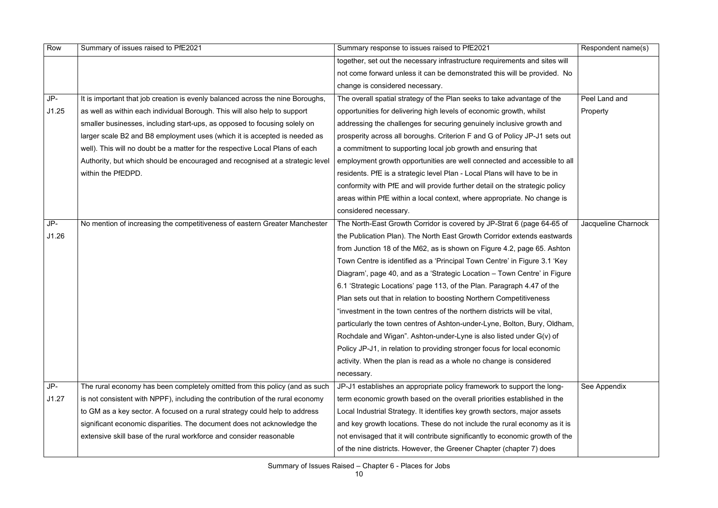| Row   | Summary of issues raised to PfE2021                                            | Summary response to issues raised to PfE2021                                  | Respondent name(s)  |
|-------|--------------------------------------------------------------------------------|-------------------------------------------------------------------------------|---------------------|
|       |                                                                                | together, set out the necessary infrastructure requirements and sites will    |                     |
|       |                                                                                | not come forward unless it can be demonstrated this will be provided. No      |                     |
|       |                                                                                | change is considered necessary.                                               |                     |
| $JP-$ | It is important that job creation is evenly balanced across the nine Boroughs, | The overall spatial strategy of the Plan seeks to take advantage of the       | Peel Land and       |
| J1.25 | as well as within each individual Borough. This will also help to support      | opportunities for delivering high levels of economic growth, whilst           | Property            |
|       | smaller businesses, including start-ups, as opposed to focusing solely on      | addressing the challenges for securing genuinely inclusive growth and         |                     |
|       | larger scale B2 and B8 employment uses (which it is accepted is needed as      | prosperity across all boroughs. Criterion F and G of Policy JP-J1 sets out    |                     |
|       | well). This will no doubt be a matter for the respective Local Plans of each   | a commitment to supporting local job growth and ensuring that                 |                     |
|       | Authority, but which should be encouraged and recognised at a strategic level  | employment growth opportunities are well connected and accessible to all      |                     |
|       | within the PfEDPD.                                                             | residents. PfE is a strategic level Plan - Local Plans will have to be in     |                     |
|       |                                                                                | conformity with PfE and will provide further detail on the strategic policy   |                     |
|       |                                                                                | areas within PfE within a local context, where appropriate. No change is      |                     |
|       |                                                                                | considered necessary.                                                         |                     |
| $JP-$ | No mention of increasing the competitiveness of eastern Greater Manchester     | The North-East Growth Corridor is covered by JP-Strat 6 (page 64-65 of        | Jacqueline Charnock |
| J1.26 |                                                                                | the Publication Plan). The North East Growth Corridor extends eastwards       |                     |
|       |                                                                                | from Junction 18 of the M62, as is shown on Figure 4.2, page 65. Ashton       |                     |
|       |                                                                                | Town Centre is identified as a 'Principal Town Centre' in Figure 3.1 'Key     |                     |
|       |                                                                                | Diagram', page 40, and as a 'Strategic Location - Town Centre' in Figure      |                     |
|       |                                                                                | 6.1 'Strategic Locations' page 113, of the Plan. Paragraph 4.47 of the        |                     |
|       |                                                                                | Plan sets out that in relation to boosting Northern Competitiveness           |                     |
|       |                                                                                | "investment in the town centres of the northern districts will be vital,      |                     |
|       |                                                                                | particularly the town centres of Ashton-under-Lyne, Bolton, Bury, Oldham,     |                     |
|       |                                                                                | Rochdale and Wigan". Ashton-under-Lyne is also listed under G(v) of           |                     |
|       |                                                                                | Policy JP-J1, in relation to providing stronger focus for local economic      |                     |
|       |                                                                                | activity. When the plan is read as a whole no change is considered            |                     |
|       |                                                                                | necessary.                                                                    |                     |
| $JP-$ | The rural economy has been completely omitted from this policy (and as such    | JP-J1 establishes an appropriate policy framework to support the long-        | See Appendix        |
| J1.27 | is not consistent with NPPF), including the contribution of the rural economy  | term economic growth based on the overall priorities established in the       |                     |
|       | to GM as a key sector. A focused on a rural strategy could help to address     | Local Industrial Strategy. It identifies key growth sectors, major assets     |                     |
|       | significant economic disparities. The document does not acknowledge the        | and key growth locations. These do not include the rural economy as it is     |                     |
|       | extensive skill base of the rural workforce and consider reasonable            | not envisaged that it will contribute significantly to economic growth of the |                     |
|       |                                                                                | of the nine districts. However, the Greener Chapter (chapter 7) does          |                     |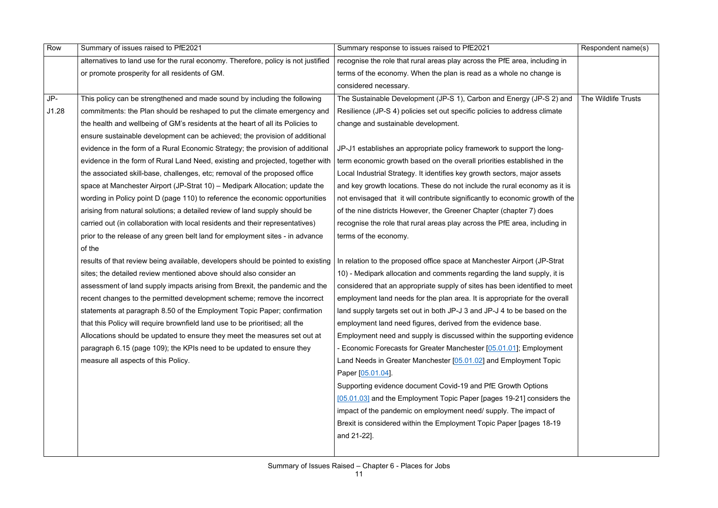| Row   | Summary of issues raised to PfE2021                                                | Summary response to issues raised to PfE2021                                  | Respondent name(s)  |
|-------|------------------------------------------------------------------------------------|-------------------------------------------------------------------------------|---------------------|
|       | alternatives to land use for the rural economy. Therefore, policy is not justified | recognise the role that rural areas play across the PfE area, including in    |                     |
|       | or promote prosperity for all residents of GM.                                     | terms of the economy. When the plan is read as a whole no change is           |                     |
|       |                                                                                    | considered necessary.                                                         |                     |
| JP-   | This policy can be strengthened and made sound by including the following          | The Sustainable Development (JP-S 1), Carbon and Energy (JP-S 2) and          | The Wildlife Trusts |
| J1.28 | commitments: the Plan should be reshaped to put the climate emergency and          | Resilience (JP-S 4) policies set out specific policies to address climate     |                     |
|       | the health and wellbeing of GM's residents at the heart of all its Policies to     | change and sustainable development.                                           |                     |
|       | ensure sustainable development can be achieved; the provision of additional        |                                                                               |                     |
|       | evidence in the form of a Rural Economic Strategy; the provision of additional     | JP-J1 establishes an appropriate policy framework to support the long-        |                     |
|       | evidence in the form of Rural Land Need, existing and projected, together with     | term economic growth based on the overall priorities established in the       |                     |
|       | the associated skill-base, challenges, etc; removal of the proposed office         | Local Industrial Strategy. It identifies key growth sectors, major assets     |                     |
|       | space at Manchester Airport (JP-Strat 10) - Medipark Allocation; update the        | and key growth locations. These do not include the rural economy as it is     |                     |
|       | wording in Policy point D (page 110) to reference the economic opportunities       | not envisaged that it will contribute significantly to economic growth of the |                     |
|       | arising from natural solutions; a detailed review of land supply should be         | of the nine districts However, the Greener Chapter (chapter 7) does           |                     |
|       | carried out (in collaboration with local residents and their representatives)      | recognise the role that rural areas play across the PfE area, including in    |                     |
|       | prior to the release of any green belt land for employment sites - in advance      | terms of the economy.                                                         |                     |
|       | of the                                                                             |                                                                               |                     |
|       | results of that review being available, developers should be pointed to existing   | In relation to the proposed office space at Manchester Airport (JP-Strat      |                     |
|       | sites; the detailed review mentioned above should also consider an                 | 10) - Medipark allocation and comments regarding the land supply, it is       |                     |
|       | assessment of land supply impacts arising from Brexit, the pandemic and the        | considered that an appropriate supply of sites has been identified to meet    |                     |
|       | recent changes to the permitted development scheme; remove the incorrect           | employment land needs for the plan area. It is appropriate for the overall    |                     |
|       | statements at paragraph 8.50 of the Employment Topic Paper; confirmation           | land supply targets set out in both JP-J 3 and JP-J 4 to be based on the      |                     |
|       | that this Policy will require brownfield land use to be prioritised; all the       | employment land need figures, derived from the evidence base.                 |                     |
|       | Allocations should be updated to ensure they meet the measures set out at          | Employment need and supply is discussed within the supporting evidence        |                     |
|       | paragraph 6.15 (page 109); the KPIs need to be updated to ensure they              | - Economic Forecasts for Greater Manchester [05.01.01]; Employment            |                     |
|       | measure all aspects of this Policy.                                                | Land Needs in Greater Manchester [05.01.02] and Employment Topic              |                     |
|       |                                                                                    | Paper [05.01.04]                                                              |                     |
|       |                                                                                    | Supporting evidence document Covid-19 and PfE Growth Options                  |                     |
|       |                                                                                    | [05.01.03] and the Employment Topic Paper [pages 19-21] considers the         |                     |
|       |                                                                                    | impact of the pandemic on employment need/ supply. The impact of              |                     |
|       |                                                                                    | Brexit is considered within the Employment Topic Paper [pages 18-19]          |                     |
|       |                                                                                    | and 21-22].                                                                   |                     |
|       |                                                                                    |                                                                               |                     |
|       |                                                                                    |                                                                               |                     |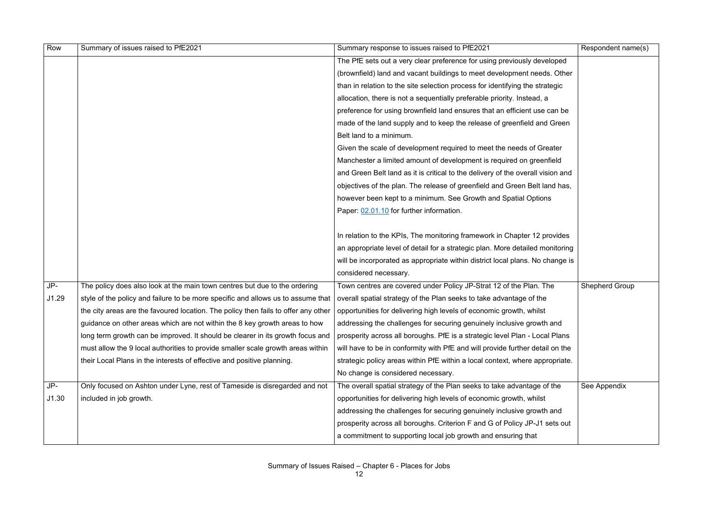| Row   | Summary of issues raised to PfE2021                                                                                                                      | Summary response to issues raised to PfE2021                                    | Respondent name(s)    |
|-------|----------------------------------------------------------------------------------------------------------------------------------------------------------|---------------------------------------------------------------------------------|-----------------------|
|       |                                                                                                                                                          | The PfE sets out a very clear preference for using previously developed         |                       |
|       |                                                                                                                                                          | (brownfield) land and vacant buildings to meet development needs. Other         |                       |
|       |                                                                                                                                                          | than in relation to the site selection process for identifying the strategic    |                       |
|       |                                                                                                                                                          | allocation, there is not a sequentially preferable priority. Instead, a         |                       |
|       |                                                                                                                                                          | preference for using brownfield land ensures that an efficient use can be       |                       |
|       |                                                                                                                                                          | made of the land supply and to keep the release of greenfield and Green         |                       |
|       |                                                                                                                                                          | Belt land to a minimum.                                                         |                       |
|       |                                                                                                                                                          | Given the scale of development required to meet the needs of Greater            |                       |
|       |                                                                                                                                                          | Manchester a limited amount of development is required on greenfield            |                       |
|       |                                                                                                                                                          | and Green Belt land as it is critical to the delivery of the overall vision and |                       |
|       |                                                                                                                                                          | objectives of the plan. The release of greenfield and Green Belt land has,      |                       |
|       |                                                                                                                                                          | however been kept to a minimum. See Growth and Spatial Options                  |                       |
|       |                                                                                                                                                          | Paper: 02.01.10 for further information.                                        |                       |
|       |                                                                                                                                                          | In relation to the KPIs, The monitoring framework in Chapter 12 provides        |                       |
|       |                                                                                                                                                          | an appropriate level of detail for a strategic plan. More detailed monitoring   |                       |
|       |                                                                                                                                                          | will be incorporated as appropriate within district local plans. No change is   |                       |
|       |                                                                                                                                                          | considered necessary.                                                           |                       |
| JP-   | The policy does also look at the main town centres but due to the ordering                                                                               | Town centres are covered under Policy JP-Strat 12 of the Plan. The              | <b>Shepherd Group</b> |
| J1.29 | style of the policy and failure to be more specific and allows us to assume that                                                                         | overall spatial strategy of the Plan seeks to take advantage of the             |                       |
|       | the city areas are the favoured location. The policy then fails to offer any other   opportunities for delivering high levels of economic growth, whilst |                                                                                 |                       |
|       | guidance on other areas which are not within the 8 key growth areas to how                                                                               | addressing the challenges for securing genuinely inclusive growth and           |                       |
|       | long term growth can be improved. It should be clearer in its growth focus and                                                                           | prosperity across all boroughs. PfE is a strategic level Plan - Local Plans     |                       |
|       | must allow the 9 local authorities to provide smaller scale growth areas within                                                                          | will have to be in conformity with PfE and will provide further detail on the   |                       |
|       | their Local Plans in the interests of effective and positive planning.                                                                                   | strategic policy areas within PfE within a local context, where appropriate.    |                       |
|       |                                                                                                                                                          | No change is considered necessary.                                              |                       |
| JP-   | Only focused on Ashton under Lyne, rest of Tameside is disregarded and not                                                                               | The overall spatial strategy of the Plan seeks to take advantage of the         | See Appendix          |
| J1.30 | included in job growth.                                                                                                                                  | opportunities for delivering high levels of economic growth, whilst             |                       |
|       |                                                                                                                                                          | addressing the challenges for securing genuinely inclusive growth and           |                       |
|       |                                                                                                                                                          | prosperity across all boroughs. Criterion F and G of Policy JP-J1 sets out      |                       |
|       |                                                                                                                                                          | a commitment to supporting local job growth and ensuring that                   |                       |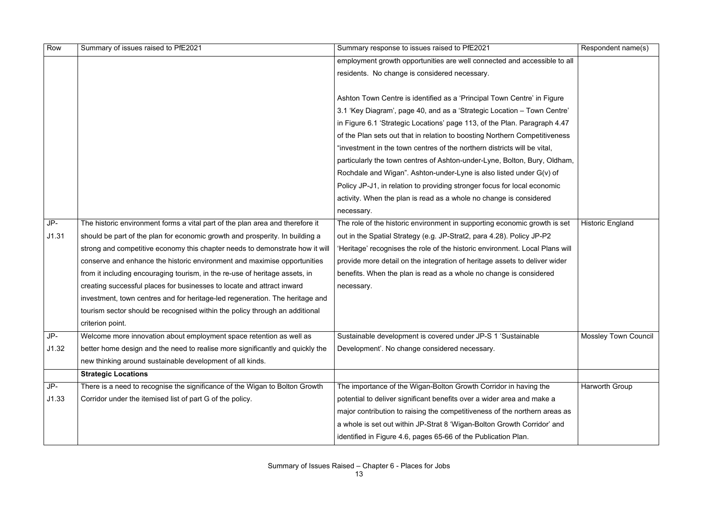| Row   | Summary of issues raised to PfE2021                                           | Summary response to issues raised to PfE2021                                 | Respondent name(s)          |
|-------|-------------------------------------------------------------------------------|------------------------------------------------------------------------------|-----------------------------|
|       |                                                                               | employment growth opportunities are well connected and accessible to all     |                             |
|       |                                                                               | residents. No change is considered necessary.                                |                             |
|       |                                                                               |                                                                              |                             |
|       |                                                                               | Ashton Town Centre is identified as a 'Principal Town Centre' in Figure      |                             |
|       |                                                                               | 3.1 'Key Diagram', page 40, and as a 'Strategic Location - Town Centre'      |                             |
|       |                                                                               | in Figure 6.1 'Strategic Locations' page 113, of the Plan. Paragraph 4.47    |                             |
|       |                                                                               | of the Plan sets out that in relation to boosting Northern Competitiveness   |                             |
|       |                                                                               | "investment in the town centres of the northern districts will be vital,     |                             |
|       |                                                                               | particularly the town centres of Ashton-under-Lyne, Bolton, Bury, Oldham,    |                             |
|       |                                                                               | Rochdale and Wigan". Ashton-under-Lyne is also listed under G(v) of          |                             |
|       |                                                                               | Policy JP-J1, in relation to providing stronger focus for local economic     |                             |
|       |                                                                               | activity. When the plan is read as a whole no change is considered           |                             |
|       |                                                                               | necessary.                                                                   |                             |
| JP-   | The historic environment forms a vital part of the plan area and therefore it | The role of the historic environment in supporting economic growth is set    | <b>Historic England</b>     |
| J1.31 | should be part of the plan for economic growth and prosperity. In building a  | out in the Spatial Strategy (e.g. JP-Strat2, para 4.28). Policy JP-P2        |                             |
|       | strong and competitive economy this chapter needs to demonstrate how it will  | 'Heritage' recognises the role of the historic environment. Local Plans will |                             |
|       | conserve and enhance the historic environment and maximise opportunities      | provide more detail on the integration of heritage assets to deliver wider   |                             |
|       | from it including encouraging tourism, in the re-use of heritage assets, in   | benefits. When the plan is read as a whole no change is considered           |                             |
|       | creating successful places for businesses to locate and attract inward        | necessary.                                                                   |                             |
|       | investment, town centres and for heritage-led regeneration. The heritage and  |                                                                              |                             |
|       | tourism sector should be recognised within the policy through an additional   |                                                                              |                             |
|       | criterion point.                                                              |                                                                              |                             |
| JP-   | Welcome more innovation about employment space retention as well as           | Sustainable development is covered under JP-S 1 'Sustainable                 | <b>Mossley Town Council</b> |
| J1.32 | better home design and the need to realise more significantly and quickly the | Development'. No change considered necessary.                                |                             |
|       | new thinking around sustainable development of all kinds.                     |                                                                              |                             |
|       | <b>Strategic Locations</b>                                                    |                                                                              |                             |
| JP-   | There is a need to recognise the significance of the Wigan to Bolton Growth   | The importance of the Wigan-Bolton Growth Corridor in having the             | <b>Harworth Group</b>       |
| J1.33 | Corridor under the itemised list of part G of the policy.                     | potential to deliver significant benefits over a wider area and make a       |                             |
|       |                                                                               | major contribution to raising the competitiveness of the northern areas as   |                             |
|       |                                                                               | a whole is set out within JP-Strat 8 'Wigan-Bolton Growth Corridor' and      |                             |
|       |                                                                               | identified in Figure 4.6, pages 65-66 of the Publication Plan.               |                             |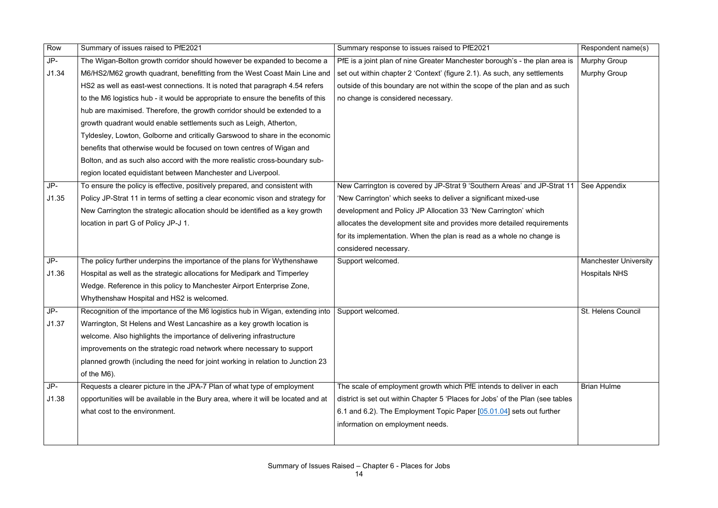| Row   | Summary of issues raised to PfE2021                                                                | Summary response to issues raised to PfE2021                                   | Respondent name(s)           |
|-------|----------------------------------------------------------------------------------------------------|--------------------------------------------------------------------------------|------------------------------|
| JP-   | The Wigan-Bolton growth corridor should however be expanded to become a                            | PfE is a joint plan of nine Greater Manchester borough's - the plan area is    | <b>Murphy Group</b>          |
| J1.34 | M6/HS2/M62 growth quadrant, benefitting from the West Coast Main Line and                          | set out within chapter 2 'Context' (figure 2.1). As such, any settlements      | <b>Murphy Group</b>          |
|       | HS2 as well as east-west connections. It is noted that paragraph 4.54 refers                       | outside of this boundary are not within the scope of the plan and as such      |                              |
|       | to the M6 logistics hub - it would be appropriate to ensure the benefits of this                   | no change is considered necessary.                                             |                              |
|       | hub are maximised. Therefore, the growth corridor should be extended to a                          |                                                                                |                              |
|       | growth quadrant would enable settlements such as Leigh, Atherton,                                  |                                                                                |                              |
|       | Tyldesley, Lowton, Golborne and critically Garswood to share in the economic                       |                                                                                |                              |
|       | benefits that otherwise would be focused on town centres of Wigan and                              |                                                                                |                              |
|       | Bolton, and as such also accord with the more realistic cross-boundary sub-                        |                                                                                |                              |
|       | region located equidistant between Manchester and Liverpool.                                       |                                                                                |                              |
| JP-   | To ensure the policy is effective, positively prepared, and consistent with                        | New Carrington is covered by JP-Strat 9 'Southern Areas' and JP-Strat 11       | See Appendix                 |
| J1.35 | Policy JP-Strat 11 in terms of setting a clear economic vison and strategy for                     | 'New Carrington' which seeks to deliver a significant mixed-use                |                              |
|       | New Carrington the strategic allocation should be identified as a key growth                       | development and Policy JP Allocation 33 'New Carrington' which                 |                              |
|       | location in part G of Policy JP-J 1.                                                               | allocates the development site and provides more detailed requirements         |                              |
|       |                                                                                                    | for its implementation. When the plan is read as a whole no change is          |                              |
|       |                                                                                                    | considered necessary.                                                          |                              |
| JP-   | The policy further underpins the importance of the plans for Wythenshawe                           | Support welcomed.                                                              | <b>Manchester University</b> |
| J1.36 | Hospital as well as the strategic allocations for Medipark and Timperley                           |                                                                                | <b>Hospitals NHS</b>         |
|       | Wedge. Reference in this policy to Manchester Airport Enterprise Zone,                             |                                                                                |                              |
|       | Whythenshaw Hospital and HS2 is welcomed.                                                          |                                                                                |                              |
| JP-   | Recognition of the importance of the M6 logistics hub in Wigan, extending into   Support welcomed. |                                                                                | St. Helens Council           |
| J1.37 | Warrington, St Helens and West Lancashire as a key growth location is                              |                                                                                |                              |
|       | welcome. Also highlights the importance of delivering infrastructure                               |                                                                                |                              |
|       | improvements on the strategic road network where necessary to support                              |                                                                                |                              |
|       | planned growth (including the need for joint working in relation to Junction 23                    |                                                                                |                              |
|       | of the M6).                                                                                        |                                                                                |                              |
| JP-   | Requests a clearer picture in the JPA-7 Plan of what type of employment                            | The scale of employment growth which PfE intends to deliver in each            | <b>Brian Hulme</b>           |
| J1.38 | opportunities will be available in the Bury area, where it will be located and at                  | district is set out within Chapter 5 'Places for Jobs' of the Plan (see tables |                              |
|       | what cost to the environment.                                                                      | 6.1 and 6.2). The Employment Topic Paper [05.01.04] sets out further           |                              |
|       |                                                                                                    | information on employment needs.                                               |                              |
|       |                                                                                                    |                                                                                |                              |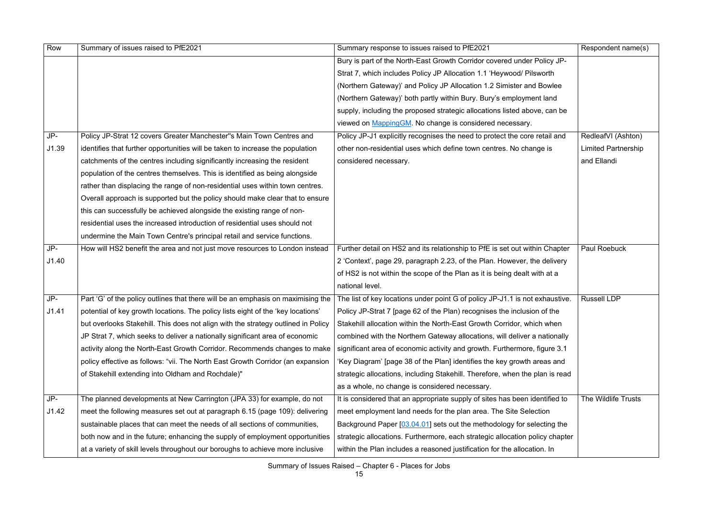| Row   | Summary of issues raised to PfE2021                                               | Summary response to issues raised to PfE2021                                 | Respondent name(s)         |
|-------|-----------------------------------------------------------------------------------|------------------------------------------------------------------------------|----------------------------|
|       |                                                                                   | Bury is part of the North-East Growth Corridor covered under Policy JP-      |                            |
|       |                                                                                   | Strat 7, which includes Policy JP Allocation 1.1 'Heywood/ Pilsworth         |                            |
|       |                                                                                   | (Northern Gateway)' and Policy JP Allocation 1.2 Simister and Bowlee         |                            |
|       |                                                                                   | (Northern Gateway)' both partly within Bury. Bury's employment land          |                            |
|       |                                                                                   | supply, including the proposed strategic allocations listed above, can be    |                            |
|       |                                                                                   | viewed on MappingGM. No change is considered necessary.                      |                            |
| JP-   | Policy JP-Strat 12 covers Greater Manchester"s Main Town Centres and              | Policy JP-J1 explicitly recognises the need to protect the core retail and   | RedleafVI (Ashton)         |
| J1.39 | identifies that further opportunities will be taken to increase the population    | other non-residential uses which define town centres. No change is           | <b>Limited Partnership</b> |
|       | catchments of the centres including significantly increasing the resident         | considered necessary.                                                        | and Ellandi                |
|       | population of the centres themselves. This is identified as being alongside       |                                                                              |                            |
|       | rather than displacing the range of non-residential uses within town centres.     |                                                                              |                            |
|       | Overall approach is supported but the policy should make clear that to ensure     |                                                                              |                            |
|       | this can successfully be achieved alongside the existing range of non-            |                                                                              |                            |
|       | residential uses the increased introduction of residential uses should not        |                                                                              |                            |
|       | undermine the Main Town Centre's principal retail and service functions.          |                                                                              |                            |
| JP-   | How will HS2 benefit the area and not just move resources to London instead       | Further detail on HS2 and its relationship to PfE is set out within Chapter  | <b>Paul Roebuck</b>        |
| J1.40 |                                                                                   | 2 'Context', page 29, paragraph 2.23, of the Plan. However, the delivery     |                            |
|       |                                                                                   | of HS2 is not within the scope of the Plan as it is being dealt with at a    |                            |
|       |                                                                                   | national level.                                                              |                            |
| JP-   | Part 'G' of the policy outlines that there will be an emphasis on maximising the  | The list of key locations under point G of policy JP-J1.1 is not exhaustive. | <b>Russell LDP</b>         |
| J1.41 | potential of key growth locations. The policy lists eight of the 'key locations'  | Policy JP-Strat 7 [page 62 of the Plan) recognises the inclusion of the      |                            |
|       | but overlooks Stakehill. This does not align with the strategy outlined in Policy | Stakehill allocation within the North-East Growth Corridor, which when       |                            |
|       | JP Strat 7, which seeks to deliver a nationally significant area of economic      | combined with the Northern Gateway allocations, will deliver a nationally    |                            |
|       | activity along the North-East Growth Corridor. Recommends changes to make         | significant area of economic activity and growth. Furthermore, figure 3.1    |                            |
|       | policy effective as follows: "vii. The North East Growth Corridor (an expansion   | 'Key Diagram' [page 38 of the Plan] identifies the key growth areas and      |                            |
|       | of Stakehill extending into Oldham and Rochdale)"                                 | strategic allocations, including Stakehill. Therefore, when the plan is read |                            |
|       |                                                                                   | as a whole, no change is considered necessary.                               |                            |
| JP-   | The planned developments at New Carrington (JPA 33) for example, do not           | It is considered that an appropriate supply of sites has been identified to  | The Wildlife Trusts        |
| J1.42 | meet the following measures set out at paragraph 6.15 (page 109): delivering      | meet employment land needs for the plan area. The Site Selection             |                            |
|       | sustainable places that can meet the needs of all sections of communities,        | Background Paper [03.04.01] sets out the methodology for selecting the       |                            |
|       | both now and in the future; enhancing the supply of employment opportunities      | strategic allocations. Furthermore, each strategic allocation policy chapter |                            |
|       | at a variety of skill levels throughout our boroughs to achieve more inclusive    | within the Plan includes a reasoned justification for the allocation. In     |                            |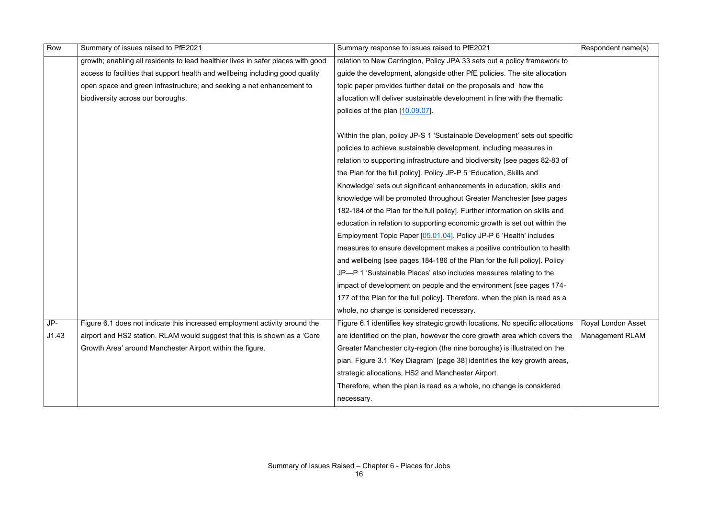| Row   | Summary of issues raised to PfE2021                                              | Summary response to issues raised to PfE2021                                  | Respondent name(s)     |
|-------|----------------------------------------------------------------------------------|-------------------------------------------------------------------------------|------------------------|
|       | growth; enabling all residents to lead healthier lives in safer places with good | relation to New Carrington, Policy JPA 33 sets out a policy framework to      |                        |
|       | access to facilities that support health and wellbeing including good quality    | guide the development, alongside other PfE policies. The site allocation      |                        |
|       | open space and green infrastructure; and seeking a net enhancement to            | topic paper provides further detail on the proposals and how the              |                        |
|       | biodiversity across our boroughs.                                                | allocation will deliver sustainable development in line with the thematic     |                        |
|       |                                                                                  | policies of the plan [10.09.07].                                              |                        |
|       |                                                                                  |                                                                               |                        |
|       |                                                                                  | Within the plan, policy JP-S 1 'Sustainable Development' sets out specific    |                        |
|       |                                                                                  | policies to achieve sustainable development, including measures in            |                        |
|       |                                                                                  | relation to supporting infrastructure and biodiversity [see pages 82-83 of    |                        |
|       |                                                                                  | the Plan for the full policy]. Policy JP-P 5 'Education, Skills and           |                        |
|       |                                                                                  | Knowledge' sets out significant enhancements in education, skills and         |                        |
|       |                                                                                  | knowledge will be promoted throughout Greater Manchester [see pages           |                        |
|       |                                                                                  | 182-184 of the Plan for the full policy]. Further information on skills and   |                        |
|       |                                                                                  | education in relation to supporting economic growth is set out within the     |                        |
|       |                                                                                  | Employment Topic Paper [05.01.04]. Policy JP-P 6 'Health' includes            |                        |
|       |                                                                                  | measures to ensure development makes a positive contribution to health        |                        |
|       |                                                                                  | and wellbeing [see pages 184-186 of the Plan for the full policy]. Policy     |                        |
|       |                                                                                  | JP-P 1 'Sustainable Places' also includes measures relating to the            |                        |
|       |                                                                                  | impact of development on people and the environment [see pages 174-           |                        |
|       |                                                                                  | 177 of the Plan for the full policy]. Therefore, when the plan is read as a   |                        |
|       |                                                                                  | whole, no change is considered necessary.                                     |                        |
| JP-   | Figure 6.1 does not indicate this increased employment activity around the       | Figure 6.1 identifies key strategic growth locations. No specific allocations | Royal London Asset     |
| J1.43 | airport and HS2 station. RLAM would suggest that this is shown as a 'Core'       | are identified on the plan, however the core growth area which covers the     | <b>Management RLAM</b> |
|       | Growth Area' around Manchester Airport within the figure.                        | Greater Manchester city-region (the nine boroughs) is illustrated on the      |                        |
|       |                                                                                  | plan. Figure 3.1 'Key Diagram' [page 38] identifies the key growth areas,     |                        |
|       |                                                                                  | strategic allocations, HS2 and Manchester Airport.                            |                        |
|       |                                                                                  | Therefore, when the plan is read as a whole, no change is considered          |                        |
|       |                                                                                  | necessary.                                                                    |                        |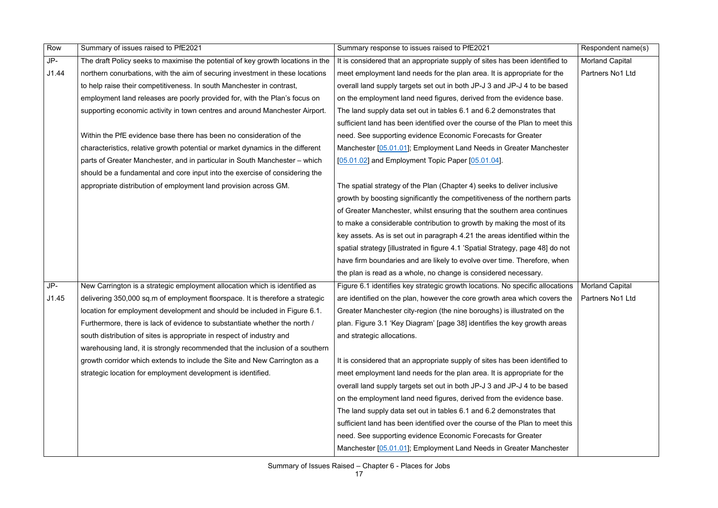| Row   | Summary of issues raised to PfE2021                                             | Summary response to issues raised to PfE2021                                   | Respondent name(s)     |
|-------|---------------------------------------------------------------------------------|--------------------------------------------------------------------------------|------------------------|
| JP-   | The draft Policy seeks to maximise the potential of key growth locations in the | It is considered that an appropriate supply of sites has been identified to    | <b>Morland Capital</b> |
| J1.44 | northern conurbations, with the aim of securing investment in these locations   | meet employment land needs for the plan area. It is appropriate for the        | Partners No1 Ltd       |
|       | to help raise their competitiveness. In south Manchester in contrast,           | overall land supply targets set out in both JP-J 3 and JP-J 4 to be based      |                        |
|       | employment land releases are poorly provided for, with the Plan's focus on      | on the employment land need figures, derived from the evidence base.           |                        |
|       | supporting economic activity in town centres and around Manchester Airport.     | The land supply data set out in tables 6.1 and 6.2 demonstrates that           |                        |
|       |                                                                                 | sufficient land has been identified over the course of the Plan to meet this   |                        |
|       | Within the PfE evidence base there has been no consideration of the             | need. See supporting evidence Economic Forecasts for Greater                   |                        |
|       | characteristics, relative growth potential or market dynamics in the different  | Manchester [05.01.01]; Employment Land Needs in Greater Manchester             |                        |
|       | parts of Greater Manchester, and in particular in South Manchester – which      | [05.01.02] and Employment Topic Paper [05.01.04].                              |                        |
|       | should be a fundamental and core input into the exercise of considering the     |                                                                                |                        |
|       | appropriate distribution of employment land provision across GM.                | The spatial strategy of the Plan (Chapter 4) seeks to deliver inclusive        |                        |
|       |                                                                                 | growth by boosting significantly the competitiveness of the northern parts     |                        |
|       |                                                                                 | of Greater Manchester, whilst ensuring that the southern area continues        |                        |
|       |                                                                                 | to make a considerable contribution to growth by making the most of its        |                        |
|       |                                                                                 | key assets. As is set out in paragraph 4.21 the areas identified within the    |                        |
|       |                                                                                 | spatial strategy [illustrated in figure 4.1 'Spatial Strategy, page 48] do not |                        |
|       |                                                                                 | have firm boundaries and are likely to evolve over time. Therefore, when       |                        |
|       |                                                                                 | the plan is read as a whole, no change is considered necessary.                |                        |
| JP-   | New Carrington is a strategic employment allocation which is identified as      | Figure 6.1 identifies key strategic growth locations. No specific allocations  | <b>Morland Capital</b> |
| J1.45 | delivering 350,000 sq.m of employment floorspace. It is therefore a strategic   | are identified on the plan, however the core growth area which covers the      | Partners No1 Ltd       |
|       | location for employment development and should be included in Figure 6.1.       | Greater Manchester city-region (the nine boroughs) is illustrated on the       |                        |
|       | Furthermore, there is lack of evidence to substantiate whether the north /      | plan. Figure 3.1 'Key Diagram' [page 38] identifies the key growth areas       |                        |
|       | south distribution of sites is appropriate in respect of industry and           | and strategic allocations.                                                     |                        |
|       | warehousing land, it is strongly recommended that the inclusion of a southern   |                                                                                |                        |
|       | growth corridor which extends to include the Site and New Carrington as a       | It is considered that an appropriate supply of sites has been identified to    |                        |
|       | strategic location for employment development is identified.                    | meet employment land needs for the plan area. It is appropriate for the        |                        |
|       |                                                                                 | overall land supply targets set out in both JP-J 3 and JP-J 4 to be based      |                        |
|       |                                                                                 | on the employment land need figures, derived from the evidence base.           |                        |
|       |                                                                                 | The land supply data set out in tables 6.1 and 6.2 demonstrates that           |                        |
|       |                                                                                 | sufficient land has been identified over the course of the Plan to meet this   |                        |
|       |                                                                                 | need. See supporting evidence Economic Forecasts for Greater                   |                        |
|       |                                                                                 | Manchester [05.01.01]; Employment Land Needs in Greater Manchester             |                        |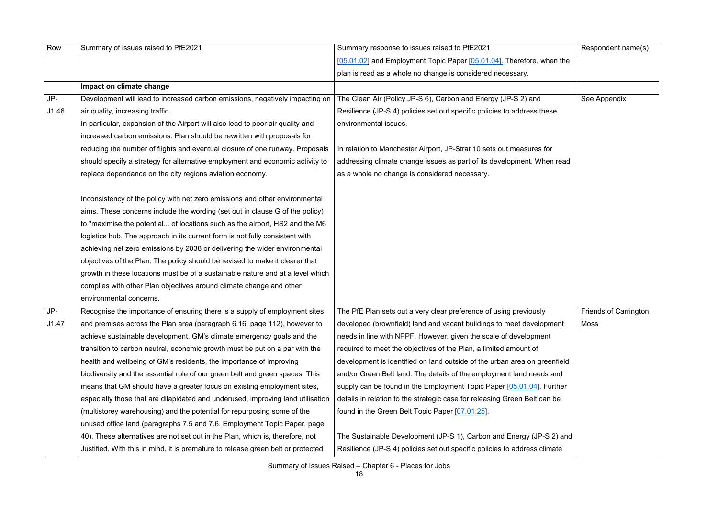| Row   | Summary of issues raised to PfE2021                                              | Summary response to issues raised to PfE2021                              | Respondent name(s)           |
|-------|----------------------------------------------------------------------------------|---------------------------------------------------------------------------|------------------------------|
|       |                                                                                  | [05.01.02] and Employment Topic Paper [05.01.04]. Therefore, when the     |                              |
|       |                                                                                  | plan is read as a whole no change is considered necessary.                |                              |
|       | Impact on climate change                                                         |                                                                           |                              |
| JP-   | Development will lead to increased carbon emissions, negatively impacting on     | The Clean Air (Policy JP-S 6), Carbon and Energy (JP-S 2) and             | See Appendix                 |
| J1.46 | air quality, increasing traffic.                                                 | Resilience (JP-S 4) policies set out specific policies to address these   |                              |
|       | In particular, expansion of the Airport will also lead to poor air quality and   | environmental issues.                                                     |                              |
|       | increased carbon emissions. Plan should be rewritten with proposals for          |                                                                           |                              |
|       | reducing the number of flights and eventual closure of one runway. Proposals     | In relation to Manchester Airport, JP-Strat 10 sets out measures for      |                              |
|       | should specify a strategy for alternative employment and economic activity to    | addressing climate change issues as part of its development. When read    |                              |
|       | replace dependance on the city regions aviation economy.                         | as a whole no change is considered necessary.                             |                              |
|       | Inconsistency of the policy with net zero emissions and other environmental      |                                                                           |                              |
|       | aims. These concerns include the wording (set out in clause G of the policy)     |                                                                           |                              |
|       | to "maximise the potential of locations such as the airport, HS2 and the M6      |                                                                           |                              |
|       | logistics hub. The approach in its current form is not fully consistent with     |                                                                           |                              |
|       | achieving net zero emissions by 2038 or delivering the wider environmental       |                                                                           |                              |
|       | objectives of the Plan. The policy should be revised to make it clearer that     |                                                                           |                              |
|       | growth in these locations must be of a sustainable nature and at a level which   |                                                                           |                              |
|       | complies with other Plan objectives around climate change and other              |                                                                           |                              |
|       | environmental concerns.                                                          |                                                                           |                              |
| JP-   | Recognise the importance of ensuring there is a supply of employment sites       | The PfE Plan sets out a very clear preference of using previously         | <b>Friends of Carrington</b> |
| J1.47 | and premises across the Plan area (paragraph 6.16, page 112), however to         | developed (brownfield) land and vacant buildings to meet development      | Moss                         |
|       | achieve sustainable development, GM's climate emergency goals and the            | needs in line with NPPF. However, given the scale of development          |                              |
|       | transition to carbon neutral, economic growth must be put on a par with the      | required to meet the objectives of the Plan, a limited amount of          |                              |
|       | health and wellbeing of GM's residents, the importance of improving              | development is identified on land outside of the urban area on greenfield |                              |
|       | biodiversity and the essential role of our green belt and green spaces. This     | and/or Green Belt land. The details of the employment land needs and      |                              |
|       | means that GM should have a greater focus on existing employment sites,          | supply can be found in the Employment Topic Paper [05.01.04]. Further     |                              |
|       | especially those that are dilapidated and underused, improving land utilisation  | details in relation to the strategic case for releasing Green Belt can be |                              |
|       | (multistorey warehousing) and the potential for repurposing some of the          | found in the Green Belt Topic Paper [07.01.25].                           |                              |
|       | unused office land (paragraphs 7.5 and 7.6, Employment Topic Paper, page         |                                                                           |                              |
|       | 40). These alternatives are not set out in the Plan, which is, therefore, not    | The Sustainable Development (JP-S 1), Carbon and Energy (JP-S 2) and      |                              |
|       | Justified. With this in mind, it is premature to release green belt or protected | Resilience (JP-S 4) policies set out specific policies to address climate |                              |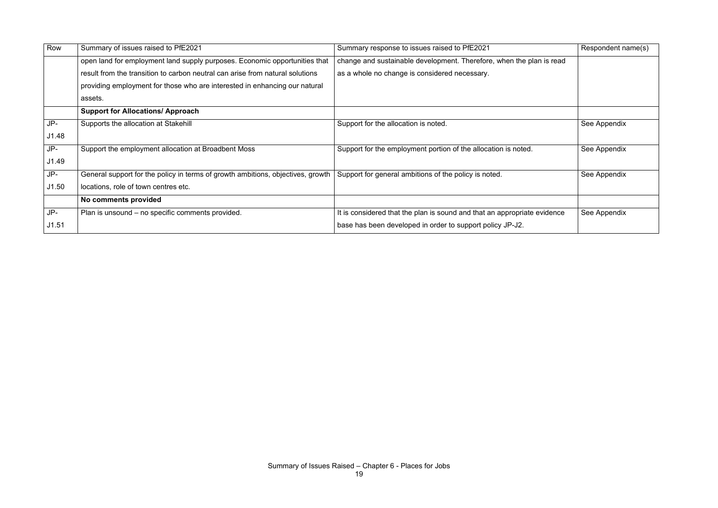| Row   | Summary of issues raised to PfE2021                                             | Summary response to issues raised to PfE2021                             | Respondent name(s) |
|-------|---------------------------------------------------------------------------------|--------------------------------------------------------------------------|--------------------|
|       | open land for employment land supply purposes. Economic opportunities that      | change and sustainable development. Therefore, when the plan is read     |                    |
|       | result from the transition to carbon neutral can arise from natural solutions   | as a whole no change is considered necessary.                            |                    |
|       | providing employment for those who are interested in enhancing our natural      |                                                                          |                    |
|       | assets.                                                                         |                                                                          |                    |
|       | <b>Support for Allocations/ Approach</b>                                        |                                                                          |                    |
| JP-   | Supports the allocation at Stakehill                                            | Support for the allocation is noted.                                     | See Appendix       |
| J1.48 |                                                                                 |                                                                          |                    |
| JP-   | Support the employment allocation at Broadbent Moss                             | Support for the employment portion of the allocation is noted.           | See Appendix       |
| J1.49 |                                                                                 |                                                                          |                    |
| JP-   | General support for the policy in terms of growth ambitions, objectives, growth | Support for general ambitions of the policy is noted.                    | See Appendix       |
| J1.50 | locations, role of town centres etc.                                            |                                                                          |                    |
|       | No comments provided                                                            |                                                                          |                    |
| JP-   | Plan is unsound – no specific comments provided.                                | It is considered that the plan is sound and that an appropriate evidence | See Appendix       |
| J1.51 |                                                                                 | base has been developed in order to support policy JP-J2.                |                    |
|       |                                                                                 |                                                                          |                    |

|                | Respondent name(s) |
|----------------|--------------------|
| is read        |                    |
|                |                    |
|                | See Appendix       |
|                | See Appendix       |
|                | See Appendix       |
|                |                    |
| <i>i</i> dence | See Appendix       |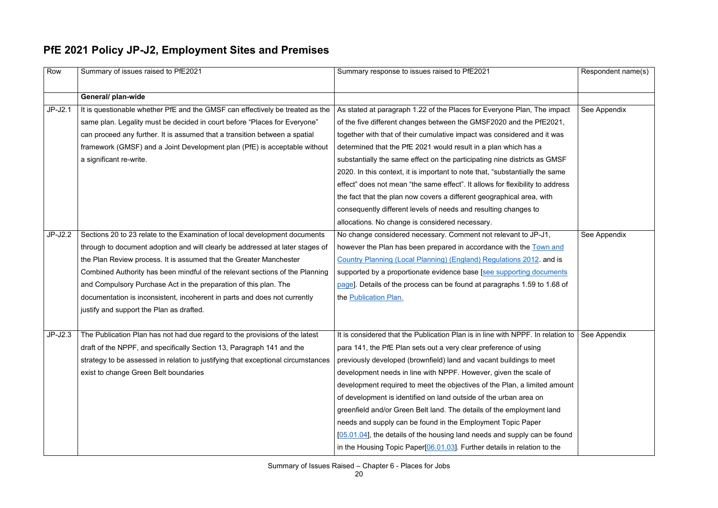## **PfE 2021 Policy JP-J2, Employment Sites and Premises**

| Row       | Summary of issues raised to PfE2021                                              | Summary response to issues raised to PfE2021                                                   | Respondent name(s) |
|-----------|----------------------------------------------------------------------------------|------------------------------------------------------------------------------------------------|--------------------|
|           | General/ plan-wide                                                               |                                                                                                |                    |
| $JP-J2.1$ | It is questionable whether PfE and the GMSF can effectively be treated as the    | As stated at paragraph 1.22 of the Places for Everyone Plan, The impact                        | See Appendix       |
|           | same plan. Legality must be decided in court before "Places for Everyone"        | of the five different changes between the GMSF2020 and the PfE2021,                            |                    |
|           | can proceed any further. It is assumed that a transition between a spatial       | together with that of their cumulative impact was considered and it was                        |                    |
|           | framework (GMSF) and a Joint Development plan (PfE) is acceptable without        | determined that the PfE 2021 would result in a plan which has a                                |                    |
|           | a significant re-write.                                                          | substantially the same effect on the participating nine districts as GMSF                      |                    |
|           |                                                                                  | 2020. In this context, it is important to note that, "substantially the same                   |                    |
|           |                                                                                  | effect" does not mean "the same effect". It allows for flexibility to address                  |                    |
|           |                                                                                  | the fact that the plan now covers a different geographical area, with                          |                    |
|           |                                                                                  | consequently different levels of needs and resulting changes to                                |                    |
|           |                                                                                  | allocations. No change is considered necessary.                                                |                    |
| $JP-J2.2$ | Sections 20 to 23 relate to the Examination of local development documents       | No change considered necessary. Comment not relevant to JP-J1,                                 | See Appendix       |
|           | through to document adoption and will clearly be addressed at later stages of    | however the Plan has been prepared in accordance with the Town and                             |                    |
|           | the Plan Review process. It is assumed that the Greater Manchester               | Country Planning (Local Planning) (England) Regulations 2012. and is                           |                    |
|           | Combined Authority has been mindful of the relevant sections of the Planning     | supported by a proportionate evidence base [see supporting documents                           |                    |
|           | and Compulsory Purchase Act in the preparation of this plan. The                 | page]. Details of the process can be found at paragraphs 1.59 to 1.68 of                       |                    |
|           | documentation is inconsistent, incoherent in parts and does not currently        | the Publication Plan.                                                                          |                    |
|           | justify and support the Plan as drafted.                                         |                                                                                                |                    |
|           |                                                                                  |                                                                                                |                    |
| $JP-J2.3$ | The Publication Plan has not had due regard to the provisions of the latest      | It is considered that the Publication Plan is in line with NPPF. In relation to   See Appendix |                    |
|           | draft of the NPPF, and specifically Section 13, Paragraph 141 and the            | para 141, the PfE Plan sets out a very clear preference of using                               |                    |
|           | strategy to be assessed in relation to justifying that exceptional circumstances | previously developed (brownfield) land and vacant buildings to meet                            |                    |
|           | exist to change Green Belt boundaries                                            | development needs in line with NPPF. However, given the scale of                               |                    |
|           |                                                                                  | development required to meet the objectives of the Plan, a limited amount                      |                    |
|           |                                                                                  | of development is identified on land outside of the urban area on                              |                    |
|           |                                                                                  | greenfield and/or Green Belt land. The details of the employment land                          |                    |
|           |                                                                                  | needs and supply can be found in the Employment Topic Paper                                    |                    |
|           |                                                                                  | [05.01.04], the details of the housing land needs and supply can be found                      |                    |
|           |                                                                                  | in the Housing Topic Paper[06.01.03]. Further details in relation to the                       |                    |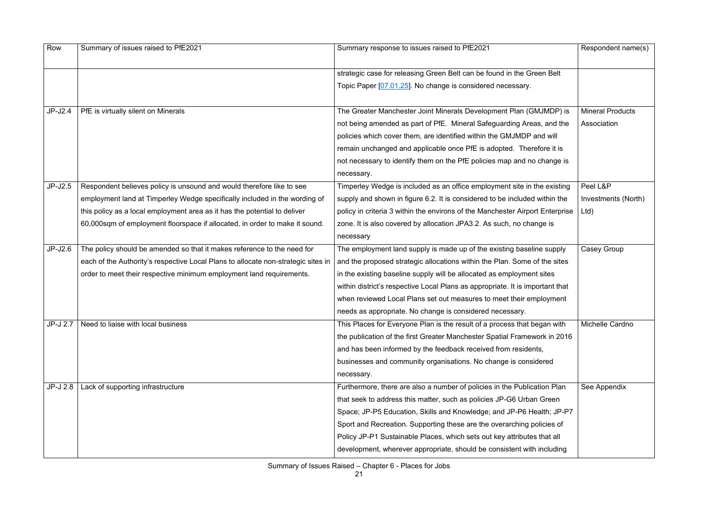| Row       | Summary of issues raised to PfE2021                                               | Summary response to issues raised to PfE2021                                  | Respondent name(s)      |
|-----------|-----------------------------------------------------------------------------------|-------------------------------------------------------------------------------|-------------------------|
|           |                                                                                   | strategic case for releasing Green Belt can be found in the Green Belt        |                         |
|           |                                                                                   | Topic Paper [07.01.25]. No change is considered necessary.                    |                         |
| $JP-J2.4$ | PfE is virtually silent on Minerals                                               | The Greater Manchester Joint Minerals Development Plan (GMJMDP) is            | <b>Mineral Products</b> |
|           |                                                                                   | not being amended as part of PfE. Mineral Safeguarding Areas, and the         | Association             |
|           |                                                                                   | policies which cover them, are identified within the GMJMDP and will          |                         |
|           |                                                                                   | remain unchanged and applicable once PfE is adopted. Therefore it is          |                         |
|           |                                                                                   | not necessary to identify them on the PfE policies map and no change is       |                         |
|           |                                                                                   | necessary.                                                                    |                         |
| $JP-J2.5$ | Respondent believes policy is unsound and would therefore like to see             | Timperley Wedge is included as an office employment site in the existing      | Peel L&P                |
|           | employment land at Timperley Wedge specifically included in the wording of        | supply and shown in figure 6.2. It is considered to be included within the    | Investments (North)     |
|           | this policy as a local employment area as it has the potential to deliver         | policy in criteria 3 within the environs of the Manchester Airport Enterprise | Ltd)                    |
|           | 60,000sqm of employment floorspace if allocated, in order to make it sound.       | zone. It is also covered by allocation JPA3.2. As such, no change is          |                         |
|           |                                                                                   | necessary                                                                     |                         |
| $JP-J2.6$ | The policy should be amended so that it makes reference to the need for           | The employment land supply is made up of the existing baseline supply         | Casey Group             |
|           | each of the Authority's respective Local Plans to allocate non-strategic sites in | and the proposed strategic allocations within the Plan. Some of the sites     |                         |
|           | order to meet their respective minimum employment land requirements.              | in the existing baseline supply will be allocated as employment sites         |                         |
|           |                                                                                   | within district's respective Local Plans as appropriate. It is important that |                         |
|           |                                                                                   | when reviewed Local Plans set out measures to meet their employment           |                         |
|           |                                                                                   | needs as appropriate. No change is considered necessary.                      |                         |
| JP-J 2.7  | Need to liaise with local business                                                | This Places for Everyone Plan is the result of a process that began with      | Michelle Cardno         |
|           |                                                                                   | the publication of the first Greater Manchester Spatial Framework in 2016     |                         |
|           |                                                                                   | and has been informed by the feedback received from residents,                |                         |
|           |                                                                                   | businesses and community organisations. No change is considered               |                         |
|           |                                                                                   | necessary.                                                                    |                         |
| JP-J 2.8  | Lack of supporting infrastructure                                                 | Furthermore, there are also a number of policies in the Publication Plan      | See Appendix            |
|           |                                                                                   | that seek to address this matter, such as policies JP-G6 Urban Green          |                         |
|           |                                                                                   | Space; JP-P5 Education, Skills and Knowledge; and JP-P6 Health; JP-P7         |                         |
|           |                                                                                   | Sport and Recreation. Supporting these are the overarching policies of        |                         |
|           |                                                                                   | Policy JP-P1 Sustainable Places, which sets out key attributes that all       |                         |
|           |                                                                                   | development, wherever appropriate, should be consistent with including        |                         |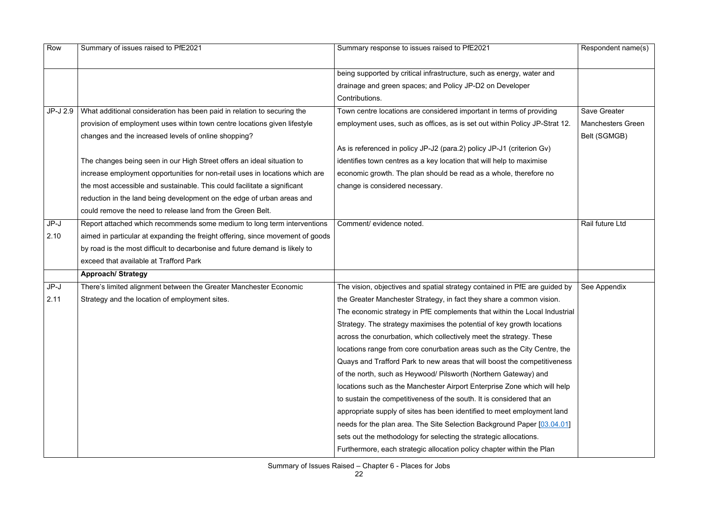| Row      | Summary of issues raised to PfE2021                                            | Summary response to issues raised to PfE2021                               | Respondent name(s)       |
|----------|--------------------------------------------------------------------------------|----------------------------------------------------------------------------|--------------------------|
|          |                                                                                |                                                                            |                          |
|          |                                                                                | being supported by critical infrastructure, such as energy, water and      |                          |
|          |                                                                                | drainage and green spaces; and Policy JP-D2 on Developer                   |                          |
|          |                                                                                | Contributions.                                                             |                          |
| JP-J 2.9 | What additional consideration has been paid in relation to securing the        | Town centre locations are considered important in terms of providing       | <b>Save Greater</b>      |
|          | provision of employment uses within town centre locations given lifestyle      | employment uses, such as offices, as is set out within Policy JP-Strat 12. | <b>Manchesters Green</b> |
|          | changes and the increased levels of online shopping?                           |                                                                            | Belt (SGMGB)             |
|          |                                                                                | As is referenced in policy JP-J2 (para.2) policy JP-J1 (criterion Gv)      |                          |
|          | The changes being seen in our High Street offers an ideal situation to         | identifies town centres as a key location that will help to maximise       |                          |
|          | increase employment opportunities for non-retail uses in locations which are   | economic growth. The plan should be read as a whole, therefore no          |                          |
|          | the most accessible and sustainable. This could facilitate a significant       | change is considered necessary.                                            |                          |
|          | reduction in the land being development on the edge of urban areas and         |                                                                            |                          |
|          | could remove the need to release land from the Green Belt.                     |                                                                            |                          |
| JP-J     | Report attached which recommends some medium to long term interventions        | Comment/ evidence noted.                                                   | Rail future Ltd          |
| 2.10     | aimed in particular at expanding the freight offering, since movement of goods |                                                                            |                          |
|          | by road is the most difficult to decarbonise and future demand is likely to    |                                                                            |                          |
|          | exceed that available at Trafford Park                                         |                                                                            |                          |
|          | <b>Approach/ Strategy</b>                                                      |                                                                            |                          |
| JP-J     | There's limited alignment between the Greater Manchester Economic              | The vision, objectives and spatial strategy contained in PfE are guided by | See Appendix             |
| 2.11     | Strategy and the location of employment sites.                                 | the Greater Manchester Strategy, in fact they share a common vision.       |                          |
|          |                                                                                | The economic strategy in PfE complements that within the Local Industrial  |                          |
|          |                                                                                | Strategy. The strategy maximises the potential of key growth locations     |                          |
|          |                                                                                | across the conurbation, which collectively meet the strategy. These        |                          |
|          |                                                                                | locations range from core conurbation areas such as the City Centre, the   |                          |
|          |                                                                                | Quays and Trafford Park to new areas that will boost the competitiveness   |                          |
|          |                                                                                | of the north, such as Heywood/ Pilsworth (Northern Gateway) and            |                          |
|          |                                                                                | locations such as the Manchester Airport Enterprise Zone which will help   |                          |
|          |                                                                                | to sustain the competitiveness of the south. It is considered that an      |                          |
|          |                                                                                | appropriate supply of sites has been identified to meet employment land    |                          |
|          |                                                                                | needs for the plan area. The Site Selection Background Paper [03.04.01]    |                          |
|          |                                                                                | sets out the methodology for selecting the strategic allocations.          |                          |
|          |                                                                                | Furthermore, each strategic allocation policy chapter within the Plan      |                          |
|          |                                                                                |                                                                            |                          |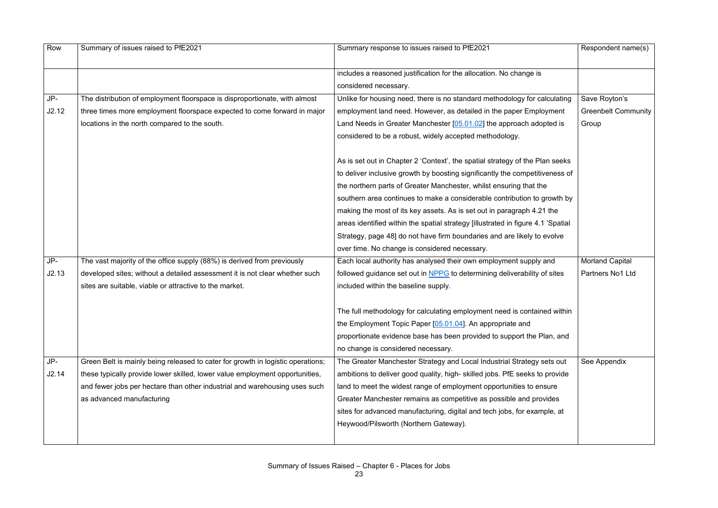| Row   | Summary of issues raised to PfE2021                                             | Summary response to issues raised to PfE2021                                     | Respondent name(s)         |
|-------|---------------------------------------------------------------------------------|----------------------------------------------------------------------------------|----------------------------|
|       |                                                                                 | includes a reasoned justification for the allocation. No change is               |                            |
|       |                                                                                 | considered necessary.                                                            |                            |
| JP-   | The distribution of employment floorspace is disproportionate, with almost      | Unlike for housing need, there is no standard methodology for calculating        | Save Royton's              |
| J2.12 | three times more employment floorspace expected to come forward in major        | employment land need. However, as detailed in the paper Employment               | <b>Greenbelt Community</b> |
|       | locations in the north compared to the south.                                   | Land Needs in Greater Manchester [05.01.02] the approach adopted is              | Group                      |
|       |                                                                                 | considered to be a robust, widely accepted methodology.                          |                            |
|       |                                                                                 | As is set out in Chapter 2 'Context', the spatial strategy of the Plan seeks     |                            |
|       |                                                                                 | to deliver inclusive growth by boosting significantly the competitiveness of     |                            |
|       |                                                                                 | the northern parts of Greater Manchester, whilst ensuring that the               |                            |
|       |                                                                                 | southern area continues to make a considerable contribution to growth by         |                            |
|       |                                                                                 | making the most of its key assets. As is set out in paragraph 4.21 the           |                            |
|       |                                                                                 | areas identified within the spatial strategy [illustrated in figure 4.1 'Spatial |                            |
|       |                                                                                 | Strategy, page 48] do not have firm boundaries and are likely to evolve          |                            |
|       |                                                                                 | over time. No change is considered necessary.                                    |                            |
| JP-   | The vast majority of the office supply (88%) is derived from previously         | Each local authority has analysed their own employment supply and                | <b>Morland Capital</b>     |
| J2.13 | developed sites; without a detailed assessment it is not clear whether such     | followed guidance set out in NPPG to determining deliverability of sites         | Partners No1 Ltd           |
|       | sites are suitable, viable or attractive to the market.                         | included within the baseline supply.                                             |                            |
|       |                                                                                 | The full methodology for calculating employment need is contained within         |                            |
|       |                                                                                 | the Employment Topic Paper [05.01.04]. An appropriate and                        |                            |
|       |                                                                                 | proportionate evidence base has been provided to support the Plan, and           |                            |
|       |                                                                                 | no change is considered necessary.                                               |                            |
| JP-   | Green Belt is mainly being released to cater for growth in logistic operations; | The Greater Manchester Strategy and Local Industrial Strategy sets out           | See Appendix               |
| J2.14 | these typically provide lower skilled, lower value employment opportunities,    | ambitions to deliver good quality, high- skilled jobs. PfE seeks to provide      |                            |
|       | and fewer jobs per hectare than other industrial and warehousing uses such      | land to meet the widest range of employment opportunities to ensure              |                            |
|       | as advanced manufacturing                                                       | Greater Manchester remains as competitive as possible and provides               |                            |
|       |                                                                                 | sites for advanced manufacturing, digital and tech jobs, for example, at         |                            |
|       |                                                                                 | Heywood/Pilsworth (Northern Gateway).                                            |                            |
|       |                                                                                 |                                                                                  |                            |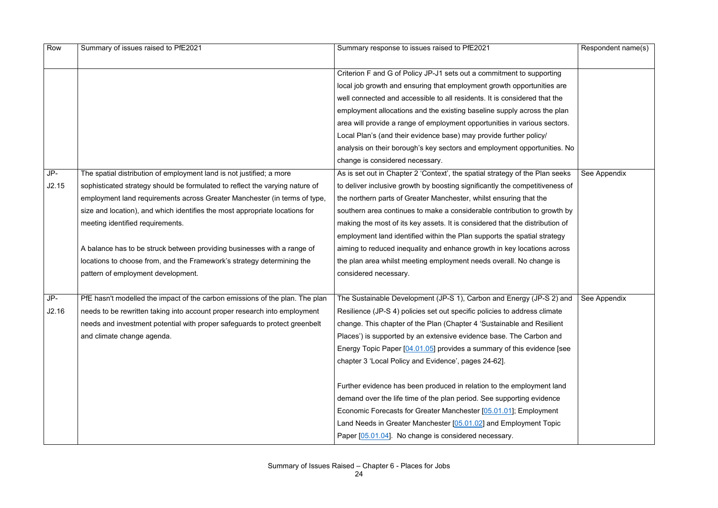| Row   | Summary of issues raised to PfE2021                                          | Summary response to issues raised to PfE2021                                 | Respondent name(s) |
|-------|------------------------------------------------------------------------------|------------------------------------------------------------------------------|--------------------|
|       |                                                                              | Criterion F and G of Policy JP-J1 sets out a commitment to supporting        |                    |
|       |                                                                              | local job growth and ensuring that employment growth opportunities are       |                    |
|       |                                                                              | well connected and accessible to all residents. It is considered that the    |                    |
|       |                                                                              | employment allocations and the existing baseline supply across the plan      |                    |
|       |                                                                              | area will provide a range of employment opportunities in various sectors.    |                    |
|       |                                                                              | Local Plan's (and their evidence base) may provide further policy/           |                    |
|       |                                                                              | analysis on their borough's key sectors and employment opportunities. No     |                    |
|       |                                                                              | change is considered necessary.                                              |                    |
| JP-   | The spatial distribution of employment land is not justified; a more         | As is set out in Chapter 2 'Context', the spatial strategy of the Plan seeks | See Appendix       |
| J2.15 | sophisticated strategy should be formulated to reflect the varying nature of | to deliver inclusive growth by boosting significantly the competitiveness of |                    |
|       | employment land requirements across Greater Manchester (in terms of type,    | the northern parts of Greater Manchester, whilst ensuring that the           |                    |
|       | size and location), and which identifies the most appropriate locations for  | southern area continues to make a considerable contribution to growth by     |                    |
|       | meeting identified requirements.                                             | making the most of its key assets. It is considered that the distribution of |                    |
|       |                                                                              | employment land identified within the Plan supports the spatial strategy     |                    |
|       | A balance has to be struck between providing businesses with a range of      | aiming to reduced inequality and enhance growth in key locations across      |                    |
|       | locations to choose from, and the Framework's strategy determining the       | the plan area whilst meeting employment needs overall. No change is          |                    |
|       | pattern of employment development.                                           | considered necessary.                                                        |                    |
|       |                                                                              |                                                                              |                    |
| JP-   | PfE hasn't modelled the impact of the carbon emissions of the plan. The plan | The Sustainable Development (JP-S 1), Carbon and Energy (JP-S 2) and         | See Appendix       |
| J2.16 | needs to be rewritten taking into account proper research into employment    | Resilience (JP-S 4) policies set out specific policies to address climate    |                    |
|       | needs and investment potential with proper safeguards to protect greenbelt   | change. This chapter of the Plan (Chapter 4 'Sustainable and Resilient       |                    |
|       | and climate change agenda.                                                   | Places') is supported by an extensive evidence base. The Carbon and          |                    |
|       |                                                                              | Energy Topic Paper [04.01.05] provides a summary of this evidence [see       |                    |
|       |                                                                              | chapter 3 'Local Policy and Evidence', pages 24-62].                         |                    |
|       |                                                                              | Further evidence has been produced in relation to the employment land        |                    |
|       |                                                                              | demand over the life time of the plan period. See supporting evidence        |                    |
|       |                                                                              | Economic Forecasts for Greater Manchester [05.01.01]; Employment             |                    |
|       |                                                                              | Land Needs in Greater Manchester [05.01.02] and Employment Topic             |                    |
|       |                                                                              | Paper [05.01.04]. No change is considered necessary.                         |                    |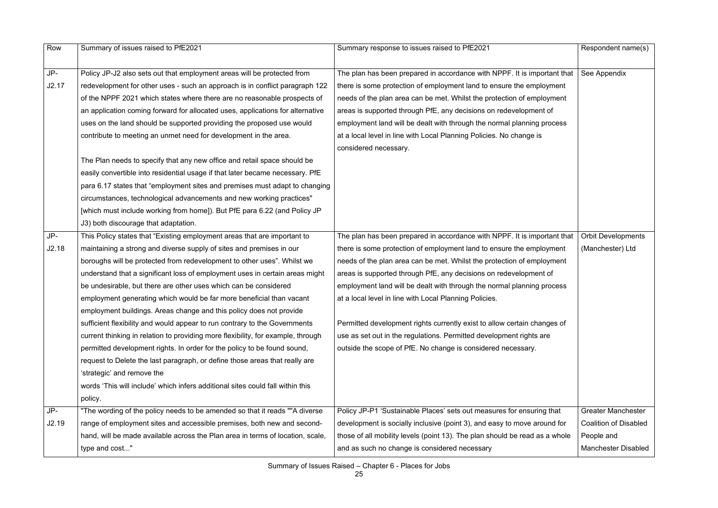| Row   | Summary of issues raised to PfE2021                                              | Summary response to issues raised to PfE2021                                | Respondent name(s)           |
|-------|----------------------------------------------------------------------------------|-----------------------------------------------------------------------------|------------------------------|
|       |                                                                                  |                                                                             |                              |
| JP-   | Policy JP-J2 also sets out that employment areas will be protected from          | The plan has been prepared in accordance with NPPF. It is important that    | See Appendix                 |
| J2.17 | redevelopment for other uses - such an approach is in conflict paragraph 122     | there is some protection of employment land to ensure the employment        |                              |
|       | of the NPPF 2021 which states where there are no reasonable prospects of         | needs of the plan area can be met. Whilst the protection of employment      |                              |
|       | an application coming forward for allocated uses, applications for alternative   | areas is supported through PfE, any decisions on redevelopment of           |                              |
|       | uses on the land should be supported providing the proposed use would            | employment land will be dealt with through the normal planning process      |                              |
|       | contribute to meeting an unmet need for development in the area.                 | at a local level in line with Local Planning Policies. No change is         |                              |
|       |                                                                                  | considered necessary.                                                       |                              |
|       | The Plan needs to specify that any new office and retail space should be         |                                                                             |                              |
|       | easily convertible into residential usage if that later became necessary. PfE    |                                                                             |                              |
|       | para 6.17 states that "employment sites and premises must adapt to changing      |                                                                             |                              |
|       | circumstances, technological advancements and new working practices"             |                                                                             |                              |
|       | [which must include working from home]). But PfE para 6.22 (and Policy JP        |                                                                             |                              |
|       | J3) both discourage that adaptation.                                             |                                                                             |                              |
| JP-   | This Policy states that "Existing employment areas that are important to         | The plan has been prepared in accordance with NPPF. It is important that    | <b>Orbit Developments</b>    |
| J2.18 | maintaining a strong and diverse supply of sites and premises in our             | there is some protection of employment land to ensure the employment        | (Manchester) Ltd             |
|       | boroughs will be protected from redevelopment to other uses". Whilst we          | needs of the plan area can be met. Whilst the protection of employment      |                              |
|       | understand that a significant loss of employment uses in certain areas might     | areas is supported through PfE, any decisions on redevelopment of           |                              |
|       | be undesirable, but there are other uses which can be considered                 | employment land will be dealt with through the normal planning process      |                              |
|       | employment generating which would be far more beneficial than vacant             | at a local level in line with Local Planning Policies.                      |                              |
|       | employment buildings. Areas change and this policy does not provide              |                                                                             |                              |
|       | sufficient flexibility and would appear to run contrary to the Governments       | Permitted development rights currently exist to allow certain changes of    |                              |
|       | current thinking in relation to providing more flexibility, for example, through | use as set out in the regulations. Permitted development rights are         |                              |
|       | permitted development rights. In order for the policy to be found sound,         | outside the scope of PfE. No change is considered necessary.                |                              |
|       | request to Delete the last paragraph, or define those areas that really are      |                                                                             |                              |
|       | 'strategic' and remove the                                                       |                                                                             |                              |
|       | words 'This will include' which infers additional sites could fall within this   |                                                                             |                              |
|       | policy.                                                                          |                                                                             |                              |
| JP-   | "The wording of the policy needs to be amended so that it reads ""A diverse      | Policy JP-P1 'Sustainable Places' sets out measures for ensuring that       | <b>Greater Manchester</b>    |
| J2.19 | range of employment sites and accessible premises, both new and second-          | development is socially inclusive (point 3), and easy to move around for    | <b>Coalition of Disabled</b> |
|       | hand, will be made available across the Plan area in terms of location, scale,   | those of all mobility levels (point 13). The plan should be read as a whole | People and                   |
|       | type and cost"                                                                   | and as such no change is considered necessary                               | <b>Manchester Disabled</b>   |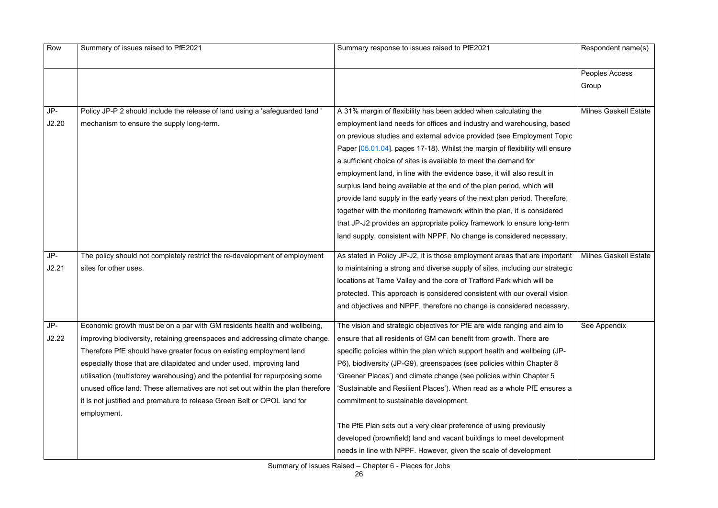| Row   | Summary of issues raised to PfE2021                                              | Summary response to issues raised to PfE2021                                 | Respondent name(s)           |
|-------|----------------------------------------------------------------------------------|------------------------------------------------------------------------------|------------------------------|
|       |                                                                                  |                                                                              | Peoples Access               |
|       |                                                                                  |                                                                              | Group                        |
|       |                                                                                  |                                                                              |                              |
| JP-   | Policy JP-P 2 should include the release of land using a 'safeguarded land'      | A 31% margin of flexibility has been added when calculating the              | <b>Milnes Gaskell Estate</b> |
| J2.20 | mechanism to ensure the supply long-term.                                        | employment land needs for offices and industry and warehousing, based        |                              |
|       |                                                                                  | on previous studies and external advice provided (see Employment Topic       |                              |
|       |                                                                                  | Paper [05.01.04]. pages 17-18). Whilst the margin of flexibility will ensure |                              |
|       |                                                                                  | a sufficient choice of sites is available to meet the demand for             |                              |
|       |                                                                                  | employment land, in line with the evidence base, it will also result in      |                              |
|       |                                                                                  | surplus land being available at the end of the plan period, which will       |                              |
|       |                                                                                  | provide land supply in the early years of the next plan period. Therefore,   |                              |
|       |                                                                                  | together with the monitoring framework within the plan, it is considered     |                              |
|       |                                                                                  | that JP-J2 provides an appropriate policy framework to ensure long-term      |                              |
|       |                                                                                  | land supply, consistent with NPPF. No change is considered necessary.        |                              |
| JP-   | The policy should not completely restrict the re-development of employment       | As stated in Policy JP-J2, it is those employment areas that are important   | <b>Milnes Gaskell Estate</b> |
| J2.21 | sites for other uses.                                                            | to maintaining a strong and diverse supply of sites, including our strategic |                              |
|       |                                                                                  | locations at Tame Valley and the core of Trafford Park which will be         |                              |
|       |                                                                                  | protected. This approach is considered consistent with our overall vision    |                              |
|       |                                                                                  | and objectives and NPPF, therefore no change is considered necessary.        |                              |
| JP-   | Economic growth must be on a par with GM residents health and wellbeing,         | The vision and strategic objectives for PfE are wide ranging and aim to      | See Appendix                 |
| J2.22 | improving biodiversity, retaining greenspaces and addressing climate change.     | ensure that all residents of GM can benefit from growth. There are           |                              |
|       | Therefore PfE should have greater focus on existing employment land              | specific policies within the plan which support health and wellbeing (JP-    |                              |
|       | especially those that are dilapidated and under used, improving land             | P6), biodiversity (JP-G9), greenspaces (see policies within Chapter 8        |                              |
|       | utilisation (multistorey warehousing) and the potential for repurposing some     | 'Greener Places') and climate change (see policies within Chapter 5          |                              |
|       | unused office land. These alternatives are not set out within the plan therefore | 'Sustainable and Resilient Places'). When read as a whole PfE ensures a      |                              |
|       | it is not justified and premature to release Green Belt or OPOL land for         | commitment to sustainable development.                                       |                              |
|       | employment.                                                                      |                                                                              |                              |
|       |                                                                                  | The PfE Plan sets out a very clear preference of using previously            |                              |
|       |                                                                                  | developed (brownfield) land and vacant buildings to meet development         |                              |
|       |                                                                                  | needs in line with NPPF. However, given the scale of development             |                              |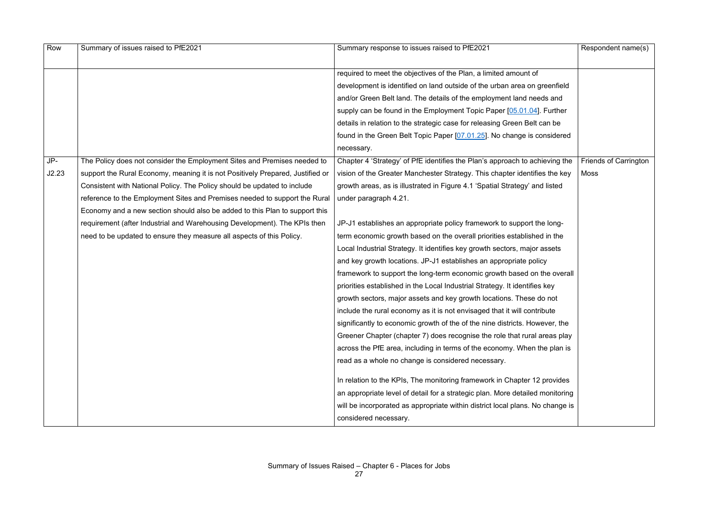| Row   | Summary of issues raised to PfE2021                                            | Summary response to issues raised to PfE2021                                  | Respondent name(s)           |
|-------|--------------------------------------------------------------------------------|-------------------------------------------------------------------------------|------------------------------|
|       |                                                                                |                                                                               |                              |
|       |                                                                                | required to meet the objectives of the Plan, a limited amount of              |                              |
|       |                                                                                | development is identified on land outside of the urban area on greenfield     |                              |
|       |                                                                                | and/or Green Belt land. The details of the employment land needs and          |                              |
|       |                                                                                | supply can be found in the Employment Topic Paper [05.01.04]. Further         |                              |
|       |                                                                                | details in relation to the strategic case for releasing Green Belt can be     |                              |
|       |                                                                                | found in the Green Belt Topic Paper [07.01.25]. No change is considered       |                              |
|       |                                                                                | necessary.                                                                    |                              |
| JP-   | The Policy does not consider the Employment Sites and Premises needed to       | Chapter 4 'Strategy' of PfE identifies the Plan's approach to achieving the   | <b>Friends of Carrington</b> |
| J2.23 | support the Rural Economy, meaning it is not Positively Prepared, Justified or | vision of the Greater Manchester Strategy. This chapter identifies the key    | Moss                         |
|       | Consistent with National Policy. The Policy should be updated to include       | growth areas, as is illustrated in Figure 4.1 'Spatial Strategy' and listed   |                              |
|       | reference to the Employment Sites and Premises needed to support the Rural     | under paragraph 4.21.                                                         |                              |
|       | Economy and a new section should also be added to this Plan to support this    |                                                                               |                              |
|       | requirement (after Industrial and Warehousing Development). The KPIs then      | JP-J1 establishes an appropriate policy framework to support the long-        |                              |
|       | need to be updated to ensure they measure all aspects of this Policy.          | term economic growth based on the overall priorities established in the       |                              |
|       |                                                                                | Local Industrial Strategy. It identifies key growth sectors, major assets     |                              |
|       |                                                                                | and key growth locations. JP-J1 establishes an appropriate policy             |                              |
|       |                                                                                | framework to support the long-term economic growth based on the overall       |                              |
|       |                                                                                | priorities established in the Local Industrial Strategy. It identifies key    |                              |
|       |                                                                                | growth sectors, major assets and key growth locations. These do not           |                              |
|       |                                                                                | include the rural economy as it is not envisaged that it will contribute      |                              |
|       |                                                                                | significantly to economic growth of the of the nine districts. However, the   |                              |
|       |                                                                                | Greener Chapter (chapter 7) does recognise the role that rural areas play     |                              |
|       |                                                                                | across the PfE area, including in terms of the economy. When the plan is      |                              |
|       |                                                                                | read as a whole no change is considered necessary.                            |                              |
|       |                                                                                | In relation to the KPIs, The monitoring framework in Chapter 12 provides      |                              |
|       |                                                                                | an appropriate level of detail for a strategic plan. More detailed monitoring |                              |
|       |                                                                                | will be incorporated as appropriate within district local plans. No change is |                              |
|       |                                                                                | considered necessary.                                                         |                              |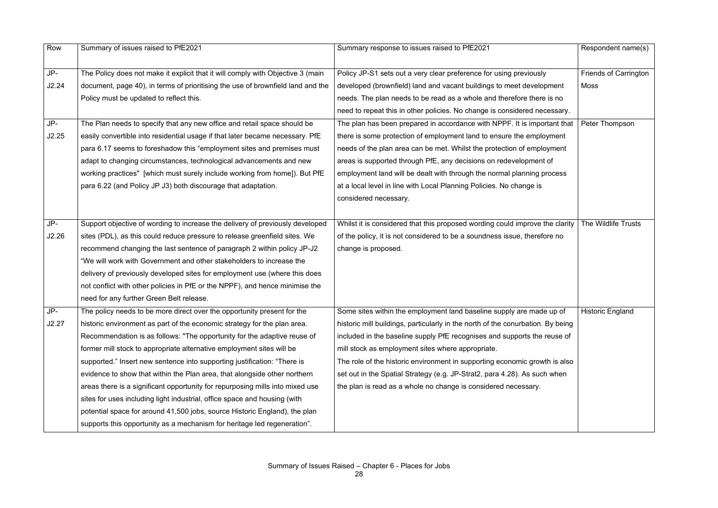| Row   | Summary of issues raised to PfE2021                                             | Summary response to issues raised to PfE2021                                    | Respondent name(s)           |
|-------|---------------------------------------------------------------------------------|---------------------------------------------------------------------------------|------------------------------|
|       |                                                                                 |                                                                                 |                              |
| JP-   | The Policy does not make it explicit that it will comply with Objective 3 (main | Policy JP-S1 sets out a very clear preference for using previously              | <b>Friends of Carrington</b> |
| J2.24 | document, page 40), in terms of prioritising the use of brownfield land and the | developed (brownfield) land and vacant buildings to meet development            | Moss                         |
|       | Policy must be updated to reflect this.                                         | needs. The plan needs to be read as a whole and therefore there is no           |                              |
|       |                                                                                 | need to repeat this in other policies. No change is considered necessary.       |                              |
| JP-   | The Plan needs to specify that any new office and retail space should be        | The plan has been prepared in accordance with NPPF. It is important that        | Peter Thompson               |
| J2.25 | easily convertible into residential usage if that later became necessary. PfE   | there is some protection of employment land to ensure the employment            |                              |
|       | para 6.17 seems to foreshadow this "employment sites and premises must          | needs of the plan area can be met. Whilst the protection of employment          |                              |
|       | adapt to changing circumstances, technological advancements and new             | areas is supported through PfE, any decisions on redevelopment of               |                              |
|       | working practices" [which must surely include working from home]). But PfE      | employment land will be dealt with through the normal planning process          |                              |
|       | para 6.22 (and Policy JP J3) both discourage that adaptation.                   | at a local level in line with Local Planning Policies. No change is             |                              |
|       |                                                                                 | considered necessary.                                                           |                              |
|       |                                                                                 |                                                                                 |                              |
| JP-   | Support objective of wording to increase the delivery of previously developed   | Whilst it is considered that this proposed wording could improve the clarity    | The Wildlife Trusts          |
| J2.26 | sites (PDL), as this could reduce pressure to release greenfield sites. We      | of the policy, it is not considered to be a soundness issue, therefore no       |                              |
|       | recommend changing the last sentence of paragraph 2 within policy JP-J2         | change is proposed.                                                             |                              |
|       | "We will work with Government and other stakeholders to increase the            |                                                                                 |                              |
|       | delivery of previously developed sites for employment use (where this does      |                                                                                 |                              |
|       | not conflict with other policies in PfE or the NPPF), and hence minimise the    |                                                                                 |                              |
|       | need for any further Green Belt release.                                        |                                                                                 |                              |
| JP-   | The policy needs to be more direct over the opportunity present for the         | Some sites within the employment land baseline supply are made up of            | <b>Historic England</b>      |
| J2.27 | historic environment as part of the economic strategy for the plan area.        | historic mill buildings, particularly in the north of the conurbation. By being |                              |
|       | Recommendation is as follows: "The opportunity for the adaptive reuse of        | included in the baseline supply PfE recognises and supports the reuse of        |                              |
|       | former mill stock to appropriate alternative employment sites will be           | mill stock as employment sites where appropriate.                               |                              |
|       | supported." Insert new sentence into supporting justification: "There is        | The role of the historic environment in supporting economic growth is also      |                              |
|       | evidence to show that within the Plan area, that alongside other northern       | set out in the Spatial Strategy (e.g. JP-Strat2, para 4.28). As such when       |                              |
|       | areas there is a significant opportunity for repurposing mills into mixed use   | the plan is read as a whole no change is considered necessary.                  |                              |
|       | sites for uses including light industrial, office space and housing (with       |                                                                                 |                              |
|       | potential space for around 41,500 jobs, source Historic England), the plan      |                                                                                 |                              |
|       | supports this opportunity as a mechanism for heritage led regeneration".        |                                                                                 |                              |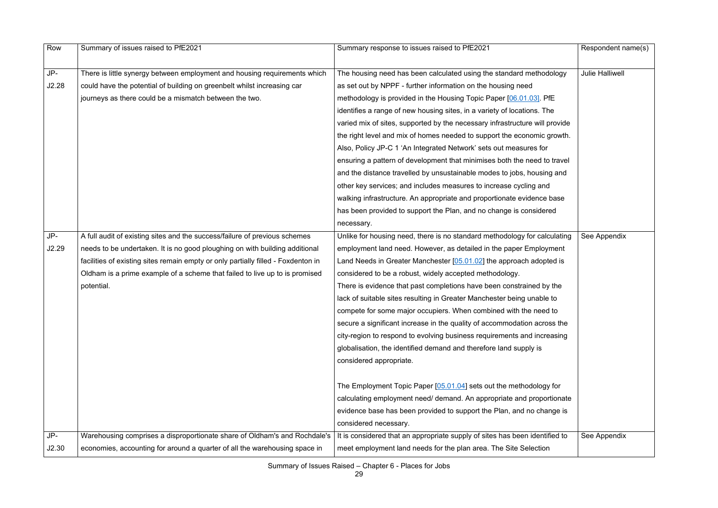| Row   | Summary of issues raised to PfE2021                                               | Summary response to issues raised to PfE2021                                | Respondent name(s)     |
|-------|-----------------------------------------------------------------------------------|-----------------------------------------------------------------------------|------------------------|
| $JP-$ | There is little synergy between employment and housing requirements which         | The housing need has been calculated using the standard methodology         | <b>Julie Halliwell</b> |
| J2.28 | could have the potential of building on greenbelt whilst increasing car           | as set out by NPPF - further information on the housing need                |                        |
|       | journeys as there could be a mismatch between the two.                            | methodology is provided in the Housing Topic Paper [06.01.03]. PfE          |                        |
|       |                                                                                   | identifies a range of new housing sites, in a variety of locations. The     |                        |
|       |                                                                                   | varied mix of sites, supported by the necessary infrastructure will provide |                        |
|       |                                                                                   | the right level and mix of homes needed to support the economic growth.     |                        |
|       |                                                                                   | Also, Policy JP-C 1 'An Integrated Network' sets out measures for           |                        |
|       |                                                                                   | ensuring a pattern of development that minimises both the need to travel    |                        |
|       |                                                                                   | and the distance travelled by unsustainable modes to jobs, housing and      |                        |
|       |                                                                                   | other key services; and includes measures to increase cycling and           |                        |
|       |                                                                                   | walking infrastructure. An appropriate and proportionate evidence base      |                        |
|       |                                                                                   | has been provided to support the Plan, and no change is considered          |                        |
|       |                                                                                   | necessary.                                                                  |                        |
| $JP-$ | A full audit of existing sites and the success/failure of previous schemes        | Unlike for housing need, there is no standard methodology for calculating   | See Appendix           |
| J2.29 | needs to be undertaken. It is no good ploughing on with building additional       | employment land need. However, as detailed in the paper Employment          |                        |
|       | facilities of existing sites remain empty or only partially filled - Foxdenton in | Land Needs in Greater Manchester [05.01.02] the approach adopted is         |                        |
|       | Oldham is a prime example of a scheme that failed to live up to is promised       | considered to be a robust, widely accepted methodology.                     |                        |
|       | potential.                                                                        | There is evidence that past completions have been constrained by the        |                        |
|       |                                                                                   | lack of suitable sites resulting in Greater Manchester being unable to      |                        |
|       |                                                                                   | compete for some major occupiers. When combined with the need to            |                        |
|       |                                                                                   | secure a significant increase in the quality of accommodation across the    |                        |
|       |                                                                                   | city-region to respond to evolving business requirements and increasing     |                        |
|       |                                                                                   | globalisation, the identified demand and therefore land supply is           |                        |
|       |                                                                                   | considered appropriate.                                                     |                        |
|       |                                                                                   | The Employment Topic Paper $[05.01.04]$ sets out the methodology for        |                        |
|       |                                                                                   | calculating employment need/ demand. An appropriate and proportionate       |                        |
|       |                                                                                   | evidence base has been provided to support the Plan, and no change is       |                        |
|       |                                                                                   | considered necessary.                                                       |                        |
| JP-   | Warehousing comprises a disproportionate share of Oldham's and Rochdale's         | It is considered that an appropriate supply of sites has been identified to | See Appendix           |
| J2.30 | economies, accounting for around a quarter of all the warehousing space in        | meet employment land needs for the plan area. The Site Selection            |                        |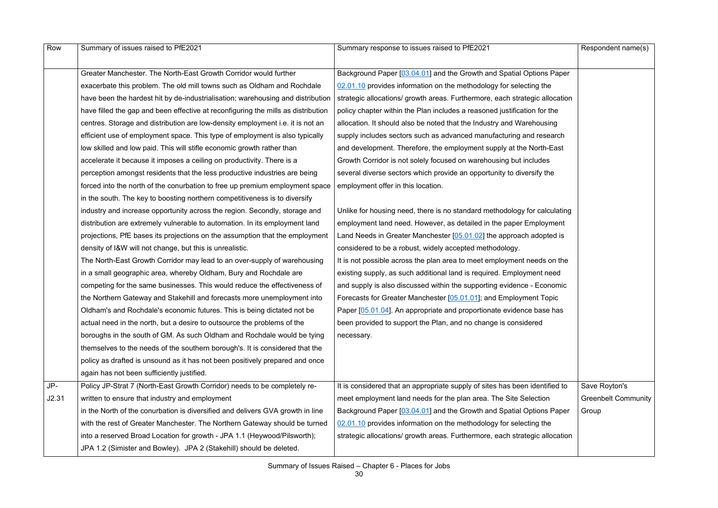| Row   | Summary of issues raised to PfE2021                                               | Summary response to issues raised to PfE2021                                | Respondent name(s)         |
|-------|-----------------------------------------------------------------------------------|-----------------------------------------------------------------------------|----------------------------|
|       | Greater Manchester. The North-East Growth Corridor would further                  | Background Paper [03.04.01] and the Growth and Spatial Options Paper        |                            |
|       | exacerbate this problem. The old mill towns such as Oldham and Rochdale           | 02.01.10 provides information on the methodology for selecting the          |                            |
|       | have been the hardest hit by de-industrialisation; warehousing and distribution   | strategic allocations/ growth areas. Furthermore, each strategic allocation |                            |
|       | have filled the gap and been effective at reconfiguring the mills as distribution | policy chapter within the Plan includes a reasoned justification for the    |                            |
|       | centres. Storage and distribution are low-density employment i.e. it is not an    | allocation. It should also be noted that the Industry and Warehousing       |                            |
|       | efficient use of employment space. This type of employment is also typically      | supply includes sectors such as advanced manufacturing and research         |                            |
|       | low skilled and low paid. This will stifle economic growth rather than            | and development. Therefore, the employment supply at the North-East         |                            |
|       | accelerate it because it imposes a ceiling on productivity. There is a            | Growth Corridor is not solely focused on warehousing but includes           |                            |
|       | perception amongst residents that the less productive industries are being        | several diverse sectors which provide an opportunity to diversify the       |                            |
|       | forced into the north of the conurbation to free up premium employment space      | employment offer in this location.                                          |                            |
|       | in the south. The key to boosting northern competitiveness is to diversify        |                                                                             |                            |
|       | industry and increase opportunity across the region. Secondly, storage and        | Unlike for housing need, there is no standard methodology for calculating   |                            |
|       | distribution are extremely vulnerable to automation. In its employment land       | employment land need. However, as detailed in the paper Employment          |                            |
|       | projections, PfE bases its projections on the assumption that the employment      | Land Needs in Greater Manchester [05.01.02] the approach adopted is         |                            |
|       | density of I&W will not change, but this is unrealistic.                          | considered to be a robust, widely accepted methodology.                     |                            |
|       | The North-East Growth Corridor may lead to an over-supply of warehousing          | It is not possible across the plan area to meet employment needs on the     |                            |
|       | in a small geographic area, whereby Oldham, Bury and Rochdale are                 | existing supply, as such additional land is required. Employment need       |                            |
|       | competing for the same businesses. This would reduce the effectiveness of         | and supply is also discussed within the supporting evidence - Economic      |                            |
|       | the Northern Gateway and Stakehill and forecasts more unemployment into           | Forecasts for Greater Manchester [05.01.01]; and Employment Topic           |                            |
|       | Oldham's and Rochdale's economic futures. This is being dictated not be           | Paper [05.01.04]. An appropriate and proportionate evidence base has        |                            |
|       | actual need in the north, but a desire to outsource the problems of the           | been provided to support the Plan, and no change is considered              |                            |
|       | boroughs in the south of GM. As such Oldham and Rochdale would be tying           | necessary.                                                                  |                            |
|       | themselves to the needs of the southern borough's. It is considered that the      |                                                                             |                            |
|       | policy as drafted is unsound as it has not been positively prepared and once      |                                                                             |                            |
|       | again has not been sufficiently justified.                                        |                                                                             |                            |
| JP-   | Policy JP-Strat 7 (North-East Growth Corridor) needs to be completely re-         | It is considered that an appropriate supply of sites has been identified to | Save Royton's              |
| J2.31 | written to ensure that industry and employment                                    | meet employment land needs for the plan area. The Site Selection            | <b>Greenbelt Community</b> |
|       | in the North of the conurbation is diversified and delivers GVA growth in line    | Background Paper [03.04.01] and the Growth and Spatial Options Paper        | Group                      |
|       | with the rest of Greater Manchester. The Northern Gateway should be turned        | 02.01.10 provides information on the methodology for selecting the          |                            |
|       | into a reserved Broad Location for growth - JPA 1.1 (Heywood/Pilsworth);          | strategic allocations/ growth areas. Furthermore, each strategic allocation |                            |
|       | JPA 1.2 (Simister and Bowley). JPA 2 (Stakehill) should be deleted.               |                                                                             |                            |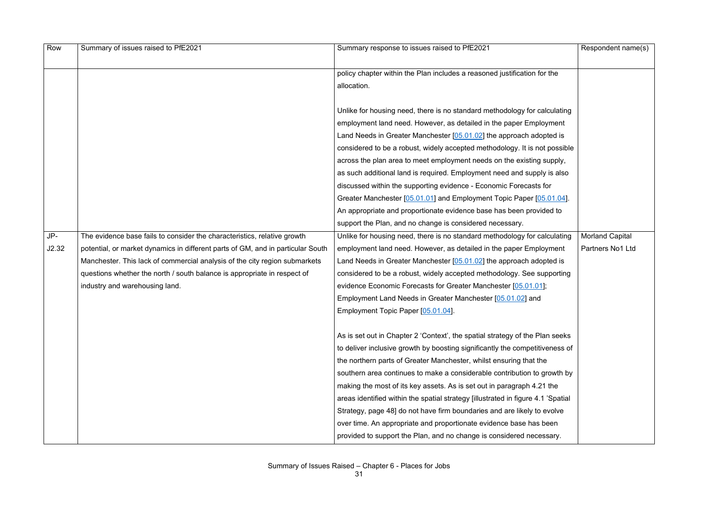| Row   | Summary of issues raised to PfE2021                                             | Summary response to issues raised to PfE2021                                     | Respondent name(s) |
|-------|---------------------------------------------------------------------------------|----------------------------------------------------------------------------------|--------------------|
|       |                                                                                 |                                                                                  |                    |
|       |                                                                                 | policy chapter within the Plan includes a reasoned justification for the         |                    |
|       |                                                                                 | allocation.                                                                      |                    |
|       |                                                                                 | Unlike for housing need, there is no standard methodology for calculating        |                    |
|       |                                                                                 | employment land need. However, as detailed in the paper Employment               |                    |
|       |                                                                                 | Land Needs in Greater Manchester [05.01.02] the approach adopted is              |                    |
|       |                                                                                 | considered to be a robust, widely accepted methodology. It is not possible       |                    |
|       |                                                                                 | across the plan area to meet employment needs on the existing supply,            |                    |
|       |                                                                                 | as such additional land is required. Employment need and supply is also          |                    |
|       |                                                                                 | discussed within the supporting evidence - Economic Forecasts for                |                    |
|       |                                                                                 | Greater Manchester [05.01.01] and Employment Topic Paper [05.01.04].             |                    |
|       |                                                                                 | An appropriate and proportionate evidence base has been provided to              |                    |
|       |                                                                                 | support the Plan, and no change is considered necessary.                         |                    |
| JP-   | The evidence base fails to consider the characteristics, relative growth        | Unlike for housing need, there is no standard methodology for calculating        | Morland Capital    |
| J2.32 | potential, or market dynamics in different parts of GM, and in particular South | employment land need. However, as detailed in the paper Employment               | Partners No1 Ltd   |
|       | Manchester. This lack of commercial analysis of the city region submarkets      | Land Needs in Greater Manchester [05.01.02] the approach adopted is              |                    |
|       | questions whether the north / south balance is appropriate in respect of        | considered to be a robust, widely accepted methodology. See supporting           |                    |
|       | industry and warehousing land.                                                  | evidence Economic Forecasts for Greater Manchester [05.01.01];                   |                    |
|       |                                                                                 | Employment Land Needs in Greater Manchester [05.01.02] and                       |                    |
|       |                                                                                 | Employment Topic Paper [05.01.04].                                               |                    |
|       |                                                                                 | As is set out in Chapter 2 'Context', the spatial strategy of the Plan seeks     |                    |
|       |                                                                                 | to deliver inclusive growth by boosting significantly the competitiveness of     |                    |
|       |                                                                                 | the northern parts of Greater Manchester, whilst ensuring that the               |                    |
|       |                                                                                 | southern area continues to make a considerable contribution to growth by         |                    |
|       |                                                                                 | making the most of its key assets. As is set out in paragraph 4.21 the           |                    |
|       |                                                                                 | areas identified within the spatial strategy [illustrated in figure 4.1 'Spatial |                    |
|       |                                                                                 | Strategy, page 48] do not have firm boundaries and are likely to evolve          |                    |
|       |                                                                                 | over time. An appropriate and proportionate evidence base has been               |                    |
|       |                                                                                 |                                                                                  |                    |
|       |                                                                                 | provided to support the Plan, and no change is considered necessary.             |                    |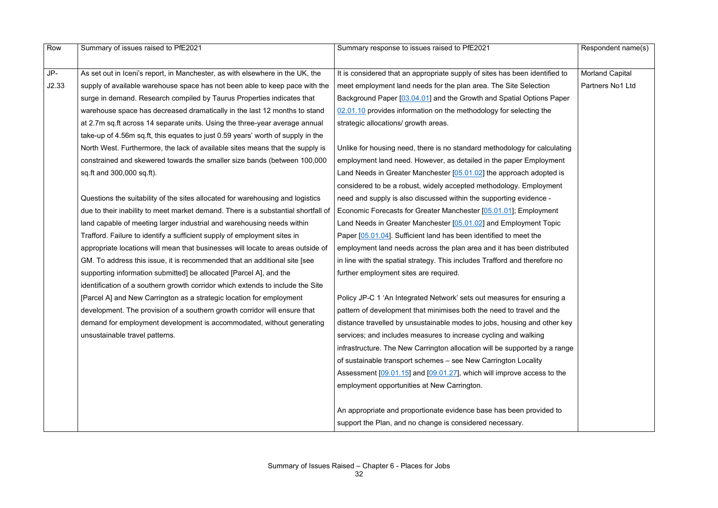| Row   | Summary of issues raised to PfE2021                                               | Summary response to issues raised to PfE2021                                | Respondent name(s)     |
|-------|-----------------------------------------------------------------------------------|-----------------------------------------------------------------------------|------------------------|
|       |                                                                                   |                                                                             |                        |
| JP-   | As set out in Iceni's report, in Manchester, as with elsewhere in the UK, the     | It is considered that an appropriate supply of sites has been identified to | <b>Morland Capital</b> |
| J2.33 | supply of available warehouse space has not been able to keep pace with the       | meet employment land needs for the plan area. The Site Selection            | Partners No1 Ltd       |
|       | surge in demand. Research compiled by Taurus Properties indicates that            | Background Paper [03.04.01] and the Growth and Spatial Options Paper        |                        |
|       | warehouse space has decreased dramatically in the last 12 months to stand         | 02.01.10 provides information on the methodology for selecting the          |                        |
|       | at 2.7m sq.ft across 14 separate units. Using the three-year average annual       | strategic allocations/ growth areas.                                        |                        |
|       | take-up of 4.56m sq.ft, this equates to just 0.59 years' worth of supply in the   |                                                                             |                        |
|       | North West. Furthermore, the lack of available sites means that the supply is     | Unlike for housing need, there is no standard methodology for calculating   |                        |
|       | constrained and skewered towards the smaller size bands (between 100,000          | employment land need. However, as detailed in the paper Employment          |                        |
|       | sq.ft and 300,000 sq.ft).                                                         | Land Needs in Greater Manchester [05.01.02] the approach adopted is         |                        |
|       |                                                                                   | considered to be a robust, widely accepted methodology. Employment          |                        |
|       | Questions the suitability of the sites allocated for warehousing and logistics    | need and supply is also discussed within the supporting evidence -          |                        |
|       | due to their inability to meet market demand. There is a substantial shortfall of | Economic Forecasts for Greater Manchester [05.01.01]; Employment            |                        |
|       | land capable of meeting larger industrial and warehousing needs within            | Land Needs in Greater Manchester [05.01.02] and Employment Topic            |                        |
|       | Trafford. Failure to identify a sufficient supply of employment sites in          | Paper [05.01.04]. Sufficient land has been identified to meet the           |                        |
|       | appropriate locations will mean that businesses will locate to areas outside of   | employment land needs across the plan area and it has been distributed      |                        |
|       | GM. To address this issue, it is recommended that an additional site [see         | in line with the spatial strategy. This includes Trafford and therefore no  |                        |
|       | supporting information submitted] be allocated [Parcel A], and the                | further employment sites are required.                                      |                        |
|       | identification of a southern growth corridor which extends to include the Site    |                                                                             |                        |
|       | [Parcel A] and New Carrington as a strategic location for employment              | Policy JP-C 1 'An Integrated Network' sets out measures for ensuring a      |                        |
|       | development. The provision of a southern growth corridor will ensure that         | pattern of development that minimises both the need to travel and the       |                        |
|       | demand for employment development is accommodated, without generating             | distance travelled by unsustainable modes to jobs, housing and other key    |                        |
|       | unsustainable travel patterns.                                                    | services; and includes measures to increase cycling and walking             |                        |
|       |                                                                                   | infrastructure. The New Carrington allocation will be supported by a range  |                        |
|       |                                                                                   | of sustainable transport schemes - see New Carrington Locality              |                        |
|       |                                                                                   | Assessment $[09.01.15]$ and $[09.01.27]$ , which will improve access to the |                        |
|       |                                                                                   | employment opportunities at New Carrington.                                 |                        |
|       |                                                                                   |                                                                             |                        |
|       |                                                                                   | An appropriate and proportionate evidence base has been provided to         |                        |
|       |                                                                                   | support the Plan, and no change is considered necessary.                    |                        |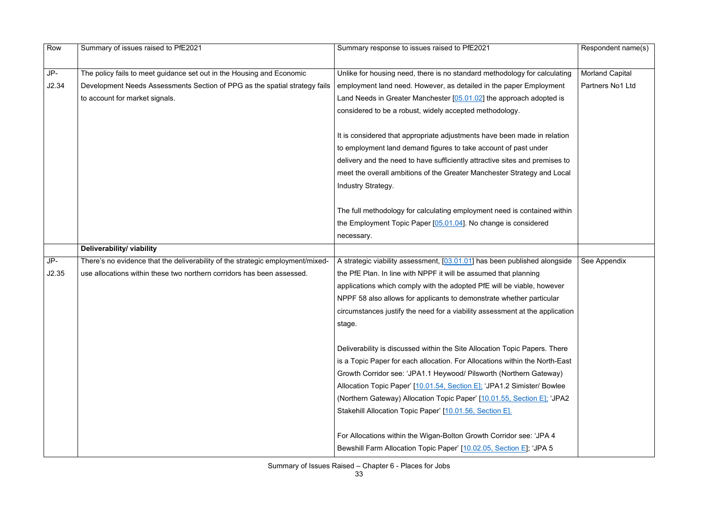| Row   | Summary of issues raised to PfE2021                                            | Summary response to issues raised to PfE2021                                                                                                              | Respondent name(s)     |
|-------|--------------------------------------------------------------------------------|-----------------------------------------------------------------------------------------------------------------------------------------------------------|------------------------|
|       |                                                                                |                                                                                                                                                           |                        |
| JP-   | The policy fails to meet guidance set out in the Housing and Economic          | Unlike for housing need, there is no standard methodology for calculating                                                                                 | <b>Morland Capital</b> |
| J2.34 | Development Needs Assessments Section of PPG as the spatial strategy fails     | employment land need. However, as detailed in the paper Employment                                                                                        | Partners No1 Ltd       |
|       | to account for market signals.                                                 | Land Needs in Greater Manchester [05.01.02] the approach adopted is                                                                                       |                        |
|       |                                                                                | considered to be a robust, widely accepted methodology.                                                                                                   |                        |
|       |                                                                                | It is considered that appropriate adjustments have been made in relation                                                                                  |                        |
|       |                                                                                | to employment land demand figures to take account of past under                                                                                           |                        |
|       |                                                                                | delivery and the need to have sufficiently attractive sites and premises to                                                                               |                        |
|       |                                                                                | meet the overall ambitions of the Greater Manchester Strategy and Local                                                                                   |                        |
|       |                                                                                | Industry Strategy.                                                                                                                                        |                        |
|       |                                                                                |                                                                                                                                                           |                        |
|       |                                                                                | The full methodology for calculating employment need is contained within                                                                                  |                        |
|       |                                                                                | the Employment Topic Paper [05.01.04]. No change is considered                                                                                            |                        |
|       |                                                                                | necessary.                                                                                                                                                |                        |
|       | Deliverability/ viability                                                      |                                                                                                                                                           |                        |
| JP-   | There's no evidence that the deliverability of the strategic employment/mixed- | A strategic viability assessment, [03.01.01] has been published alongside                                                                                 | See Appendix           |
| J2.35 | use allocations within these two northern corridors has been assessed.         | the PfE Plan. In line with NPPF it will be assumed that planning                                                                                          |                        |
|       |                                                                                | applications which comply with the adopted PfE will be viable, however                                                                                    |                        |
|       |                                                                                | NPPF 58 also allows for applicants to demonstrate whether particular                                                                                      |                        |
|       |                                                                                | circumstances justify the need for a viability assessment at the application                                                                              |                        |
|       |                                                                                | stage.                                                                                                                                                    |                        |
|       |                                                                                |                                                                                                                                                           |                        |
|       |                                                                                | Deliverability is discussed within the Site Allocation Topic Papers. There<br>is a Topic Paper for each allocation. For Allocations within the North-East |                        |
|       |                                                                                |                                                                                                                                                           |                        |
|       |                                                                                |                                                                                                                                                           |                        |
|       |                                                                                | Growth Corridor see: 'JPA1.1 Heywood/ Pilsworth (Northern Gateway)                                                                                        |                        |
|       |                                                                                | Allocation Topic Paper' [10.01.54, Section E]; 'JPA1.2 Simister/ Bowlee                                                                                   |                        |
|       |                                                                                | (Northern Gateway) Allocation Topic Paper' [10.01.55, Section E]; 'JPA2                                                                                   |                        |
|       |                                                                                | Stakehill Allocation Topic Paper' [10.01.56, Section E].                                                                                                  |                        |
|       |                                                                                | For Allocations within the Wigan-Bolton Growth Corridor see: 'JPA 4                                                                                       |                        |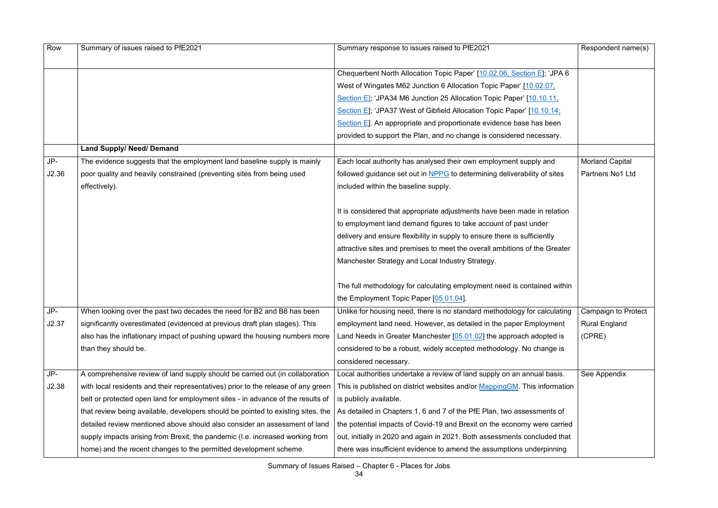| Row   | Summary of issues raised to PfE2021                                               | Summary response to issues raised to PfE2021                                                    | Respondent name(s)     |
|-------|-----------------------------------------------------------------------------------|-------------------------------------------------------------------------------------------------|------------------------|
|       |                                                                                   |                                                                                                 |                        |
|       |                                                                                   | Chequerbent North Allocation Topic Paper' [10.02.06, Section E]; 'JPA 6                         |                        |
|       |                                                                                   | West of Wingates M62 Junction 6 Allocation Topic Paper' [10.02.07,                              |                        |
|       |                                                                                   | Section E]; 'JPA34 M6 Junction 25 Allocation Topic Paper' [10.10.11,                            |                        |
|       |                                                                                   | Section E]; 'JPA37 West of Gibfield Allocation Topic Paper' [10.10.14;                          |                        |
|       |                                                                                   | Section E]. An appropriate and proportionate evidence base has been                             |                        |
|       |                                                                                   | provided to support the Plan, and no change is considered necessary.                            |                        |
|       | <b>Land Supply/ Need/ Demand</b>                                                  |                                                                                                 |                        |
| JP-   | The evidence suggests that the employment land baseline supply is mainly          | Each local authority has analysed their own employment supply and                               | <b>Morland Capital</b> |
| J2.36 | poor quality and heavily constrained (preventing sites from being used            | followed guidance set out in NPPG to determining deliverability of sites                        | Partners No1 Ltd       |
|       | effectively).                                                                     | included within the baseline supply.                                                            |                        |
|       |                                                                                   | It is considered that appropriate adjustments have been made in relation                        |                        |
|       |                                                                                   | to employment land demand figures to take account of past under                                 |                        |
|       |                                                                                   | delivery and ensure flexibility in supply to ensure there is sufficiently                       |                        |
|       |                                                                                   | attractive sites and premises to meet the overall ambitions of the Greater                      |                        |
|       |                                                                                   | Manchester Strategy and Local Industry Strategy.                                                |                        |
|       |                                                                                   |                                                                                                 |                        |
|       |                                                                                   | The full methodology for calculating employment need is contained within                        |                        |
|       |                                                                                   | the Employment Topic Paper [05.01.04].                                                          |                        |
| JP-   | When looking over the past two decades the need for B2 and B8 has been            | Unlike for housing need, there is no standard methodology for calculating   Campaign to Protect |                        |
| J2.37 | significantly overestimated (evidenced at previous draft plan stages). This       | employment land need. However, as detailed in the paper Employment                              | <b>Rural England</b>   |
|       | also has the inflationary impact of pushing upward the housing numbers more       | Land Needs in Greater Manchester [05.01.02] the approach adopted is                             | (CPRE)                 |
|       | than they should be.                                                              | considered to be a robust, widely accepted methodology. No change is                            |                        |
|       |                                                                                   | considered necessary.                                                                           |                        |
| JP-   | A comprehensive review of land supply should be carried out (in collaboration     | Local authorities undertake a review of land supply on an annual basis.                         | See Appendix           |
| J2.38 | with local residents and their representatives) prior to the release of any green | This is published on district websites and/or MappingGM. This information                       |                        |
|       | belt or protected open land for employment sites - in advance of the results of   | is publicly available.                                                                          |                        |
|       | that review being available, developers should be pointed to existing sites. the  | As detailed in Chapters 1, 6 and 7 of the PfE Plan, two assessments of                          |                        |
|       | detailed review mentioned above should also consider an assessment of land        | the potential impacts of Covid-19 and Brexit on the economy were carried                        |                        |
|       | supply impacts arising from Brexit, the pandemic (I.e. increased working from     | out, initially in 2020 and again in 2021. Both assessments concluded that                       |                        |
|       | home) and the recent changes to the permitted development scheme.                 | there was insufficient evidence to amend the assumptions underpinning                           |                        |
|       |                                                                                   |                                                                                                 |                        |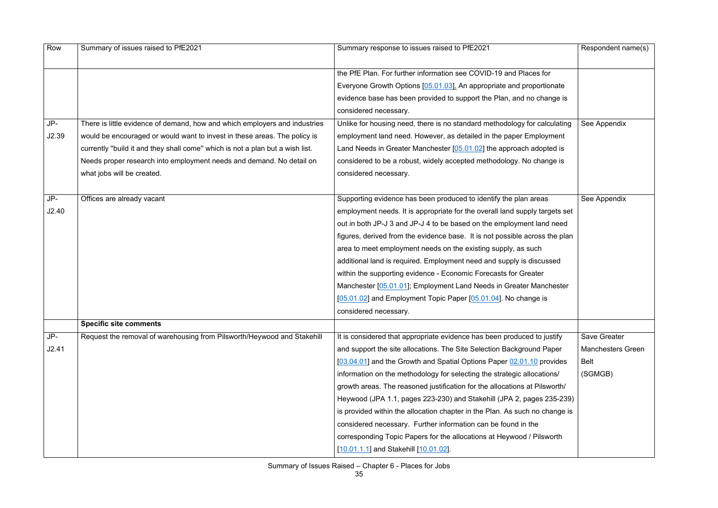| Row   | Summary of issues raised to PfE2021                                           | Summary response to issues raised to PfE2021                                | Respondent name(s)       |
|-------|-------------------------------------------------------------------------------|-----------------------------------------------------------------------------|--------------------------|
|       |                                                                               |                                                                             |                          |
|       |                                                                               | the PfE Plan. For further information see COVID-19 and Places for           |                          |
|       |                                                                               | Everyone Growth Options [05.01.03]. An appropriate and proportionate        |                          |
|       |                                                                               | evidence base has been provided to support the Plan, and no change is       |                          |
|       |                                                                               | considered necessary.                                                       |                          |
| JP-   | There is little evidence of demand, how and which employers and industries    | Unlike for housing need, there is no standard methodology for calculating   | See Appendix             |
| J2.39 | would be encouraged or would want to invest in these areas. The policy is     | employment land need. However, as detailed in the paper Employment          |                          |
|       | currently "build it and they shall come" which is not a plan but a wish list. | Land Needs in Greater Manchester [05.01.02] the approach adopted is         |                          |
|       | Needs proper research into employment needs and demand. No detail on          | considered to be a robust, widely accepted methodology. No change is        |                          |
|       | what jobs will be created.                                                    | considered necessary.                                                       |                          |
|       |                                                                               |                                                                             |                          |
| JP-   | Offices are already vacant                                                    | Supporting evidence has been produced to identify the plan areas            | See Appendix             |
| J2.40 |                                                                               | employment needs. It is appropriate for the overall land supply targets set |                          |
|       |                                                                               | out in both JP-J 3 and JP-J 4 to be based on the employment land need       |                          |
|       |                                                                               | figures, derived from the evidence base. It is not possible across the plan |                          |
|       |                                                                               | area to meet employment needs on the existing supply, as such               |                          |
|       |                                                                               | additional land is required. Employment need and supply is discussed        |                          |
|       |                                                                               | within the supporting evidence - Economic Forecasts for Greater             |                          |
|       |                                                                               | Manchester [05.01.01]; Employment Land Needs in Greater Manchester          |                          |
|       |                                                                               | [05.01.02] and Employment Topic Paper $[05.01.04]$ . No change is           |                          |
|       |                                                                               | considered necessary.                                                       |                          |
|       | <b>Specific site comments</b>                                                 |                                                                             |                          |
| JP-   | Request the removal of warehousing from Pilsworth/Heywood and Stakehill       | It is considered that appropriate evidence has been produced to justify     | Save Greater             |
| J2.41 |                                                                               | and support the site allocations. The Site Selection Background Paper       | <b>Manchesters Green</b> |
|       |                                                                               | [03.04.01] and the Growth and Spatial Options Paper 02.01.10 provides       | Belt                     |
|       |                                                                               | information on the methodology for selecting the strategic allocations/     | (SGMGB)                  |
|       |                                                                               | growth areas. The reasoned justification for the allocations at Pilsworth/  |                          |
|       |                                                                               | Heywood (JPA 1.1, pages 223-230) and Stakehill (JPA 2, pages 235-239)       |                          |
|       |                                                                               | is provided within the allocation chapter in the Plan. As such no change is |                          |
|       |                                                                               | considered necessary. Further information can be found in the               |                          |
|       |                                                                               | corresponding Topic Papers for the allocations at Heywood / Pilsworth       |                          |
|       |                                                                               | [10.01.1.1] and Stakehill [10.01.02].                                       |                          |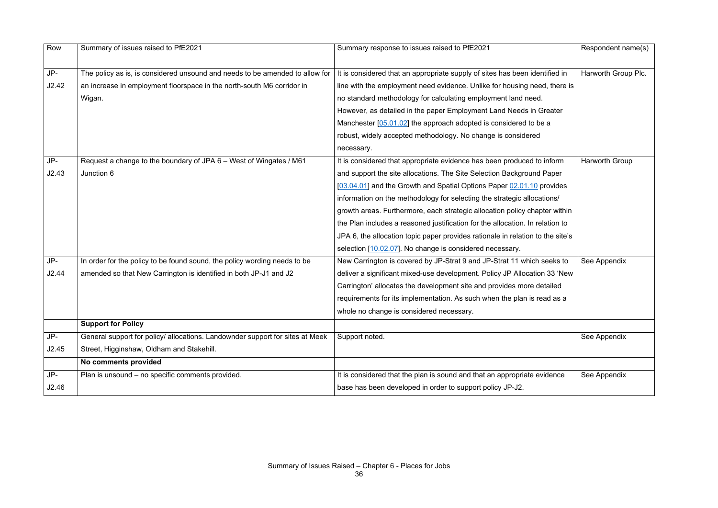| Row   | Summary of issues raised to PfE2021                                           | Summary response to issues raised to PfE2021                                   | Respondent name(s)  |
|-------|-------------------------------------------------------------------------------|--------------------------------------------------------------------------------|---------------------|
|       |                                                                               |                                                                                |                     |
| JP-   | The policy as is, is considered unsound and needs to be amended to allow for  | It is considered that an appropriate supply of sites has been identified in    | Harworth Group Plc. |
| J2.42 | an increase in employment floorspace in the north-south M6 corridor in        | line with the employment need evidence. Unlike for housing need, there is      |                     |
|       | Wigan.                                                                        | no standard methodology for calculating employment land need.                  |                     |
|       |                                                                               | However, as detailed in the paper Employment Land Needs in Greater             |                     |
|       |                                                                               | Manchester $[05.01.02]$ the approach adopted is considered to be a             |                     |
|       |                                                                               | robust, widely accepted methodology. No change is considered                   |                     |
|       |                                                                               | necessary.                                                                     |                     |
| JP-   | Request a change to the boundary of JPA 6 - West of Wingates / M61            | It is considered that appropriate evidence has been produced to inform         | Harworth Group      |
| J2.43 | Junction 6                                                                    | and support the site allocations. The Site Selection Background Paper          |                     |
|       |                                                                               | [03.04.01] and the Growth and Spatial Options Paper 02.01.10 provides          |                     |
|       |                                                                               | information on the methodology for selecting the strategic allocations/        |                     |
|       |                                                                               | growth areas. Furthermore, each strategic allocation policy chapter within     |                     |
|       |                                                                               | the Plan includes a reasoned justification for the allocation. In relation to  |                     |
|       |                                                                               | JPA 6, the allocation topic paper provides rationale in relation to the site's |                     |
|       |                                                                               | selection [10.02.07]. No change is considered necessary.                       |                     |
| JP-   | In order for the policy to be found sound, the policy wording needs to be     | New Carrington is covered by JP-Strat 9 and JP-Strat 11 which seeks to         | See Appendix        |
| J2.44 | amended so that New Carrington is identified in both JP-J1 and J2             | deliver a significant mixed-use development. Policy JP Allocation 33 'New      |                     |
|       |                                                                               | Carrington' allocates the development site and provides more detailed          |                     |
|       |                                                                               | requirements for its implementation. As such when the plan is read as a        |                     |
|       |                                                                               | whole no change is considered necessary.                                       |                     |
|       | <b>Support for Policy</b>                                                     |                                                                                |                     |
| JP-   | General support for policy/ allocations. Landownder support for sites at Meek | Support noted.                                                                 | See Appendix        |
| J2.45 | Street, Higginshaw, Oldham and Stakehill.                                     |                                                                                |                     |
|       | No comments provided                                                          |                                                                                |                     |
| JP-   | Plan is unsound - no specific comments provided.                              | It is considered that the plan is sound and that an appropriate evidence       | See Appendix        |
| J2.46 |                                                                               | base has been developed in order to support policy JP-J2.                      |                     |
|       |                                                                               |                                                                                |                     |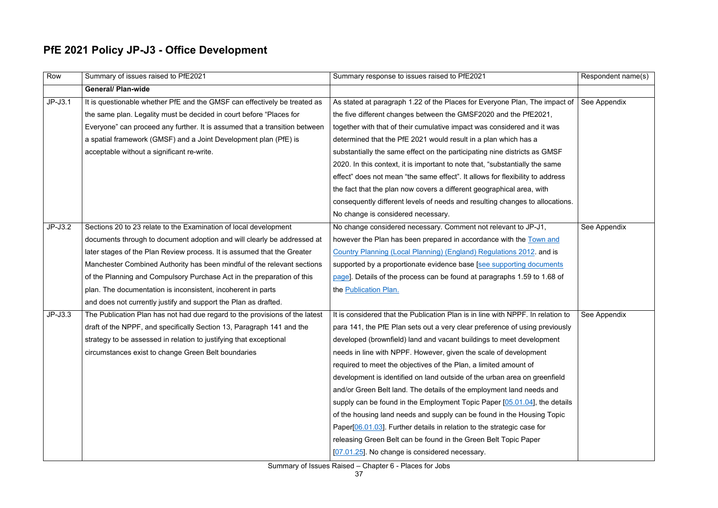# **PfE 2021 Policy JP-J3 - Office Development**

| Row       | Summary of issues raised to PfE2021                                         | Summary response to issues raised to PfE2021                                    | Respondent name(s) |
|-----------|-----------------------------------------------------------------------------|---------------------------------------------------------------------------------|--------------------|
|           | <b>General/ Plan-wide</b>                                                   |                                                                                 |                    |
| $JP-J3.1$ | It is questionable whether PfE and the GMSF can effectively be treated as   | As stated at paragraph 1.22 of the Places for Everyone Plan, The impact of      | See Appendix       |
|           | the same plan. Legality must be decided in court before "Places for         | the five different changes between the GMSF2020 and the PfE2021,                |                    |
|           | Everyone" can proceed any further. It is assumed that a transition between  | together with that of their cumulative impact was considered and it was         |                    |
|           | a spatial framework (GMSF) and a Joint Development plan (PfE) is            | determined that the PfE 2021 would result in a plan which has a                 |                    |
|           | acceptable without a significant re-write.                                  | substantially the same effect on the participating nine districts as GMSF       |                    |
|           |                                                                             | 2020. In this context, it is important to note that, "substantially the same    |                    |
|           |                                                                             | effect" does not mean "the same effect". It allows for flexibility to address   |                    |
|           |                                                                             | the fact that the plan now covers a different geographical area, with           |                    |
|           |                                                                             | consequently different levels of needs and resulting changes to allocations.    |                    |
|           |                                                                             | No change is considered necessary.                                              |                    |
| $JP-J3.2$ | Sections 20 to 23 relate to the Examination of local development            | No change considered necessary. Comment not relevant to JP-J1,                  | See Appendix       |
|           | documents through to document adoption and will clearly be addressed at     | however the Plan has been prepared in accordance with the Town and              |                    |
|           | later stages of the Plan Review process. It is assumed that the Greater     | Country Planning (Local Planning) (England) Regulations 2012. and is            |                    |
|           | Manchester Combined Authority has been mindful of the relevant sections     | supported by a proportionate evidence base [see supporting documents            |                    |
|           | of the Planning and Compulsory Purchase Act in the preparation of this      | page]. Details of the process can be found at paragraphs 1.59 to 1.68 of        |                    |
|           | plan. The documentation is inconsistent, incoherent in parts                | the Publication Plan.                                                           |                    |
|           | and does not currently justify and support the Plan as drafted.             |                                                                                 |                    |
| $JP-J3.3$ | The Publication Plan has not had due regard to the provisions of the latest | It is considered that the Publication Plan is in line with NPPF. In relation to | See Appendix       |
|           | draft of the NPPF, and specifically Section 13, Paragraph 141 and the       | para 141, the PfE Plan sets out a very clear preference of using previously     |                    |
|           | strategy to be assessed in relation to justifying that exceptional          | developed (brownfield) land and vacant buildings to meet development            |                    |
|           | circumstances exist to change Green Belt boundaries                         | needs in line with NPPF. However, given the scale of development                |                    |
|           |                                                                             | required to meet the objectives of the Plan, a limited amount of                |                    |
|           |                                                                             | development is identified on land outside of the urban area on greenfield       |                    |
|           |                                                                             | and/or Green Belt land. The details of the employment land needs and            |                    |
|           |                                                                             | supply can be found in the Employment Topic Paper [05.01.04], the details       |                    |
|           |                                                                             | of the housing land needs and supply can be found in the Housing Topic          |                    |
|           |                                                                             | Paper[06.01.03]. Further details in relation to the strategic case for          |                    |
|           |                                                                             | releasing Green Belt can be found in the Green Belt Topic Paper                 |                    |
|           |                                                                             | [07.01.25]. No change is considered necessary.                                  |                    |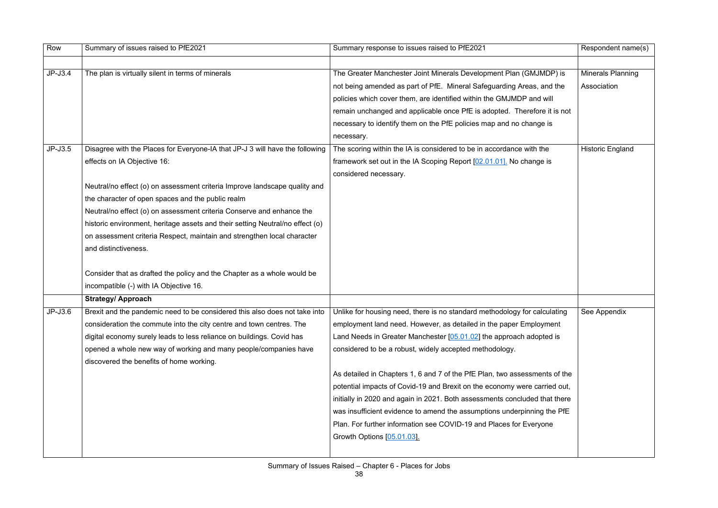| Row       | Summary of issues raised to PfE2021                                                                                                                  | Summary response to issues raised to PfE2021                               | Respondent name(s)       |
|-----------|------------------------------------------------------------------------------------------------------------------------------------------------------|----------------------------------------------------------------------------|--------------------------|
|           |                                                                                                                                                      |                                                                            |                          |
| $JP-J3.4$ | The plan is virtually silent in terms of minerals                                                                                                    | The Greater Manchester Joint Minerals Development Plan (GMJMDP) is         | <b>Minerals Planning</b> |
|           |                                                                                                                                                      | not being amended as part of PfE. Mineral Safeguarding Areas, and the      | Association              |
|           |                                                                                                                                                      | policies which cover them, are identified within the GMJMDP and will       |                          |
|           |                                                                                                                                                      | remain unchanged and applicable once PfE is adopted. Therefore it is not   |                          |
|           |                                                                                                                                                      | necessary to identify them on the PfE policies map and no change is        |                          |
|           |                                                                                                                                                      | necessary.                                                                 |                          |
| $JP-J3.5$ | Disagree with the Places for Everyone-IA that JP-J 3 will have the following                                                                         | The scoring within the IA is considered to be in accordance with the       | <b>Historic England</b>  |
|           | effects on IA Objective 16:                                                                                                                          | framework set out in the IA Scoping Report [02.01.01]. No change is        |                          |
|           |                                                                                                                                                      | considered necessary.                                                      |                          |
|           | Neutral/no effect (o) on assessment criteria Improve landscape quality and                                                                           |                                                                            |                          |
|           | the character of open spaces and the public realm                                                                                                    |                                                                            |                          |
|           | Neutral/no effect (o) on assessment criteria Conserve and enhance the                                                                                |                                                                            |                          |
|           | historic environment, heritage assets and their setting Neutral/no effect (o)                                                                        |                                                                            |                          |
|           | on assessment criteria Respect, maintain and strengthen local character                                                                              |                                                                            |                          |
|           | and distinctiveness.                                                                                                                                 |                                                                            |                          |
|           | Consider that as drafted the policy and the Chapter as a whole would be                                                                              |                                                                            |                          |
|           | incompatible (-) with IA Objective 16.                                                                                                               |                                                                            |                          |
|           | <b>Strategy/ Approach</b>                                                                                                                            |                                                                            |                          |
| $JP-J3.6$ | Brexit and the pandemic need to be considered this also does not take into Unlike for housing need, there is no standard methodology for calculating |                                                                            | See Appendix             |
|           | consideration the commute into the city centre and town centres. The                                                                                 | employment land need. However, as detailed in the paper Employment         |                          |
|           | digital economy surely leads to less reliance on buildings. Covid has                                                                                | Land Needs in Greater Manchester [05.01.02] the approach adopted is        |                          |
|           | opened a whole new way of working and many people/companies have                                                                                     | considered to be a robust, widely accepted methodology.                    |                          |
|           | discovered the benefits of home working.                                                                                                             |                                                                            |                          |
|           |                                                                                                                                                      | As detailed in Chapters 1, 6 and 7 of the PfE Plan, two assessments of the |                          |
|           |                                                                                                                                                      | potential impacts of Covid-19 and Brexit on the economy were carried out,  |                          |
|           |                                                                                                                                                      | initially in 2020 and again in 2021. Both assessments concluded that there |                          |
|           |                                                                                                                                                      | was insufficient evidence to amend the assumptions underpinning the PfE    |                          |
|           |                                                                                                                                                      | Plan. For further information see COVID-19 and Places for Everyone         |                          |
|           |                                                                                                                                                      | Growth Options [05.01.03].                                                 |                          |
|           |                                                                                                                                                      |                                                                            |                          |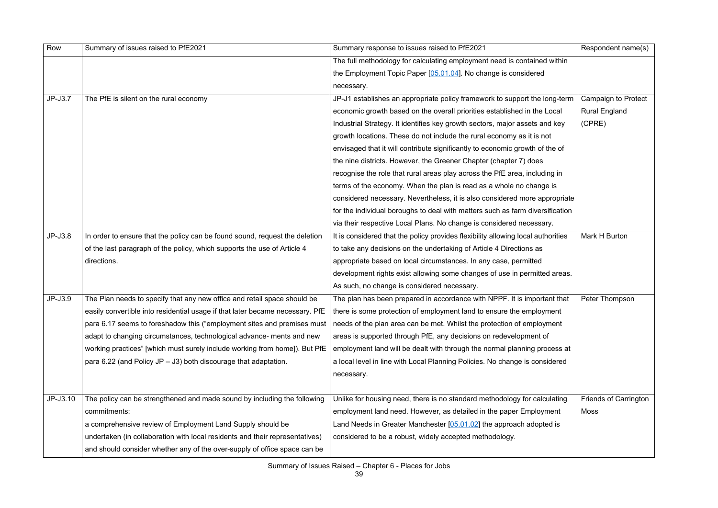| Row       | Summary of issues raised to PfE2021                                           | Summary response to issues raised to PfE2021                                     | Respondent name(s)           |
|-----------|-------------------------------------------------------------------------------|----------------------------------------------------------------------------------|------------------------------|
|           |                                                                               | The full methodology for calculating employment need is contained within         |                              |
|           |                                                                               | the Employment Topic Paper [05.01.04]. No change is considered                   |                              |
|           |                                                                               | necessary.                                                                       |                              |
| $JP-J3.7$ | The PfE is silent on the rural economy                                        | JP-J1 establishes an appropriate policy framework to support the long-term       | <b>Campaign to Protect</b>   |
|           |                                                                               | economic growth based on the overall priorities established in the Local         | <b>Rural England</b>         |
|           |                                                                               | Industrial Strategy. It identifies key growth sectors, major assets and key      | (CPRE)                       |
|           |                                                                               | growth locations. These do not include the rural economy as it is not            |                              |
|           |                                                                               | envisaged that it will contribute significantly to economic growth of the of     |                              |
|           |                                                                               | the nine districts. However, the Greener Chapter (chapter 7) does                |                              |
|           |                                                                               | recognise the role that rural areas play across the PfE area, including in       |                              |
|           |                                                                               | terms of the economy. When the plan is read as a whole no change is              |                              |
|           |                                                                               | considered necessary. Nevertheless, it is also considered more appropriate       |                              |
|           |                                                                               | for the individual boroughs to deal with matters such as farm diversification    |                              |
|           |                                                                               | via their respective Local Plans. No change is considered necessary.             |                              |
| $JP-J3.8$ | In order to ensure that the policy can be found sound, request the deletion   | It is considered that the policy provides flexibility allowing local authorities | Mark H Burton                |
|           | of the last paragraph of the policy, which supports the use of Article 4      | to take any decisions on the undertaking of Article 4 Directions as              |                              |
|           | directions.                                                                   | appropriate based on local circumstances. In any case, permitted                 |                              |
|           |                                                                               | development rights exist allowing some changes of use in permitted areas.        |                              |
|           |                                                                               | As such, no change is considered necessary.                                      |                              |
| $JP-J3.9$ | The Plan needs to specify that any new office and retail space should be      | The plan has been prepared in accordance with NPPF. It is important that         | Peter Thompson               |
|           | easily convertible into residential usage if that later became necessary. PfE | there is some protection of employment land to ensure the employment             |                              |
|           | para 6.17 seems to foreshadow this ("employment sites and premises must       | needs of the plan area can be met. Whilst the protection of employment           |                              |
|           | adapt to changing circumstances, technological advance- ments and new         | areas is supported through PfE, any decisions on redevelopment of                |                              |
|           | working practices" [which must surely include working from home]). But PfE    | employment land will be dealt with through the normal planning process at        |                              |
|           | para 6.22 (and Policy JP $-$ J3) both discourage that adaptation.             | a local level in line with Local Planning Policies. No change is considered      |                              |
|           |                                                                               | necessary.                                                                       |                              |
|           |                                                                               |                                                                                  |                              |
| JP-J3.10  | The policy can be strengthened and made sound by including the following      | Unlike for housing need, there is no standard methodology for calculating        | <b>Friends of Carrington</b> |
|           | commitments:                                                                  | employment land need. However, as detailed in the paper Employment               | <b>Moss</b>                  |
|           | a comprehensive review of Employment Land Supply should be                    | Land Needs in Greater Manchester $[05.01.02]$ the approach adopted is            |                              |
|           | undertaken (in collaboration with local residents and their representatives)  | considered to be a robust, widely accepted methodology.                          |                              |
|           | and should consider whether any of the over-supply of office space can be     |                                                                                  |                              |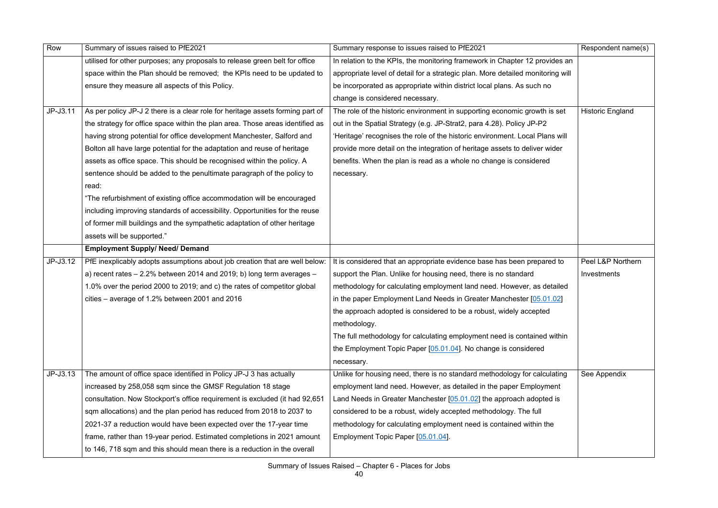| Row      | Summary of issues raised to PfE2021                                            | Summary response to issues raised to PfE2021                                    | Respondent name(s)      |
|----------|--------------------------------------------------------------------------------|---------------------------------------------------------------------------------|-------------------------|
|          | utilised for other purposes; any proposals to release green belt for office    | In relation to the KPIs, the monitoring framework in Chapter 12 provides an     |                         |
|          | space within the Plan should be removed; the KPIs need to be updated to        | appropriate level of detail for a strategic plan. More detailed monitoring will |                         |
|          | ensure they measure all aspects of this Policy.                                | be incorporated as appropriate within district local plans. As such no          |                         |
|          |                                                                                | change is considered necessary.                                                 |                         |
| JP-J3.11 | As per policy JP-J 2 there is a clear role for heritage assets forming part of | The role of the historic environment in supporting economic growth is set       | <b>Historic England</b> |
|          | the strategy for office space within the plan area. Those areas identified as  | out in the Spatial Strategy (e.g. JP-Strat2, para 4.28). Policy JP-P2           |                         |
|          | having strong potential for office development Manchester, Salford and         | 'Heritage' recognises the role of the historic environment. Local Plans will    |                         |
|          | Bolton all have large potential for the adaptation and reuse of heritage       | provide more detail on the integration of heritage assets to deliver wider      |                         |
|          | assets as office space. This should be recognised within the policy. A         | benefits. When the plan is read as a whole no change is considered              |                         |
|          | sentence should be added to the penultimate paragraph of the policy to         | necessary.                                                                      |                         |
|          | read:                                                                          |                                                                                 |                         |
|          | "The refurbishment of existing office accommodation will be encouraged         |                                                                                 |                         |
|          | including improving standards of accessibility. Opportunities for the reuse    |                                                                                 |                         |
|          | of former mill buildings and the sympathetic adaptation of other heritage      |                                                                                 |                         |
|          | assets will be supported."                                                     |                                                                                 |                         |
|          | <b>Employment Supply/ Need/ Demand</b>                                         |                                                                                 |                         |
| JP-J3.12 | PfE inexplicably adopts assumptions about job creation that are well below:    | It is considered that an appropriate evidence base has been prepared to         | Peel L&P Northern       |
|          | a) recent rates $-2.2\%$ between 2014 and 2019; b) long term averages $-$      | support the Plan. Unlike for housing need, there is no standard                 | Investments             |
|          | 1.0% over the period 2000 to 2019; and c) the rates of competitor global       | methodology for calculating employment land need. However, as detailed          |                         |
|          | cities – average of 1.2% between 2001 and 2016                                 | in the paper Employment Land Needs in Greater Manchester [05.01.02]             |                         |
|          |                                                                                | the approach adopted is considered to be a robust, widely accepted              |                         |
|          |                                                                                | methodology.                                                                    |                         |
|          |                                                                                | The full methodology for calculating employment need is contained within        |                         |
|          |                                                                                | the Employment Topic Paper [05.01.04]. No change is considered                  |                         |
|          |                                                                                | necessary.                                                                      |                         |
| JP-J3.13 | The amount of office space identified in Policy JP-J 3 has actually            | Unlike for housing need, there is no standard methodology for calculating       | See Appendix            |
|          | increased by 258,058 sqm since the GMSF Regulation 18 stage                    | employment land need. However, as detailed in the paper Employment              |                         |
|          | consultation. Now Stockport's office requirement is excluded (it had 92,651)   | Land Needs in Greater Manchester $[05.01.02]$ the approach adopted is           |                         |
|          | sqm allocations) and the plan period has reduced from 2018 to 2037 to          | considered to be a robust, widely accepted methodology. The full                |                         |
|          | 2021-37 a reduction would have been expected over the 17-year time             | methodology for calculating employment need is contained within the             |                         |
|          | frame, rather than 19-year period. Estimated completions in 2021 amount        | Employment Topic Paper [05.01.04].                                              |                         |
|          | to 146, 718 sqm and this should mean there is a reduction in the overall       |                                                                                 |                         |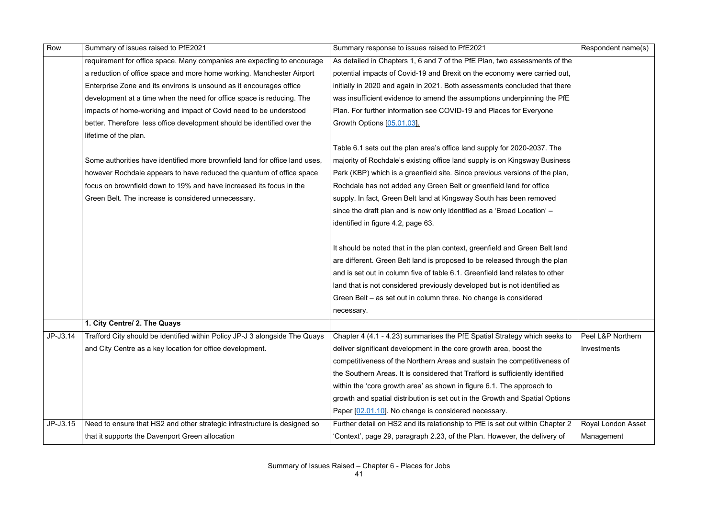| Row      | Summary of issues raised to PfE2021                                         | Summary response to issues raised to PfE2021                                  | Respondent name(s)        |
|----------|-----------------------------------------------------------------------------|-------------------------------------------------------------------------------|---------------------------|
|          | requirement for office space. Many companies are expecting to encourage     | As detailed in Chapters 1, 6 and 7 of the PfE Plan, two assessments of the    |                           |
|          | a reduction of office space and more home working. Manchester Airport       | potential impacts of Covid-19 and Brexit on the economy were carried out,     |                           |
|          | Enterprise Zone and its environs is unsound as it encourages office         | initially in 2020 and again in 2021. Both assessments concluded that there    |                           |
|          | development at a time when the need for office space is reducing. The       | was insufficient evidence to amend the assumptions underpinning the PfE       |                           |
|          | impacts of home-working and impact of Covid need to be understood           | Plan. For further information see COVID-19 and Places for Everyone            |                           |
|          | better. Therefore less office development should be identified over the     | Growth Options [05.01.03].                                                    |                           |
|          | lifetime of the plan.                                                       |                                                                               |                           |
|          |                                                                             | Table 6.1 sets out the plan area's office land supply for 2020-2037. The      |                           |
|          | Some authorities have identified more brownfield land for office land uses, | majority of Rochdale's existing office land supply is on Kingsway Business    |                           |
|          | however Rochdale appears to have reduced the quantum of office space        | Park (KBP) which is a greenfield site. Since previous versions of the plan,   |                           |
|          | focus on brownfield down to 19% and have increased its focus in the         | Rochdale has not added any Green Belt or greenfield land for office           |                           |
|          | Green Belt. The increase is considered unnecessary.                         | supply. In fact, Green Belt land at Kingsway South has been removed           |                           |
|          |                                                                             | since the draft plan and is now only identified as a 'Broad Location' -       |                           |
|          |                                                                             | identified in figure 4.2, page 63.                                            |                           |
|          |                                                                             |                                                                               |                           |
|          |                                                                             | It should be noted that in the plan context, greenfield and Green Belt land   |                           |
|          |                                                                             | are different. Green Belt land is proposed to be released through the plan    |                           |
|          |                                                                             | and is set out in column five of table 6.1. Greenfield land relates to other  |                           |
|          |                                                                             | land that is not considered previously developed but is not identified as     |                           |
|          |                                                                             | Green Belt – as set out in column three. No change is considered              |                           |
|          |                                                                             | necessary.                                                                    |                           |
|          | 1. City Centre/ 2. The Quays                                                |                                                                               |                           |
| JP-J3.14 | Trafford City should be identified within Policy JP-J 3 alongside The Quays | Chapter 4 (4.1 - 4.23) summarises the PfE Spatial Strategy which seeks to     | Peel L&P Northern         |
|          | and City Centre as a key location for office development.                   | deliver significant development in the core growth area, boost the            | Investments               |
|          |                                                                             | competitiveness of the Northern Areas and sustain the competitiveness of      |                           |
|          |                                                                             | the Southern Areas. It is considered that Trafford is sufficiently identified |                           |
|          |                                                                             | within the 'core growth area' as shown in figure 6.1. The approach to         |                           |
|          |                                                                             | growth and spatial distribution is set out in the Growth and Spatial Options  |                           |
|          |                                                                             | Paper [02.01.10]. No change is considered necessary.                          |                           |
| JP-J3.15 | Need to ensure that HS2 and other strategic infrastructure is designed so   | Further detail on HS2 and its relationship to PfE is set out within Chapter 2 | <b>Royal London Asset</b> |
|          | that it supports the Davenport Green allocation                             | 'Context', page 29, paragraph 2.23, of the Plan. However, the delivery of     | Management                |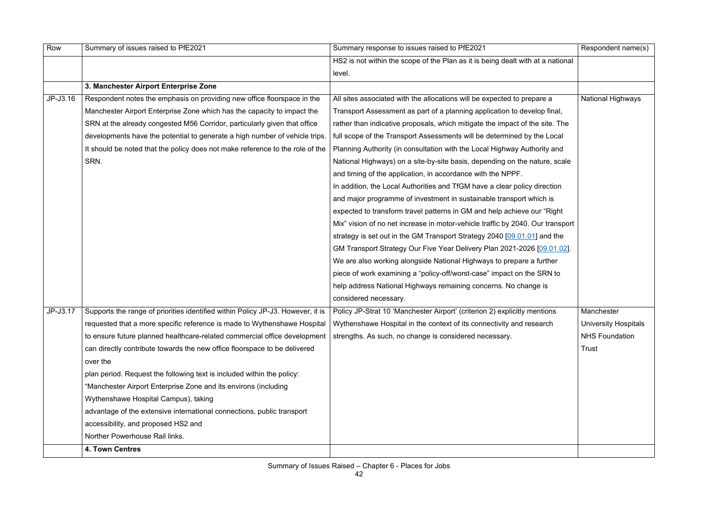| Row      | Summary of issues raised to PfE2021                                             | Summary response to issues raised to PfE2021                                    | Respondent name(s)          |
|----------|---------------------------------------------------------------------------------|---------------------------------------------------------------------------------|-----------------------------|
|          |                                                                                 | HS2 is not within the scope of the Plan as it is being dealt with at a national |                             |
|          |                                                                                 | level.                                                                          |                             |
|          | 3. Manchester Airport Enterprise Zone                                           |                                                                                 |                             |
| JP-J3.16 | Respondent notes the emphasis on providing new office floorspace in the         | All sites associated with the allocations will be expected to prepare a         | <b>National Highways</b>    |
|          | Manchester Airport Enterprise Zone which has the capacity to impact the         | Transport Assessment as part of a planning application to develop final,        |                             |
|          | SRN at the already congested M56 Corridor, particularly given that office       | rather than indicative proposals, which mitigate the impact of the site. The    |                             |
|          | developments have the potential to generate a high number of vehicle trips.     | full scope of the Transport Assessments will be determined by the Local         |                             |
|          | It should be noted that the policy does not make reference to the role of the   | Planning Authority (in consultation with the Local Highway Authority and        |                             |
|          | SRN.                                                                            | National Highways) on a site-by-site basis, depending on the nature, scale      |                             |
|          |                                                                                 | and timing of the application, in accordance with the NPPF.                     |                             |
|          |                                                                                 | In addition, the Local Authorities and TfGM have a clear policy direction       |                             |
|          |                                                                                 | and major programme of investment in sustainable transport which is             |                             |
|          |                                                                                 | expected to transform travel patterns in GM and help achieve our "Right"        |                             |
|          |                                                                                 | Mix" vision of no net increase in motor-vehicle traffic by 2040. Our transport  |                             |
|          |                                                                                 | strategy is set out in the GM Transport Strategy 2040 [09.01.01] and the        |                             |
|          |                                                                                 | GM Transport Strategy Our Five Year Delivery Plan 2021-2026 [09.01.02].         |                             |
|          |                                                                                 | We are also working alongside National Highways to prepare a further            |                             |
|          |                                                                                 | piece of work examining a "policy-off/worst-case" impact on the SRN to          |                             |
|          |                                                                                 | help address National Highways remaining concerns. No change is                 |                             |
|          |                                                                                 | considered necessary.                                                           |                             |
| JP-J3.17 | Supports the range of priorities identified within Policy JP-J3. However, it is | Policy JP-Strat 10 'Manchester Airport' (criterion 2) explicitly mentions       | Manchester                  |
|          | requested that a more specific reference is made to Wythenshawe Hospital        | Wythenshawe Hospital in the context of its connectivity and research            | <b>University Hospitals</b> |
|          | to ensure future planned healthcare-related commercial office development       | strengths. As such, no change is considered necessary.                          | <b>NHS Foundation</b>       |
|          | can directly contribute towards the new office floorspace to be delivered       |                                                                                 | Trust                       |
|          | over the                                                                        |                                                                                 |                             |
|          | plan period. Request the following text is included within the policy:          |                                                                                 |                             |
|          | "Manchester Airport Enterprise Zone and its environs (including                 |                                                                                 |                             |
|          | Wythenshawe Hospital Campus), taking                                            |                                                                                 |                             |
|          | advantage of the extensive international connections, public transport          |                                                                                 |                             |
|          | accessibility, and proposed HS2 and                                             |                                                                                 |                             |
|          | Norther Powerhouse Rail links.                                                  |                                                                                 |                             |
|          | 4. Town Centres                                                                 |                                                                                 |                             |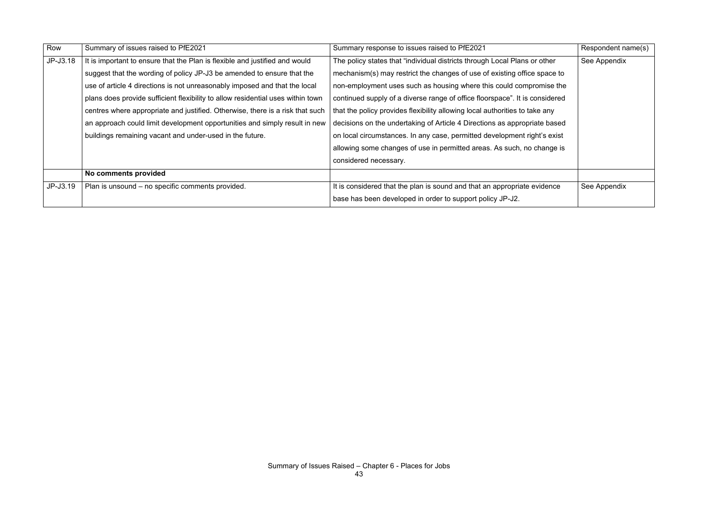| Row      | Summary of issues raised to PfE2021                                             | Summary response to issues raised to PfE2021                                | Respondent name(s) |
|----------|---------------------------------------------------------------------------------|-----------------------------------------------------------------------------|--------------------|
| JP-J3.18 | It is important to ensure that the Plan is flexible and justified and would     | The policy states that "individual districts through Local Plans or other   | See Appendix       |
|          | suggest that the wording of policy JP-J3 be amended to ensure that the          | mechanism(s) may restrict the changes of use of existing office space to    |                    |
|          | use of article 4 directions is not unreasonably imposed and that the local      | non-employment uses such as housing where this could compromise the         |                    |
|          | plans does provide sufficient flexibility to allow residential uses within town | continued supply of a diverse range of office floorspace". It is considered |                    |
|          | centres where appropriate and justified. Otherwise, there is a risk that such   | that the policy provides flexibility allowing local authorities to take any |                    |
|          | an approach could limit development opportunities and simply result in new      | decisions on the undertaking of Article 4 Directions as appropriate based   |                    |
|          | buildings remaining vacant and under-used in the future.                        | on local circumstances. In any case, permitted development right's exist    |                    |
|          |                                                                                 | allowing some changes of use in permitted areas. As such, no change is      |                    |
|          |                                                                                 | considered necessary.                                                       |                    |
|          | No comments provided                                                            |                                                                             |                    |
| JP-J3.19 | Plan is unsound - no specific comments provided.                                | It is considered that the plan is sound and that an appropriate evidence    | See Appendix       |
|          |                                                                                 | base has been developed in order to support policy JP-J2.                   |                    |

|          | Respondent name(s) |
|----------|--------------------|
| ∖ther    | See Appendix       |
| pace to  |                    |
| nise the |                    |
| sidered  |                    |
| any      |                    |
| based !  |                    |
| s exist  |                    |
| ange is  |                    |
|          |                    |
|          |                    |
| dence    | See Appendix       |
|          |                    |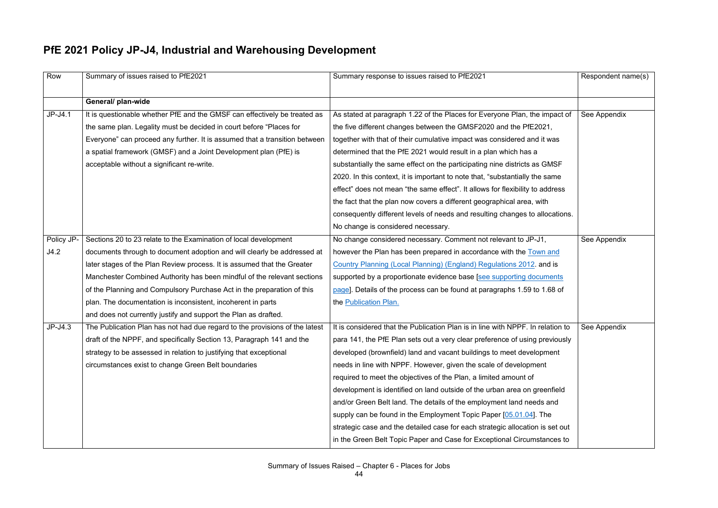# **PfE 2021 Policy JP-J4, Industrial and Warehousing Development**

| Row        | Summary of issues raised to PfE2021                                         | Summary response to issues raised to PfE2021                                    | Respondent name(s) |
|------------|-----------------------------------------------------------------------------|---------------------------------------------------------------------------------|--------------------|
|            |                                                                             |                                                                                 |                    |
|            | General/ plan-wide                                                          |                                                                                 |                    |
| $JP-J4.1$  | It is questionable whether PfE and the GMSF can effectively be treated as   | As stated at paragraph 1.22 of the Places for Everyone Plan, the impact of      | See Appendix       |
|            | the same plan. Legality must be decided in court before "Places for         | the five different changes between the GMSF2020 and the PfE2021,                |                    |
|            | Everyone" can proceed any further. It is assumed that a transition between  | together with that of their cumulative impact was considered and it was         |                    |
|            | a spatial framework (GMSF) and a Joint Development plan (PfE) is            | determined that the PfE 2021 would result in a plan which has a                 |                    |
|            | acceptable without a significant re-write.                                  | substantially the same effect on the participating nine districts as GMSF       |                    |
|            |                                                                             | 2020. In this context, it is important to note that, "substantially the same    |                    |
|            |                                                                             | effect" does not mean "the same effect". It allows for flexibility to address   |                    |
|            |                                                                             | the fact that the plan now covers a different geographical area, with           |                    |
|            |                                                                             | consequently different levels of needs and resulting changes to allocations.    |                    |
|            |                                                                             | No change is considered necessary.                                              |                    |
| Policy JP- | Sections 20 to 23 relate to the Examination of local development            | No change considered necessary. Comment not relevant to JP-J1,                  | See Appendix       |
| J4.2       | documents through to document adoption and will clearly be addressed at     | however the Plan has been prepared in accordance with the Town and              |                    |
|            | later stages of the Plan Review process. It is assumed that the Greater     | Country Planning (Local Planning) (England) Regulations 2012, and is            |                    |
|            | Manchester Combined Authority has been mindful of the relevant sections     | supported by a proportionate evidence base [see supporting documents            |                    |
|            | of the Planning and Compulsory Purchase Act in the preparation of this      | page]. Details of the process can be found at paragraphs 1.59 to 1.68 of        |                    |
|            | plan. The documentation is inconsistent, incoherent in parts                | the Publication Plan.                                                           |                    |
|            | and does not currently justify and support the Plan as drafted.             |                                                                                 |                    |
| $JP-J4.3$  | The Publication Plan has not had due regard to the provisions of the latest | It is considered that the Publication Plan is in line with NPPF. In relation to | See Appendix       |
|            | draft of the NPPF, and specifically Section 13, Paragraph 141 and the       | para 141, the PfE Plan sets out a very clear preference of using previously     |                    |
|            | strategy to be assessed in relation to justifying that exceptional          | developed (brownfield) land and vacant buildings to meet development            |                    |
|            | circumstances exist to change Green Belt boundaries                         | needs in line with NPPF. However, given the scale of development                |                    |
|            |                                                                             | required to meet the objectives of the Plan, a limited amount of                |                    |
|            |                                                                             | development is identified on land outside of the urban area on greenfield       |                    |
|            |                                                                             | and/or Green Belt land. The details of the employment land needs and            |                    |
|            |                                                                             | supply can be found in the Employment Topic Paper [05.01.04]. The               |                    |
|            |                                                                             | strategic case and the detailed case for each strategic allocation is set out   |                    |
|            |                                                                             | in the Green Belt Topic Paper and Case for Exceptional Circumstances to         |                    |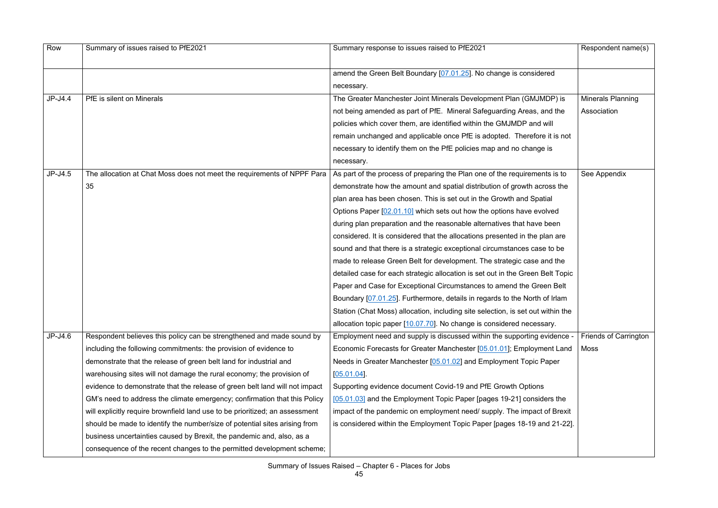| Row       | Summary of issues raised to PfE2021                                          | Summary response to issues raised to PfE2021                                    | Respondent name(s)           |
|-----------|------------------------------------------------------------------------------|---------------------------------------------------------------------------------|------------------------------|
|           |                                                                              | amend the Green Belt Boundary [07.01.25]. No change is considered               |                              |
|           |                                                                              | necessary.                                                                      |                              |
| JP-J4.4   | PfE is silent on Minerals                                                    | The Greater Manchester Joint Minerals Development Plan (GMJMDP) is              | <b>Minerals Planning</b>     |
|           |                                                                              | not being amended as part of PfE. Mineral Safeguarding Areas, and the           | Association                  |
|           |                                                                              | policies which cover them, are identified within the GMJMDP and will            |                              |
|           |                                                                              | remain unchanged and applicable once PfE is adopted. Therefore it is not        |                              |
|           |                                                                              | necessary to identify them on the PfE policies map and no change is             |                              |
|           |                                                                              | necessary.                                                                      |                              |
| $JP-J4.5$ | The allocation at Chat Moss does not meet the requirements of NPPF Para      | As part of the process of preparing the Plan one of the requirements is to      | See Appendix                 |
|           | 35                                                                           | demonstrate how the amount and spatial distribution of growth across the        |                              |
|           |                                                                              | plan area has been chosen. This is set out in the Growth and Spatial            |                              |
|           |                                                                              | Options Paper [02.01.10] which sets out how the options have evolved            |                              |
|           |                                                                              | during plan preparation and the reasonable alternatives that have been          |                              |
|           |                                                                              | considered. It is considered that the allocations presented in the plan are     |                              |
|           |                                                                              | sound and that there is a strategic exceptional circumstances case to be        |                              |
|           |                                                                              | made to release Green Belt for development. The strategic case and the          |                              |
|           |                                                                              | detailed case for each strategic allocation is set out in the Green Belt Topic  |                              |
|           |                                                                              | Paper and Case for Exceptional Circumstances to amend the Green Belt            |                              |
|           |                                                                              | Boundary [07.01.25]. Furthermore, details in regards to the North of Irlam      |                              |
|           |                                                                              | Station (Chat Moss) allocation, including site selection, is set out within the |                              |
|           |                                                                              | allocation topic paper [10.07.70]. No change is considered necessary.           |                              |
| $JP-J4.6$ | Respondent believes this policy can be strengthened and made sound by        | Employment need and supply is discussed within the supporting evidence -        | <b>Friends of Carrington</b> |
|           | including the following commitments: the provision of evidence to            | Economic Forecasts for Greater Manchester [05.01.01]; Employment Land           | Moss                         |
|           | demonstrate that the release of green belt land for industrial and           | Needs in Greater Manchester [05.01.02] and Employment Topic Paper               |                              |
|           | warehousing sites will not damage the rural economy; the provision of        | $[05.01.04]$ .                                                                  |                              |
|           | evidence to demonstrate that the release of green belt land will not impact  | Supporting evidence document Covid-19 and PfE Growth Options                    |                              |
|           | GM's need to address the climate emergency; confirmation that this Policy    | [05.01.03] and the Employment Topic Paper [pages 19-21] considers the           |                              |
|           | will explicitly require brownfield land use to be prioritized; an assessment | impact of the pandemic on employment need/ supply. The impact of Brexit         |                              |
|           | should be made to identify the number/size of potential sites arising from   | is considered within the Employment Topic Paper [pages 18-19 and 21-22].        |                              |
|           | business uncertainties caused by Brexit, the pandemic and, also, as a        |                                                                                 |                              |
|           | consequence of the recent changes to the permitted development scheme;       |                                                                                 |                              |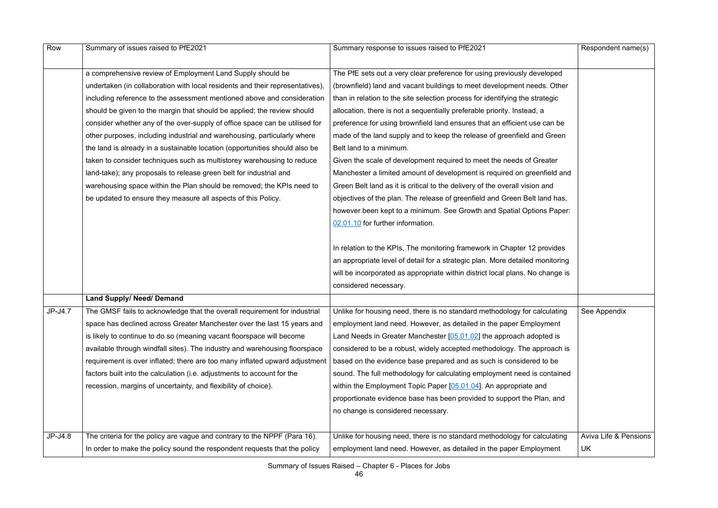| Row     | Summary of issues raised to PfE2021                                           | Summary response to issues raised to PfE2021                                  | Respondent name(s)               |
|---------|-------------------------------------------------------------------------------|-------------------------------------------------------------------------------|----------------------------------|
|         |                                                                               |                                                                               |                                  |
|         | a comprehensive review of Employment Land Supply should be                    | The PfE sets out a very clear preference for using previously developed       |                                  |
|         | undertaken (in collaboration with local residents and their representatives), | (brownfield) land and vacant buildings to meet development needs. Other       |                                  |
|         | including reference to the assessment mentioned above and consideration       | than in relation to the site selection process for identifying the strategic  |                                  |
|         | should be given to the margin that should be applied; the review should       | allocation, there is not a sequentially preferable priority. Instead, a       |                                  |
|         | consider whether any of the over-supply of office space can be utilised for   | preference for using brownfield land ensures that an efficient use can be     |                                  |
|         | other purposes, including industrial and warehousing, particularly where      | made of the land supply and to keep the release of greenfield and Green       |                                  |
|         | the land is already in a sustainable location (opportunities should also be   | Belt land to a minimum.                                                       |                                  |
|         | taken to consider techniques such as multistorey warehousing to reduce        | Given the scale of development required to meet the needs of Greater          |                                  |
|         | land-take); any proposals to release green belt for industrial and            | Manchester a limited amount of development is required on greenfield and      |                                  |
|         | warehousing space within the Plan should be removed; the KPIs need to         | Green Belt land as it is critical to the delivery of the overall vision and   |                                  |
|         | be updated to ensure they measure all aspects of this Policy.                 | objectives of the plan. The release of greenfield and Green Belt land has,    |                                  |
|         |                                                                               | however been kept to a minimum. See Growth and Spatial Options Paper:         |                                  |
|         |                                                                               | 02.01.10 for further information.                                             |                                  |
|         |                                                                               |                                                                               |                                  |
|         |                                                                               | In relation to the KPIs, The monitoring framework in Chapter 12 provides      |                                  |
|         |                                                                               | an appropriate level of detail for a strategic plan. More detailed monitoring |                                  |
|         |                                                                               | will be incorporated as appropriate within district local plans. No change is |                                  |
|         |                                                                               | considered necessary.                                                         |                                  |
|         | <b>Land Supply/ Need/ Demand</b>                                              |                                                                               |                                  |
| JP-J4.7 | The GMSF fails to acknowledge that the overall requirement for industrial     | Unlike for housing need, there is no standard methodology for calculating     | See Appendix                     |
|         | space has declined across Greater Manchester over the last 15 years and       | employment land need. However, as detailed in the paper Employment            |                                  |
|         | is likely to continue to do so (meaning vacant floorspace will become         | Land Needs in Greater Manchester [05.01.02] the approach adopted is           |                                  |
|         | available through windfall sites). The industry and warehousing floorspace    | considered to be a robust, widely accepted methodology. The approach is       |                                  |
|         | requirement is over inflated; there are too many inflated upward adjustment   | based on the evidence base prepared and as such is considered to be           |                                  |
|         | factors built into the calculation (i.e. adjustments to account for the       | sound. The full methodology for calculating employment need is contained      |                                  |
|         | recession, margins of uncertainty, and flexibility of choice).                | within the Employment Topic Paper [05.01.04]. An appropriate and              |                                  |
|         |                                                                               | proportionate evidence base has been provided to support the Plan, and        |                                  |
|         |                                                                               | no change is considered necessary.                                            |                                  |
|         |                                                                               |                                                                               |                                  |
| JP-J4.8 | The criteria for the policy are vague and contrary to the NPPF (Para 16).     | Unlike for housing need, there is no standard methodology for calculating     | <b>Aviva Life &amp; Pensions</b> |
|         | In order to make the policy sound the respondent requests that the policy     | employment land need. However, as detailed in the paper Employment            | UK                               |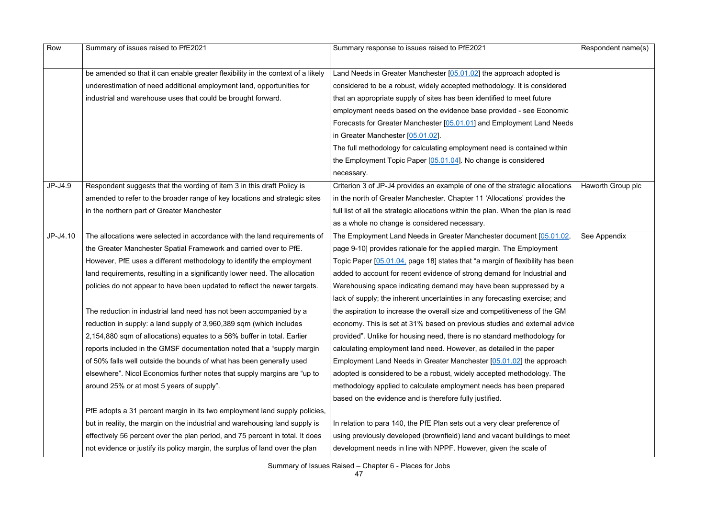| Row       | Summary of issues raised to PfE2021                                             | Summary response to issues raised to PfE2021                                      | Respondent name(s) |
|-----------|---------------------------------------------------------------------------------|-----------------------------------------------------------------------------------|--------------------|
|           |                                                                                 |                                                                                   |                    |
|           | be amended so that it can enable greater flexibility in the context of a likely | Land Needs in Greater Manchester [05.01.02] the approach adopted is               |                    |
|           | underestimation of need additional employment land, opportunities for           | considered to be a robust, widely accepted methodology. It is considered          |                    |
|           | industrial and warehouse uses that could be brought forward.                    | that an appropriate supply of sites has been identified to meet future            |                    |
|           |                                                                                 | employment needs based on the evidence base provided - see Economic               |                    |
|           |                                                                                 | Forecasts for Greater Manchester [05.01.01] and Employment Land Needs             |                    |
|           |                                                                                 | in Greater Manchester [05.01.02].                                                 |                    |
|           |                                                                                 | The full methodology for calculating employment need is contained within          |                    |
|           |                                                                                 | the Employment Topic Paper [05.01.04]. No change is considered                    |                    |
|           |                                                                                 | necessary.                                                                        |                    |
| $JP-J4.9$ | Respondent suggests that the wording of item 3 in this draft Policy is          | Criterion 3 of JP-J4 provides an example of one of the strategic allocations      | Haworth Group plc  |
|           | amended to refer to the broader range of key locations and strategic sites      | in the north of Greater Manchester. Chapter 11 'Allocations' provides the         |                    |
|           | in the northern part of Greater Manchester                                      | full list of all the strategic allocations within the plan. When the plan is read |                    |
|           |                                                                                 | as a whole no change is considered necessary.                                     |                    |
| JP-J4.10  | The allocations were selected in accordance with the land requirements of       | The Employment Land Needs in Greater Manchester document [05.01.02,               | See Appendix       |
|           | the Greater Manchester Spatial Framework and carried over to PfE.               | page 9-10] provides rationale for the applied margin. The Employment              |                    |
|           | However, PfE uses a different methodology to identify the employment            | Topic Paper [05.01.04, page 18] states that "a margin of flexibility has been     |                    |
|           | land requirements, resulting in a significantly lower need. The allocation      | added to account for recent evidence of strong demand for Industrial and          |                    |
|           | policies do not appear to have been updated to reflect the newer targets.       | Warehousing space indicating demand may have been suppressed by a                 |                    |
|           |                                                                                 | lack of supply; the inherent uncertainties in any forecasting exercise; and       |                    |
|           | The reduction in industrial land need has not been accompanied by a             | the aspiration to increase the overall size and competitiveness of the GM         |                    |
|           | reduction in supply: a land supply of 3,960,389 sqm (which includes             | economy. This is set at 31% based on previous studies and external advice         |                    |
|           | 2,154,880 sqm of allocations) equates to a 56% buffer in total. Earlier         | provided". Unlike for housing need, there is no standard methodology for          |                    |
|           | reports included in the GMSF documentation noted that a "supply margin"         | calculating employment land need. However, as detailed in the paper               |                    |
|           | of 50% falls well outside the bounds of what has been generally used            | Employment Land Needs in Greater Manchester [05.01.02] the approach               |                    |
|           | elsewhere". Nicol Economics further notes that supply margins are "up to        | adopted is considered to be a robust, widely accepted methodology. The            |                    |
|           | around 25% or at most 5 years of supply".                                       | methodology applied to calculate employment needs has been prepared               |                    |
|           |                                                                                 | based on the evidence and is therefore fully justified.                           |                    |
|           | PfE adopts a 31 percent margin in its two employment land supply policies,      |                                                                                   |                    |
|           | but in reality, the margin on the industrial and warehousing land supply is     | In relation to para 140, the PfE Plan sets out a very clear preference of         |                    |
|           | effectively 56 percent over the plan period, and 75 percent in total. It does   | using previously developed (brownfield) land and vacant buildings to meet         |                    |
|           | not evidence or justify its policy margin, the surplus of land over the plan    | development needs in line with NPPF. However, given the scale of                  |                    |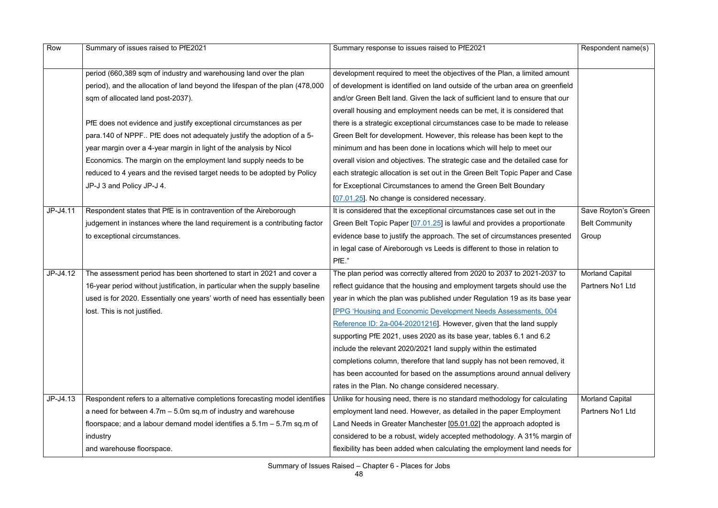| Row      | Summary of issues raised to PfE2021                                          | Summary response to issues raised to PfE2021                                 | Respondent name(s)     |
|----------|------------------------------------------------------------------------------|------------------------------------------------------------------------------|------------------------|
|          |                                                                              |                                                                              |                        |
|          | period (660,389 sqm of industry and warehousing land over the plan           | development required to meet the objectives of the Plan, a limited amount    |                        |
|          | period), and the allocation of land beyond the lifespan of the plan (478,000 | of development is identified on land outside of the urban area on greenfield |                        |
|          | sqm of allocated land post-2037).                                            | and/or Green Belt land. Given the lack of sufficient land to ensure that our |                        |
|          |                                                                              | overall housing and employment needs can be met, it is considered that       |                        |
|          | PfE does not evidence and justify exceptional circumstances as per           | there is a strategic exceptional circumstances case to be made to release    |                        |
|          | para.140 of NPPF PfE does not adequately justify the adoption of a 5-        | Green Belt for development. However, this release has been kept to the       |                        |
|          | year margin over a 4-year margin in light of the analysis by Nicol           | minimum and has been done in locations which will help to meet our           |                        |
|          | Economics. The margin on the employment land supply needs to be              | overall vision and objectives. The strategic case and the detailed case for  |                        |
|          | reduced to 4 years and the revised target needs to be adopted by Policy      | each strategic allocation is set out in the Green Belt Topic Paper and Case  |                        |
|          | JP-J 3 and Policy JP-J 4.                                                    | for Exceptional Circumstances to amend the Green Belt Boundary               |                        |
|          |                                                                              | [07.01.25]. No change is considered necessary.                               |                        |
| JP-J4.11 | Respondent states that PfE is in contravention of the Aireborough            | It is considered that the exceptional circumstances case set out in the      | Save Royton's Green    |
|          | judgement in instances where the land requirement is a contributing factor   | Green Belt Topic Paper [07.01.25] is lawful and provides a proportionate     | <b>Belt Community</b>  |
|          | to exceptional circumstances.                                                | evidence base to justify the approach. The set of circumstances presented    | Group                  |
|          |                                                                              | in legal case of Aireborough vs Leeds is different to those in relation to   |                        |
|          |                                                                              | PfE."                                                                        |                        |
| JP-J4.12 | The assessment period has been shortened to start in 2021 and cover a        | The plan period was correctly altered from 2020 to 2037 to 2021-2037 to      | <b>Morland Capital</b> |
|          | 16-year period without justification, in particular when the supply baseline | reflect guidance that the housing and employment targets should use the      | Partners No1 Ltd       |
|          | used is for 2020. Essentially one years' worth of need has essentially been  | year in which the plan was published under Regulation 19 as its base year    |                        |
|          | lost. This is not justified.                                                 | <b>PPG 'Housing and Economic Development Needs Assessments, 004</b>          |                        |
|          |                                                                              | Reference ID: 2a-004-20201216]. However, given that the land supply          |                        |
|          |                                                                              | supporting PfE 2021, uses 2020 as its base year, tables 6.1 and 6.2          |                        |
|          |                                                                              | include the relevant 2020/2021 land supply within the estimated              |                        |
|          |                                                                              | completions column, therefore that land supply has not been removed, it      |                        |
|          |                                                                              | has been accounted for based on the assumptions around annual delivery       |                        |
|          |                                                                              | rates in the Plan. No change considered necessary.                           |                        |
| JP-J4.13 | Respondent refers to a alternative completions forecasting model identifies  | Unlike for housing need, there is no standard methodology for calculating    | <b>Morland Capital</b> |
|          | a need for between $4.7m - 5.0m$ sq.m of industry and warehouse              | employment land need. However, as detailed in the paper Employment           | Partners No1 Ltd       |
|          | floorspace; and a labour demand model identifies a $5.1m - 5.7m$ sq.m of     | Land Needs in Greater Manchester [05.01.02] the approach adopted is          |                        |
|          | industry                                                                     | considered to be a robust, widely accepted methodology. A 31% margin of      |                        |
|          | and warehouse floorspace.                                                    | flexibility has been added when calculating the employment land needs for    |                        |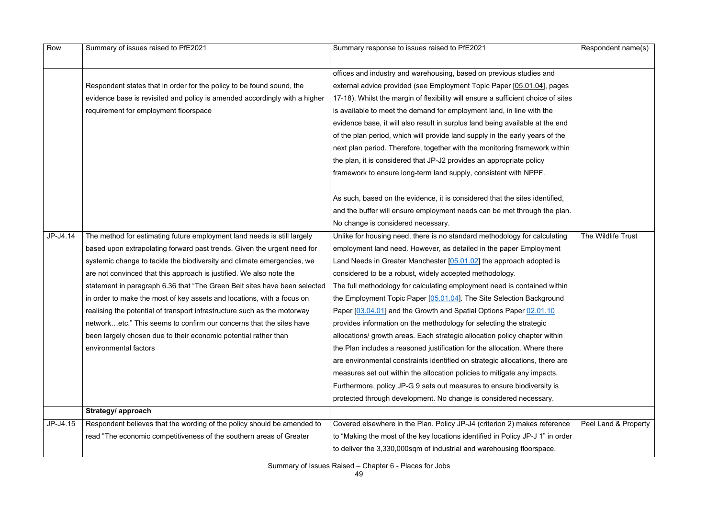| Row      | Summary of issues raised to PfE2021                                        | Summary response to issues raised to PfE2021                                      | Respondent name(s)   |
|----------|----------------------------------------------------------------------------|-----------------------------------------------------------------------------------|----------------------|
|          |                                                                            |                                                                                   |                      |
|          |                                                                            | offices and industry and warehousing, based on previous studies and               |                      |
|          | Respondent states that in order for the policy to be found sound, the      | external advice provided (see Employment Topic Paper [05.01.04], pages            |                      |
|          | evidence base is revisited and policy is amended accordingly with a higher | 17-18). Whilst the margin of flexibility will ensure a sufficient choice of sites |                      |
|          | requirement for employment floorspace                                      | is available to meet the demand for employment land, in line with the             |                      |
|          |                                                                            | evidence base, it will also result in surplus land being available at the end     |                      |
|          |                                                                            | of the plan period, which will provide land supply in the early years of the      |                      |
|          |                                                                            | next plan period. Therefore, together with the monitoring framework within        |                      |
|          |                                                                            | the plan, it is considered that JP-J2 provides an appropriate policy              |                      |
|          |                                                                            | framework to ensure long-term land supply, consistent with NPPF.                  |                      |
|          |                                                                            | As such, based on the evidence, it is considered that the sites identified,       |                      |
|          |                                                                            | and the buffer will ensure employment needs can be met through the plan.          |                      |
|          |                                                                            | No change is considered necessary.                                                |                      |
| JP-J4.14 | The method for estimating future employment land needs is still largely    | Unlike for housing need, there is no standard methodology for calculating         | The Wildlife Trust   |
|          | based upon extrapolating forward past trends. Given the urgent need for    | employment land need. However, as detailed in the paper Employment                |                      |
|          | systemic change to tackle the biodiversity and climate emergencies, we     | Land Needs in Greater Manchester $[05.01.02]$ the approach adopted is             |                      |
|          | are not convinced that this approach is justified. We also note the        | considered to be a robust, widely accepted methodology.                           |                      |
|          | statement in paragraph 6.36 that "The Green Belt sites have been selected  | The full methodology for calculating employment need is contained within          |                      |
|          | in order to make the most of key assets and locations, with a focus on     | the Employment Topic Paper [05.01.04]. The Site Selection Background              |                      |
|          | realising the potential of transport infrastructure such as the motorway   | Paper [03.04.01] and the Growth and Spatial Options Paper 02.01.10                |                      |
|          | networketc." This seems to confirm our concerns that the sites have        | provides information on the methodology for selecting the strategic               |                      |
|          | been largely chosen due to their economic potential rather than            | allocations/ growth areas. Each strategic allocation policy chapter within        |                      |
|          | environmental factors                                                      | the Plan includes a reasoned justification for the allocation. Where there        |                      |
|          |                                                                            | are environmental constraints identified on strategic allocations, there are      |                      |
|          |                                                                            | measures set out within the allocation policies to mitigate any impacts.          |                      |
|          |                                                                            | Furthermore, policy JP-G 9 sets out measures to ensure biodiversity is            |                      |
|          |                                                                            | protected through development. No change is considered necessary.                 |                      |
|          | Strategy/ approach                                                         |                                                                                   |                      |
| JP-J4.15 | Respondent believes that the wording of the policy should be amended to    | Covered elsewhere in the Plan. Policy JP-J4 (criterion 2) makes reference         | Peel Land & Property |
|          | read "The economic competitiveness of the southern areas of Greater        | to "Making the most of the key locations identified in Policy JP-J 1" in order    |                      |
|          |                                                                            | to deliver the 3,330,000sqm of industrial and warehousing floorspace.             |                      |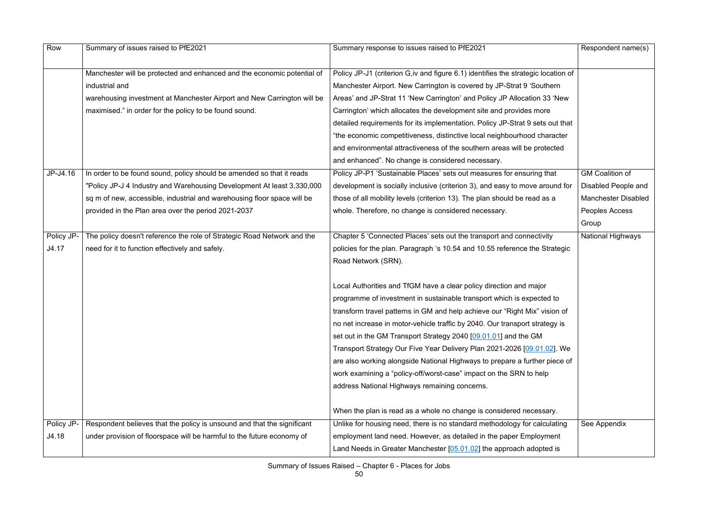| Row        | Summary of issues raised to PfE2021                                     | Summary response to issues raised to PfE2021                                       | Respondent name(s)         |
|------------|-------------------------------------------------------------------------|------------------------------------------------------------------------------------|----------------------------|
|            | Manchester will be protected and enhanced and the economic potential of | Policy JP-J1 (criterion G, iv and figure 6.1) identifies the strategic location of |                            |
|            | industrial and                                                          | Manchester Airport. New Carrington is covered by JP-Strat 9 'Southern              |                            |
|            | warehousing investment at Manchester Airport and New Carrington will be | Areas' and JP-Strat 11 'New Carrington' and Policy JP Allocation 33 'New           |                            |
|            | maximised." in order for the policy to be found sound.                  | Carrington' which allocates the development site and provides more                 |                            |
|            |                                                                         | detailed requirements for its implementation. Policy JP-Strat 9 sets out that      |                            |
|            |                                                                         | "the economic competitiveness, distinctive local neighbourhood character           |                            |
|            |                                                                         | and environmental attractiveness of the southern areas will be protected           |                            |
|            |                                                                         | and enhanced". No change is considered necessary.                                  |                            |
| JP-J4.16   | In order to be found sound, policy should be amended so that it reads   | Policy JP-P1 'Sustainable Places' sets out measures for ensuring that              | <b>GM Coalition of</b>     |
|            | "Policy JP-J 4 Industry and Warehousing Development At least 3,330,000  | development is socially inclusive (criterion 3), and easy to move around for       | Disabled People and        |
|            | sq m of new, accessible, industrial and warehousing floor space will be | those of all mobility levels (criterion 13). The plan should be read as a          | <b>Manchester Disabled</b> |
|            | provided in the Plan area over the period 2021-2037                     | whole. Therefore, no change is considered necessary.                               | Peoples Access             |
|            |                                                                         |                                                                                    | Group                      |
| Policy JP- | The policy doesn't reference the role of Strategic Road Network and the | Chapter 5 'Connected Places' sets out the transport and connectivity               | <b>National Highways</b>   |
| J4.17      | need for it to function effectively and safely.                         | policies for the plan. Paragraph 's 10.54 and 10.55 reference the Strategic        |                            |
|            |                                                                         | Road Network (SRN).                                                                |                            |
|            |                                                                         |                                                                                    |                            |
|            |                                                                         | Local Authorities and TfGM have a clear policy direction and major                 |                            |
|            |                                                                         | programme of investment in sustainable transport which is expected to              |                            |
|            |                                                                         | transform travel patterns in GM and help achieve our "Right Mix" vision of         |                            |
|            |                                                                         | no net increase in motor-vehicle traffic by 2040. Our transport strategy is        |                            |
|            |                                                                         | set out in the GM Transport Strategy 2040 [09.01.01] and the GM                    |                            |
|            |                                                                         | Transport Strategy Our Five Year Delivery Plan 2021-2026 [09.01.02]. We            |                            |
|            |                                                                         | are also working alongside National Highways to prepare a further piece of         |                            |
|            |                                                                         | work examining a "policy-off/worst-case" impact on the SRN to help                 |                            |
|            |                                                                         | address National Highways remaining concerns.                                      |                            |
|            |                                                                         | When the plan is read as a whole no change is considered necessary.                |                            |
| Policy JP- | Respondent believes that the policy is unsound and that the significant | Unlike for housing need, there is no standard methodology for calculating          | See Appendix               |
| J4.18      | under provision of floorspace will be harmful to the future economy of  | employment land need. However, as detailed in the paper Employment                 |                            |
|            |                                                                         | Land Needs in Greater Manchester [05.01.02] the approach adopted is                |                            |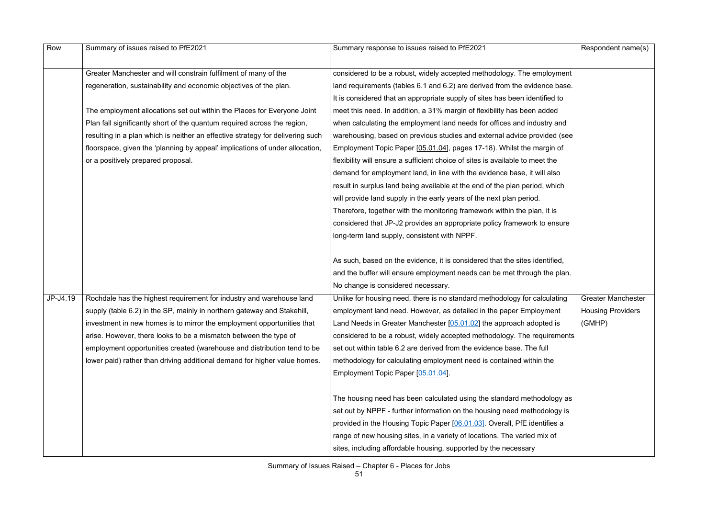| Row      | Summary of issues raised to PfE2021                                            | Summary response to issues raised to PfE2021                                  | Respondent name(s)        |
|----------|--------------------------------------------------------------------------------|-------------------------------------------------------------------------------|---------------------------|
|          | Greater Manchester and will constrain fulfilment of many of the                | considered to be a robust, widely accepted methodology. The employment        |                           |
|          | regeneration, sustainability and economic objectives of the plan.              | land requirements (tables 6.1 and 6.2) are derived from the evidence base.    |                           |
|          |                                                                                | It is considered that an appropriate supply of sites has been identified to   |                           |
|          | The employment allocations set out within the Places for Everyone Joint        | meet this need. In addition, a 31% margin of flexibility has been added       |                           |
|          | Plan fall significantly short of the quantum required across the region,       | when calculating the employment land needs for offices and industry and       |                           |
|          | resulting in a plan which is neither an effective strategy for delivering such | warehousing, based on previous studies and external advice provided (see      |                           |
|          | floorspace, given the 'planning by appeal' implications of under allocation,   | Employment Topic Paper [05.01.04], pages 17-18). Whilst the margin of         |                           |
|          | or a positively prepared proposal.                                             | flexibility will ensure a sufficient choice of sites is available to meet the |                           |
|          |                                                                                | demand for employment land, in line with the evidence base, it will also      |                           |
|          |                                                                                | result in surplus land being available at the end of the plan period, which   |                           |
|          |                                                                                | will provide land supply in the early years of the next plan period.          |                           |
|          |                                                                                | Therefore, together with the monitoring framework within the plan, it is      |                           |
|          |                                                                                | considered that JP-J2 provides an appropriate policy framework to ensure      |                           |
|          |                                                                                | long-term land supply, consistent with NPPF.                                  |                           |
|          |                                                                                | As such, based on the evidence, it is considered that the sites identified,   |                           |
|          |                                                                                | and the buffer will ensure employment needs can be met through the plan.      |                           |
|          |                                                                                | No change is considered necessary.                                            |                           |
| JP-J4.19 | Rochdale has the highest requirement for industry and warehouse land           | Unlike for housing need, there is no standard methodology for calculating     | <b>Greater Manchester</b> |
|          | supply (table 6.2) in the SP, mainly in northern gateway and Stakehill,        | employment land need. However, as detailed in the paper Employment            | <b>Housing Providers</b>  |
|          | investment in new homes is to mirror the employment opportunities that         | Land Needs in Greater Manchester [05.01.02] the approach adopted is           | (GMHP)                    |
|          | arise. However, there looks to be a mismatch between the type of               | considered to be a robust, widely accepted methodology. The requirements      |                           |
|          | employment opportunities created (warehouse and distribution tend to be        | set out within table 6.2 are derived from the evidence base. The full         |                           |
|          | lower paid) rather than driving additional demand for higher value homes.      | methodology for calculating employment need is contained within the           |                           |
|          |                                                                                | Employment Topic Paper [05.01.04].                                            |                           |
|          |                                                                                | The housing need has been calculated using the standard methodology as        |                           |
|          |                                                                                | set out by NPPF - further information on the housing need methodology is      |                           |
|          |                                                                                | provided in the Housing Topic Paper [06.01.03]. Overall, PfE identifies a     |                           |
|          |                                                                                | range of new housing sites, in a variety of locations. The varied mix of      |                           |
|          |                                                                                | sites, including affordable housing, supported by the necessary               |                           |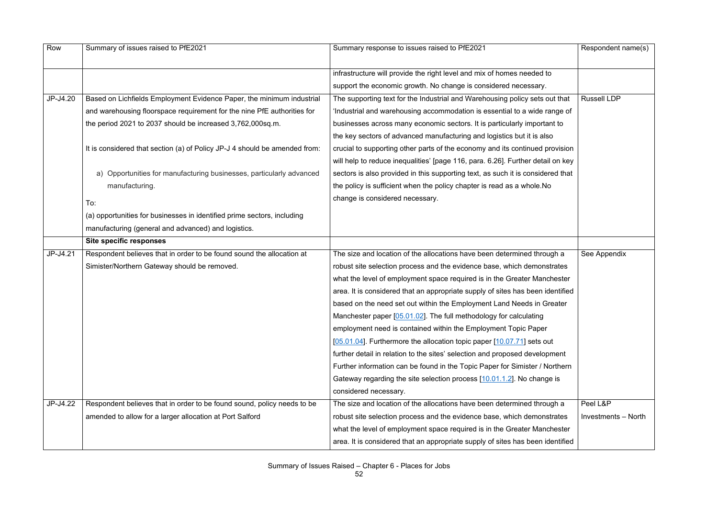| Row      | Summary of issues raised to PfE2021                                        | Summary response to issues raised to PfE2021                                    | Respondent name(s)  |
|----------|----------------------------------------------------------------------------|---------------------------------------------------------------------------------|---------------------|
|          |                                                                            | infrastructure will provide the right level and mix of homes needed to          |                     |
|          |                                                                            | support the economic growth. No change is considered necessary.                 |                     |
| JP-J4.20 | Based on Lichfields Employment Evidence Paper, the minimum industrial      | The supporting text for the Industrial and Warehousing policy sets out that     | <b>Russell LDP</b>  |
|          | and warehousing floorspace requirement for the nine PfE authorities for    | 'Industrial and warehousing accommodation is essential to a wide range of       |                     |
|          | the period 2021 to 2037 should be increased 3,762,000sq.m.                 | businesses across many economic sectors. It is particularly important to        |                     |
|          |                                                                            | the key sectors of advanced manufacturing and logistics but it is also          |                     |
|          | It is considered that section (a) of Policy JP-J 4 should be amended from: | crucial to supporting other parts of the economy and its continued provision    |                     |
|          |                                                                            | will help to reduce inequalities' [page 116, para. 6.26]. Further detail on key |                     |
|          | a) Opportunities for manufacturing businesses, particularly advanced       | sectors is also provided in this supporting text, as such it is considered that |                     |
|          | manufacturing.                                                             | the policy is sufficient when the policy chapter is read as a whole. No         |                     |
|          | To:                                                                        | change is considered necessary.                                                 |                     |
|          | (a) opportunities for businesses in identified prime sectors, including    |                                                                                 |                     |
|          | manufacturing (general and advanced) and logistics.                        |                                                                                 |                     |
|          | <b>Site specific responses</b>                                             |                                                                                 |                     |
| JP-J4.21 | Respondent believes that in order to be found sound the allocation at      | The size and location of the allocations have been determined through a         | See Appendix        |
|          | Simister/Northern Gateway should be removed.                               | robust site selection process and the evidence base, which demonstrates         |                     |
|          |                                                                            | what the level of employment space required is in the Greater Manchester        |                     |
|          |                                                                            | area. It is considered that an appropriate supply of sites has been identified  |                     |
|          |                                                                            | based on the need set out within the Employment Land Needs in Greater           |                     |
|          |                                                                            | Manchester paper $[05.01.02]$ . The full methodology for calculating            |                     |
|          |                                                                            | employment need is contained within the Employment Topic Paper                  |                     |
|          |                                                                            | [05.01.04]. Furthermore the allocation topic paper [10.07.71] sets out          |                     |
|          |                                                                            | further detail in relation to the sites' selection and proposed development     |                     |
|          |                                                                            | Further information can be found in the Topic Paper for Simister / Northern     |                     |
|          |                                                                            | Gateway regarding the site selection process [10.01.1.2]. No change is          |                     |
|          |                                                                            | considered necessary.                                                           |                     |
| JP-J4.22 | Respondent believes that in order to be found sound, policy needs to be    | The size and location of the allocations have been determined through a         | Peel L&P            |
|          | amended to allow for a larger allocation at Port Salford                   | robust site selection process and the evidence base, which demonstrates         | Investments - North |
|          |                                                                            | what the level of employment space required is in the Greater Manchester        |                     |
|          |                                                                            | area. It is considered that an appropriate supply of sites has been identified  |                     |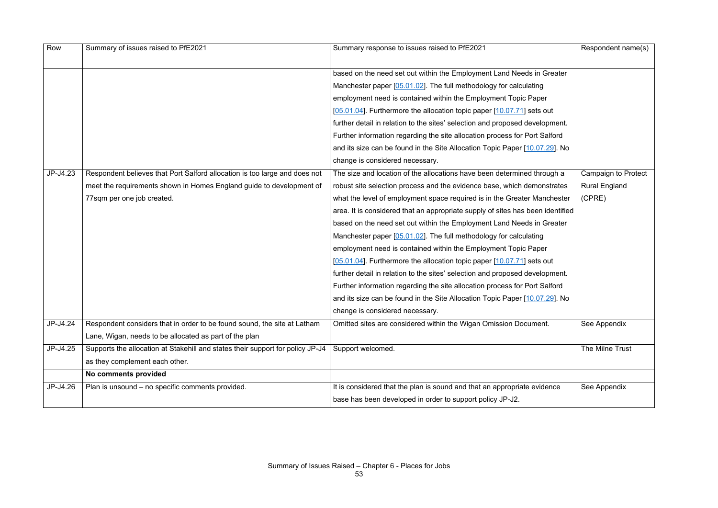| Row      | Summary of issues raised to PfE2021                                            | Summary response to issues raised to PfE2021                                   | Respondent name(s)         |
|----------|--------------------------------------------------------------------------------|--------------------------------------------------------------------------------|----------------------------|
|          |                                                                                | based on the need set out within the Employment Land Needs in Greater          |                            |
|          |                                                                                | Manchester paper [05.01.02]. The full methodology for calculating              |                            |
|          |                                                                                | employment need is contained within the Employment Topic Paper                 |                            |
|          |                                                                                | [05.01.04]. Furthermore the allocation topic paper [10.07.71] sets out         |                            |
|          |                                                                                | further detail in relation to the sites' selection and proposed development.   |                            |
|          |                                                                                | Further information regarding the site allocation process for Port Salford     |                            |
|          |                                                                                | and its size can be found in the Site Allocation Topic Paper [10.07.29]. No    |                            |
|          |                                                                                | change is considered necessary.                                                |                            |
| JP-J4.23 | Respondent believes that Port Salford allocation is too large and does not     | The size and location of the allocations have been determined through a        | <b>Campaign to Protect</b> |
|          | meet the requirements shown in Homes England guide to development of           | robust site selection process and the evidence base, which demonstrates        | <b>Rural England</b>       |
|          | 77sqm per one job created.                                                     | what the level of employment space required is in the Greater Manchester       | (CPRE)                     |
|          |                                                                                | area. It is considered that an appropriate supply of sites has been identified |                            |
|          |                                                                                | based on the need set out within the Employment Land Needs in Greater          |                            |
|          |                                                                                | Manchester paper $[05.01.02]$ . The full methodology for calculating           |                            |
|          |                                                                                | employment need is contained within the Employment Topic Paper                 |                            |
|          |                                                                                | [05.01.04]. Furthermore the allocation topic paper [10.07.71] sets out         |                            |
|          |                                                                                | further detail in relation to the sites' selection and proposed development.   |                            |
|          |                                                                                | Further information regarding the site allocation process for Port Salford     |                            |
|          |                                                                                | and its size can be found in the Site Allocation Topic Paper [10.07.29]. No    |                            |
|          |                                                                                | change is considered necessary.                                                |                            |
| JP-J4.24 | Respondent considers that in order to be found sound, the site at Latham       | Omitted sites are considered within the Wigan Omission Document.               | See Appendix               |
|          | Lane, Wigan, needs to be allocated as part of the plan                         |                                                                                |                            |
| JP-J4.25 | Supports the allocation at Stakehill and states their support for policy JP-J4 | Support welcomed.                                                              | The Milne Trust            |
|          | as they complement each other.                                                 |                                                                                |                            |
|          | No comments provided                                                           |                                                                                |                            |
| JP-J4.26 | Plan is unsound - no specific comments provided.                               | It is considered that the plan is sound and that an appropriate evidence       | See Appendix               |
|          |                                                                                | base has been developed in order to support policy JP-J2.                      |                            |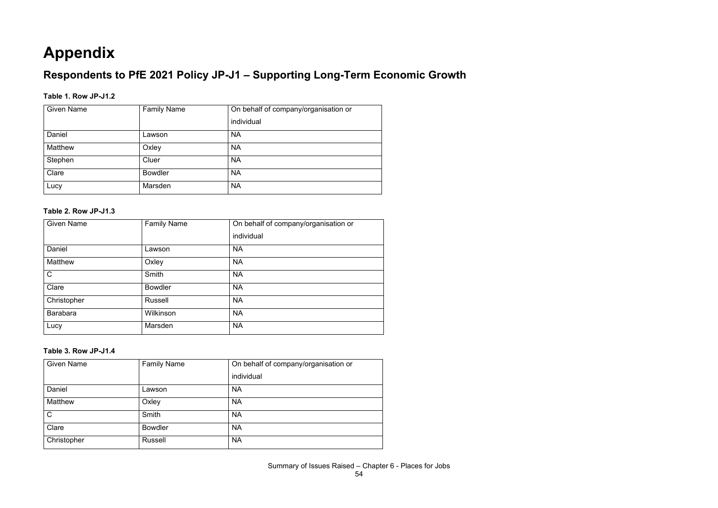# **Appendix**

# **Respondents to PfE 2021 Policy JP-J1 – Supporting Long-Term Economic Growth**

### **Table 1. Row JP-J1.2**

| <b>Given Name</b> | <b>Family Name</b> | On behalf of company/organisation or |
|-------------------|--------------------|--------------------------------------|
|                   |                    | individual                           |
| Daniel            | Lawson             | <b>NA</b>                            |
| <b>Matthew</b>    | Oxley              | <b>NA</b>                            |
| Stephen           | Cluer              | <b>NA</b>                            |
| Clare             | <b>Bowdler</b>     | <b>NA</b>                            |
| Lucy              | Marsden            | <b>NA</b>                            |

#### **Table 2. Row JP-J1.3**

| <b>Given Name</b> | <b>Family Name</b> | On behalf of company/organisation or |
|-------------------|--------------------|--------------------------------------|
|                   |                    | individual                           |
| Daniel            | Lawson             | <b>NA</b>                            |
| <b>Matthew</b>    | Oxley              | <b>NA</b>                            |
| $\mathsf{C}$      | Smith              | <b>NA</b>                            |
| Clare             | <b>Bowdler</b>     | <b>NA</b>                            |
| Christopher       | <b>Russell</b>     | <b>NA</b>                            |
| <b>Barabara</b>   | Wilkinson          | <b>NA</b>                            |
| Lucy              | Marsden            | <b>NA</b>                            |

### **Table 3. Row JP-J1.4**

| <b>Given Name</b> | <b>Family Name</b> | On behalf of company/organisation or |
|-------------------|--------------------|--------------------------------------|
|                   |                    | individual                           |
| Daniel            | Lawson             | <b>NA</b>                            |
| Matthew           | Oxley              | <b>NA</b>                            |
| $\mathsf{C}$      | <b>Smith</b>       | <b>NA</b>                            |
| Clare             | <b>Bowdler</b>     | <b>NA</b>                            |
| Christopher       | <b>Russell</b>     | <b>NA</b>                            |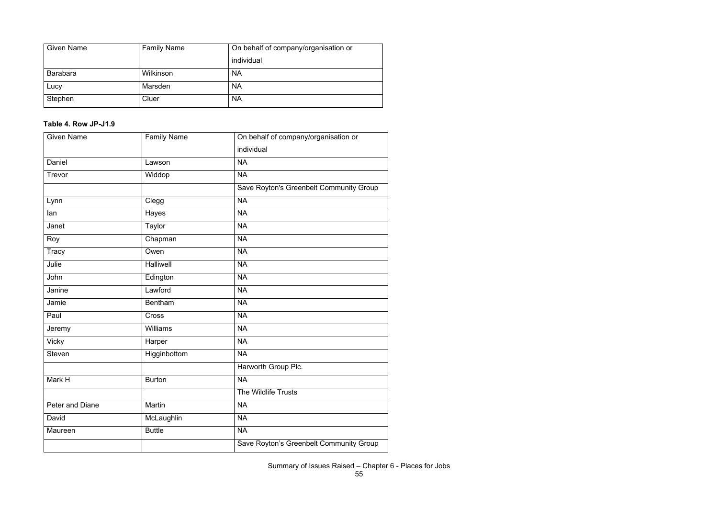| <b>Given Name</b> | <b>Family Name</b> | On behalf of company/organisation or |
|-------------------|--------------------|--------------------------------------|
|                   |                    | individual                           |
| <b>Barabara</b>   | Wilkinson          | <b>NA</b>                            |
| Lucy              | Marsden            | <b>NA</b>                            |
| Stephen           | Cluer              | <b>NA</b>                            |

# **Table 4. Row JP-J1.9**

| <b>Given Name</b> | <b>Family Name</b> | On behalf of company/organisation or    |
|-------------------|--------------------|-----------------------------------------|
|                   |                    | individual                              |
| Daniel            | Lawson             | <b>NA</b>                               |
| Trevor            | Widdop             | <b>NA</b>                               |
|                   |                    | Save Royton's Greenbelt Community Group |
| Lynn              | Clegg              | <b>NA</b>                               |
| lan               | Hayes              | <b>NA</b>                               |
| Janet             | <b>Taylor</b>      | <b>NA</b>                               |
| Roy               | Chapman            | <b>NA</b>                               |
| <b>Tracy</b>      | Owen               | <b>NA</b>                               |
| Julie             | <b>Halliwell</b>   | <b>NA</b>                               |
| John              | Edington           | <b>NA</b>                               |
| Janine            | Lawford            | <b>NA</b>                               |
| Jamie             | <b>Bentham</b>     | <b>NA</b>                               |
| Paul              | Cross              | <b>NA</b>                               |
| Jeremy            | <b>Williams</b>    | <b>NA</b>                               |
| <b>Vicky</b>      | Harper             | <b>NA</b>                               |
| <b>Steven</b>     | Higginbottom       | <b>NA</b>                               |
|                   |                    | Harworth Group Plc.                     |
| Mark H            | <b>Burton</b>      | <b>NA</b>                               |
|                   |                    | The Wildlife Trusts                     |
| Peter and Diane   | Martin             | <b>NA</b>                               |
| David             | McLaughlin         | <b>NA</b>                               |
| Maureen           | <b>Buttle</b>      | <b>NA</b>                               |
|                   |                    | Save Royton's Greenbelt Community Group |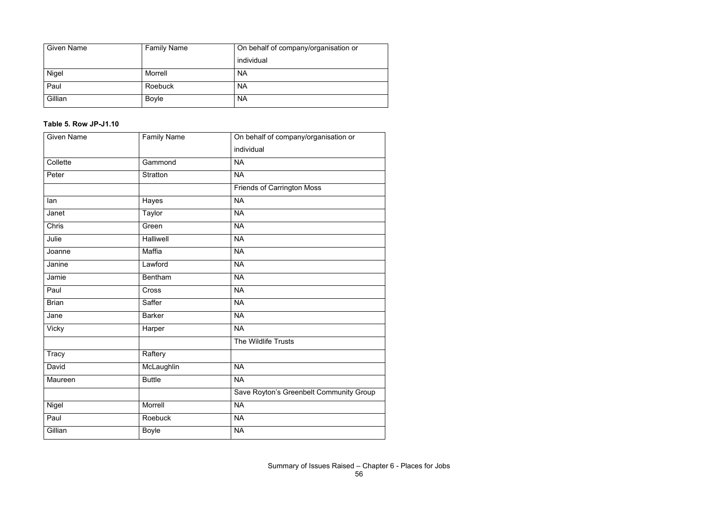| <b>Given Name</b> | <b>Family Name</b> | On behalf of company/organisation or |
|-------------------|--------------------|--------------------------------------|
|                   |                    | individual                           |
| <b>Nigel</b>      | Morrell            | <b>NA</b>                            |
| Paul              | Roebuck            | <b>NA</b>                            |
| Gillian           | <b>Boyle</b>       | <b>NA</b>                            |

# **Table 5. Row JP-J1.10**

| <b>Given Name</b> | <b>Family Name</b> | On behalf of company/organisation or    |
|-------------------|--------------------|-----------------------------------------|
|                   |                    | individual                              |
| Collette          | Gammond            | <b>NA</b>                               |
| Peter             | <b>Stratton</b>    | <b>NA</b>                               |
|                   |                    | <b>Friends of Carrington Moss</b>       |
| lan               | Hayes              | <b>NA</b>                               |
| Janet             | Taylor             | <b>NA</b>                               |
| <b>Chris</b>      | Green              | <b>NA</b>                               |
| Julie             | Halliwell          | <b>NA</b>                               |
| Joanne            | Maffia             | <b>NA</b>                               |
| Janine            | Lawford            | <b>NA</b>                               |
| Jamie             | <b>Bentham</b>     | $\overline{\mathsf{NA}}$                |
| Paul              | Cross              | <b>NA</b>                               |
| <b>Brian</b>      | Saffer             | <b>NA</b>                               |
| Jane              | <b>Barker</b>      | <b>NA</b>                               |
| <b>Vicky</b>      | Harper             | <b>NA</b>                               |
|                   |                    | The Wildlife Trusts                     |
| Tracy             | Raftery            |                                         |
| David             | McLaughlin         | <b>NA</b>                               |
| Maureen           | <b>Buttle</b>      | <b>NA</b>                               |
|                   |                    | Save Royton's Greenbelt Community Group |
| Nigel             | Morrell            | <b>NA</b>                               |
| Paul              | Roebuck            | <b>NA</b>                               |
| Gillian           | <b>Boyle</b>       | <b>NA</b>                               |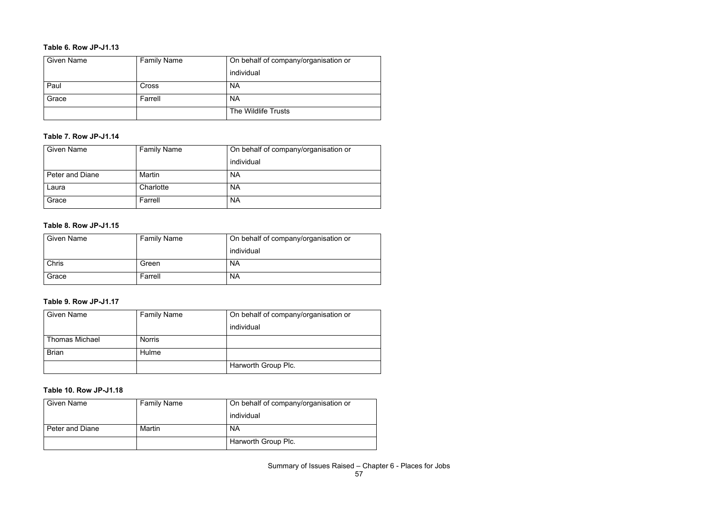#### **Table 6. Row JP-J1.13**

| <b>Given Name</b> | <b>Family Name</b> | On behalf of company/organisation or |
|-------------------|--------------------|--------------------------------------|
|                   |                    | individual                           |
| Paul              | Cross              | <b>NA</b>                            |
| Grace             | Farrell            | <b>NA</b>                            |
|                   |                    | The Wildlife Trusts                  |

#### **Table 7. Row JP-J1.14**

| <b>Given Name</b> | <b>Family Name</b> | On behalf of company/organisation or |
|-------------------|--------------------|--------------------------------------|
|                   |                    | individual                           |
| Peter and Diane   | <b>Martin</b>      | <b>NA</b>                            |
| Laura             | Charlotte          | <b>NA</b>                            |
| Grace             | Farrell            | <b>NA</b>                            |

#### **Table 8. Row JP-J1.15**

| <b>Given Name</b> | <b>Family Name</b> | On behalf of company/organisation or |
|-------------------|--------------------|--------------------------------------|
|                   |                    | individual                           |
| <b>Chris</b>      | Green              | <b>NA</b>                            |
| Grace             | Farrell            | <b>NA</b>                            |

### **Table 9. Row JP-J1.17**

| <b>Given Name</b>     | <b>Family Name</b> | On behalf of company/organisation or |
|-----------------------|--------------------|--------------------------------------|
|                       |                    | individual                           |
| <b>Thomas Michael</b> | <b>Norris</b>      |                                      |
| <b>Brian</b>          | Hulme              |                                      |
|                       |                    | Harworth Group Plc.                  |

#### **Table 10. Row JP-J1.18**

| <b>Given Name</b>      | <b>Family Name</b> | On behalf of company/organisation or |
|------------------------|--------------------|--------------------------------------|
|                        |                    | individual                           |
| <b>Peter and Diane</b> | Martin             | <b>NA</b>                            |
|                        |                    | Harworth Group Plc.                  |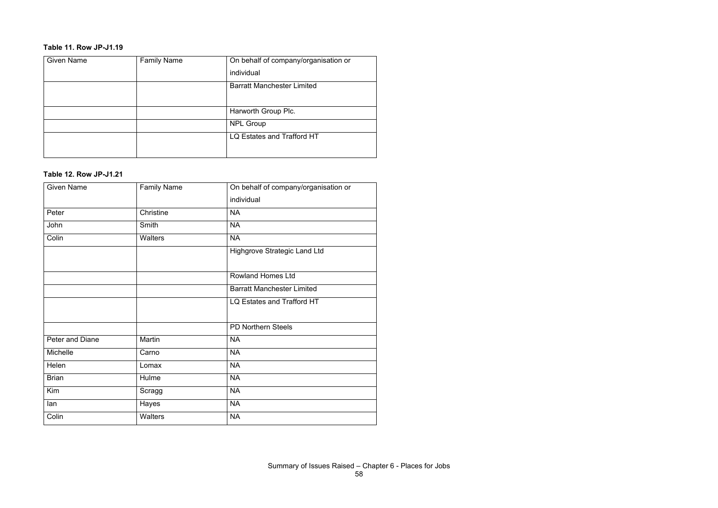# **Table 11. Row JP-J1.19**

| <b>Given Name</b> | <b>Family Name</b> | On behalf of company/organisation or |
|-------------------|--------------------|--------------------------------------|
|                   |                    | individual                           |
|                   |                    | <b>Barratt Manchester Limited</b>    |
|                   |                    |                                      |
|                   |                    | Harworth Group Plc.                  |
|                   |                    | <b>NPL Group</b>                     |
|                   |                    | LQ Estates and Trafford HT           |
|                   |                    |                                      |

#### **Table 12. Row JP-J1.21**

| <b>Given Name</b> | <b>Family Name</b> | On behalf of company/organisation or |
|-------------------|--------------------|--------------------------------------|
|                   |                    | individual                           |
| Peter             | Christine          | <b>NA</b>                            |
| John              | Smith              | <b>NA</b>                            |
| Colin             | Walters            | <b>NA</b>                            |
|                   |                    | <b>Highgrove Strategic Land Ltd</b>  |
|                   |                    |                                      |
|                   |                    | <b>Rowland Homes Ltd</b>             |
|                   |                    | <b>Barratt Manchester Limited</b>    |
|                   |                    | LQ Estates and Trafford HT           |
|                   |                    |                                      |
|                   |                    | <b>PD Northern Steels</b>            |
| Peter and Diane   | Martin             | <b>NA</b>                            |
| Michelle          | Carno              | <b>NA</b>                            |
| Helen             | Lomax              | <b>NA</b>                            |
| <b>Brian</b>      | Hulme              | <b>NA</b>                            |
| Kim               | Scragg             | <b>NA</b>                            |
| lan               | Hayes              | <b>NA</b>                            |
| Colin             | <b>Walters</b>     | <b>NA</b>                            |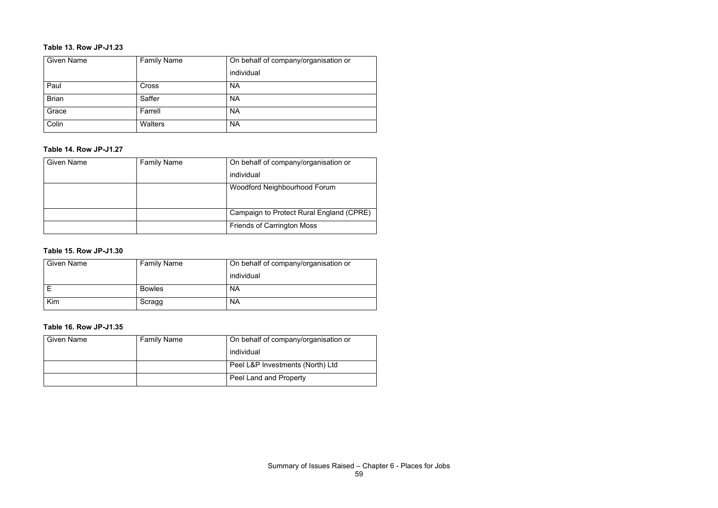#### **Table 13. Row JP-J1.23**

| <b>Given Name</b> | <b>Family Name</b> | On behalf of company/organisation or |
|-------------------|--------------------|--------------------------------------|
|                   |                    | individual                           |
| Paul              | Cross              | <b>NA</b>                            |
| <b>Brian</b>      | Saffer             | <b>NA</b>                            |
| Grace             | Farrell            | <b>NA</b>                            |
| Colin             | <b>Walters</b>     | <b>NA</b>                            |

#### **Table 14. Row JP-J1.27**

| <b>Given Name</b> | <b>Family Name</b> | On behalf of company/organisation or     |
|-------------------|--------------------|------------------------------------------|
|                   |                    | individual                               |
|                   |                    | Woodford Neighbourhood Forum             |
|                   |                    |                                          |
|                   |                    | Campaign to Protect Rural England (CPRE) |
|                   |                    | <b>Friends of Carrington Moss</b>        |

# **Table 15. Row JP-J1.30**

| <b>Given Name</b> | <b>Family Name</b> | On behalf of company/organisation or |
|-------------------|--------------------|--------------------------------------|
|                   |                    | individual                           |
|                   | <b>Bowles</b>      | <b>NA</b>                            |
| Kim               | Scragg             | <b>NA</b>                            |

#### **Table 16. Row JP-J1.35**

| <b>Given Name</b> | <b>Family Name</b> | On behalf of company/organisation or |
|-------------------|--------------------|--------------------------------------|
|                   |                    | individual                           |
|                   |                    | Peel L&P Investments (North) Ltd     |
|                   |                    | <b>Peel Land and Property</b>        |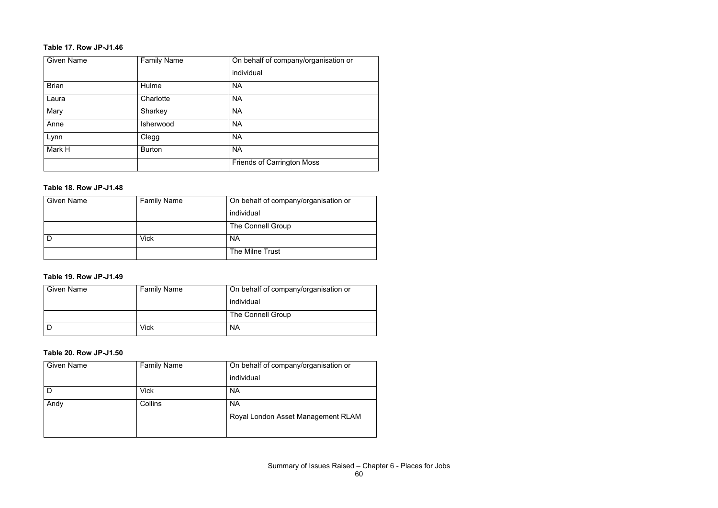#### **Table 17. Row JP-J1.46**

| <b>Given Name</b> | <b>Family Name</b> | On behalf of company/organisation or |
|-------------------|--------------------|--------------------------------------|
|                   |                    | individual                           |
| <b>Brian</b>      | Hulme              | <b>NA</b>                            |
| Laura             | Charlotte          | <b>NA</b>                            |
| Mary              | Sharkey            | <b>NA</b>                            |
| Anne              | Isherwood          | <b>NA</b>                            |
| Lynn              | Clegg              | <b>NA</b>                            |
| Mark H            | <b>Burton</b>      | <b>NA</b>                            |
|                   |                    | <b>Friends of Carrington Moss</b>    |

#### **Table 18. Row JP-J1.48**

| <b>Given Name</b> | <b>Family Name</b> | On behalf of company/organisation or |
|-------------------|--------------------|--------------------------------------|
|                   |                    | individual                           |
|                   |                    | The Connell Group                    |
|                   | <b>Vick</b>        | <b>NA</b>                            |
|                   |                    | The Milne Trust                      |

# **Table 19. Row JP-J1.49**

| <b>Given Name</b> | <b>Family Name</b> | On behalf of company/organisation or |
|-------------------|--------------------|--------------------------------------|
|                   |                    | individual                           |
|                   |                    | The Connell Group                    |
|                   | <b>Vick</b>        | <b>NA</b>                            |

#### **Table 20. Row JP-J1.50**

| <b>Given Name</b> | <b>Family Name</b> | On behalf of company/organisation or |
|-------------------|--------------------|--------------------------------------|
|                   |                    | individual                           |
|                   | <b>Vick</b>        | <b>NA</b>                            |
| Andy              | Collins            | <b>NA</b>                            |
|                   |                    | Royal London Asset Management RLAM   |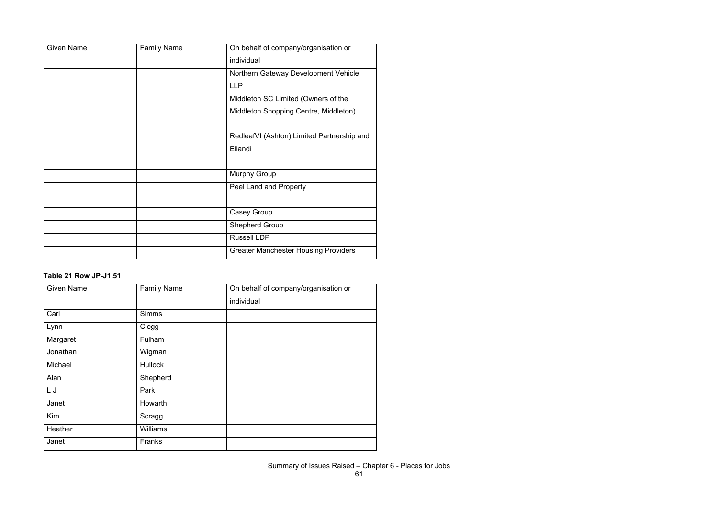| <b>Given Name</b> | <b>Family Name</b> | On behalf of company/organisation or        |
|-------------------|--------------------|---------------------------------------------|
|                   |                    | individual                                  |
|                   |                    | Northern Gateway Development Vehicle        |
|                   |                    | <b>LLP</b>                                  |
|                   |                    | Middleton SC Limited (Owners of the         |
|                   |                    | Middleton Shopping Centre, Middleton)       |
|                   |                    |                                             |
|                   |                    | RedleafVI (Ashton) Limited Partnership and  |
|                   |                    | Ellandi                                     |
|                   |                    |                                             |
|                   |                    | <b>Murphy Group</b>                         |
|                   |                    | Peel Land and Property                      |
|                   |                    |                                             |
|                   |                    | <b>Casey Group</b>                          |
|                   |                    | <b>Shepherd Group</b>                       |
|                   |                    | <b>Russell LDP</b>                          |
|                   |                    | <b>Greater Manchester Housing Providers</b> |

# **Table 21 Row JP-J1.51**

| <b>Given Name</b> | <b>Family Name</b> | On behalf of company/organisation or |
|-------------------|--------------------|--------------------------------------|
|                   |                    | individual                           |
| Carl              | <b>Simms</b>       |                                      |
| Lynn              | Clegg              |                                      |
| Margaret          | Fulham             |                                      |
| Jonathan          | Wigman             |                                      |
| Michael           | <b>Hullock</b>     |                                      |
| Alan              | Shepherd           |                                      |
| L J               | Park               |                                      |
| Janet             | Howarth            |                                      |
| Kim               | Scragg             |                                      |
| Heather           | <b>Williams</b>    |                                      |
| Janet             | Franks             |                                      |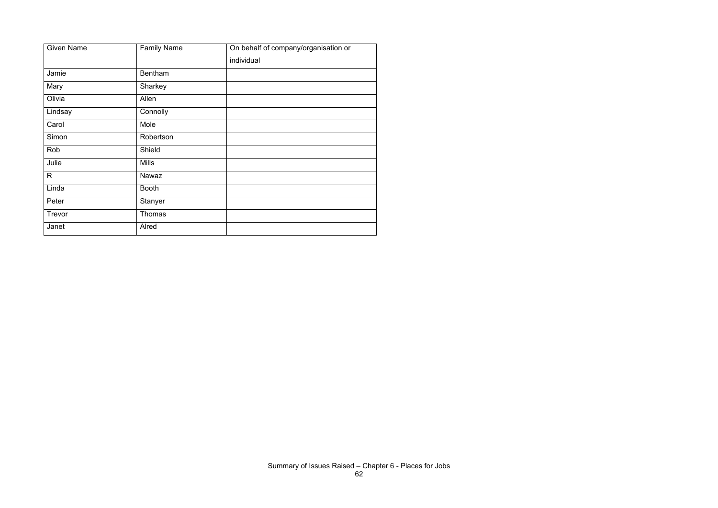| <b>Given Name</b> | <b>Family Name</b> | On behalf of company/organisation or |
|-------------------|--------------------|--------------------------------------|
|                   |                    | individual                           |
| Jamie             | <b>Bentham</b>     |                                      |
| Mary              | Sharkey            |                                      |
| Olivia            | Allen              |                                      |
| Lindsay           | Connolly           |                                      |
| Carol             | Mole               |                                      |
| Simon             | Robertson          |                                      |
| Rob               | Shield             |                                      |
| Julie             | <b>Mills</b>       |                                      |
| $\mathsf{R}$      | Nawaz              |                                      |
| Linda             | <b>Booth</b>       |                                      |
| Peter             | Stanyer            |                                      |
| Trevor            | Thomas             |                                      |
| Janet             | Alred              |                                      |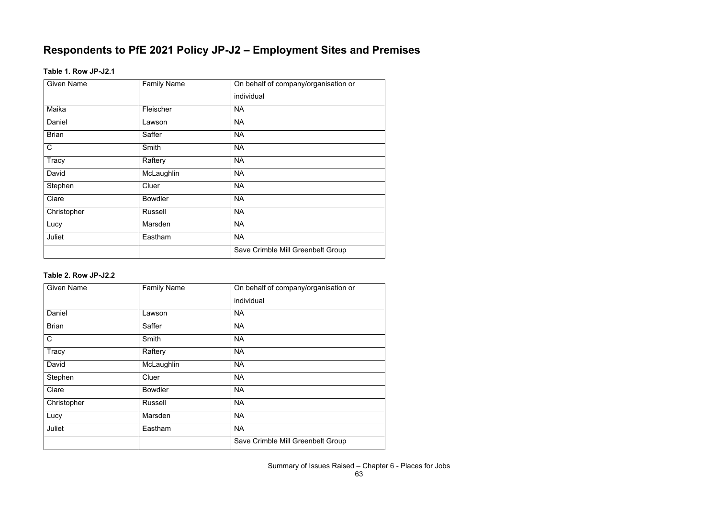# **Respondents to PfE 2021 Policy JP-J2 – Employment Sites and Premises**

#### **Table 1. Row JP-J2.1**

| <b>Given Name</b> | <b>Family Name</b> | On behalf of company/organisation or |
|-------------------|--------------------|--------------------------------------|
|                   |                    | individual                           |
| Maika             | Fleischer          | <b>NA</b>                            |
| Daniel            | Lawson             | <b>NA</b>                            |
| <b>Brian</b>      | Saffer             | <b>NA</b>                            |
| $\mathsf C$       | Smith              | <b>NA</b>                            |
| Tracy             | Raftery            | <b>NA</b>                            |
| David             | McLaughlin         | <b>NA</b>                            |
| Stephen           | Cluer              | <b>NA</b>                            |
| Clare             | <b>Bowdler</b>     | <b>NA</b>                            |
| Christopher       | <b>Russell</b>     | <b>NA</b>                            |
| Lucy              | Marsden            | <b>NA</b>                            |
| Juliet            | Eastham            | <b>NA</b>                            |
|                   |                    | Save Crimble Mill Greenbelt Group    |

# **Table 2. Row JP-J2.2**

| <b>Given Name</b> | <b>Family Name</b> | On behalf of company/organisation or |
|-------------------|--------------------|--------------------------------------|
|                   |                    | individual                           |
| Daniel            | Lawson             | <b>NA</b>                            |
| <b>Brian</b>      | Saffer             | <b>NA</b>                            |
| $\mathsf C$       | Smith              | <b>NA</b>                            |
| <b>Tracy</b>      | Raftery            | <b>NA</b>                            |
| David             | McLaughlin         | <b>NA</b>                            |
| Stephen           | Cluer              | <b>NA</b>                            |
| Clare             | <b>Bowdler</b>     | <b>NA</b>                            |
| Christopher       | <b>Russell</b>     | <b>NA</b>                            |
| Lucy              | Marsden            | <b>NA</b>                            |
| Juliet            | Eastham            | <b>NA</b>                            |
|                   |                    | Save Crimble Mill Greenbelt Group    |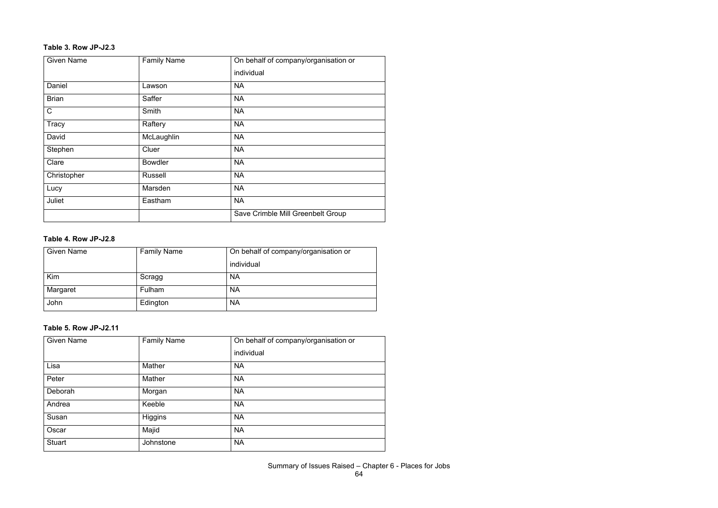#### **Table 3. Row JP-J2.3**

| <b>Given Name</b> | <b>Family Name</b> | On behalf of company/organisation or |
|-------------------|--------------------|--------------------------------------|
|                   |                    | individual                           |
| Daniel            | Lawson             | <b>NA</b>                            |
| <b>Brian</b>      | Saffer             | <b>NA</b>                            |
| $\mathsf{C}$      | Smith              | <b>NA</b>                            |
| Tracy             | Raftery            | <b>NA</b>                            |
| David             | McLaughlin         | <b>NA</b>                            |
| Stephen           | Cluer              | <b>NA</b>                            |
| Clare             | <b>Bowdler</b>     | <b>NA</b>                            |
| Christopher       | <b>Russell</b>     | <b>NA</b>                            |
| Lucy              | Marsden            | <b>NA</b>                            |
| Juliet            | Eastham            | <b>NA</b>                            |
|                   |                    | Save Crimble Mill Greenbelt Group    |

#### **Table 4. Row JP-J2.8**

| <b>Given Name</b> | <b>Family Name</b> | On behalf of company/organisation or |
|-------------------|--------------------|--------------------------------------|
|                   |                    | individual                           |
| Kim               | Scragg             | <b>NA</b>                            |
| Margaret          | Fulham             | <b>NA</b>                            |
| John              | Edington           | <b>NA</b>                            |

# **Table 5. Row JP-J2.11**

| <b>Given Name</b> | <b>Family Name</b> | On behalf of company/organisation or |
|-------------------|--------------------|--------------------------------------|
|                   |                    | individual                           |
| Lisa              | Mather             | <b>NA</b>                            |
| Peter             | <b>Mather</b>      | <b>NA</b>                            |
| Deborah           | Morgan             | <b>NA</b>                            |
| Andrea            | Keeble             | <b>NA</b>                            |
| Susan             | Higgins            | <b>NA</b>                            |
| Oscar             | Majid              | <b>NA</b>                            |
| <b>Stuart</b>     | Johnstone          | <b>NA</b>                            |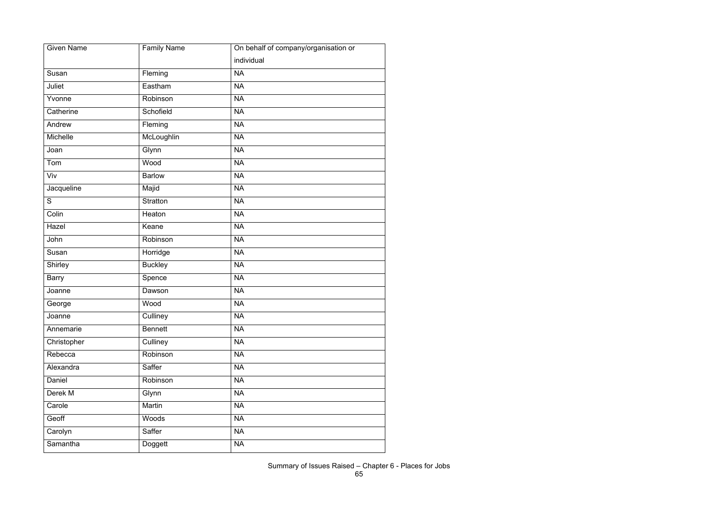| <b>Given Name</b> | <b>Family Name</b> | On behalf of company/organisation or |
|-------------------|--------------------|--------------------------------------|
|                   |                    | individual                           |
| Susan             | Fleming            | <b>NA</b>                            |
| Juliet            | Eastham            | <b>NA</b>                            |
| Yvonne            | Robinson           | <b>NA</b>                            |
| Catherine         | Schofield          | <b>NA</b>                            |
| Andrew            | Fleming            | <b>NA</b>                            |
| Michelle          | McLoughlin         | <b>NA</b>                            |
| Joan              | Glynn              | <b>NA</b>                            |
| Tom               | Wood               | <b>NA</b>                            |
| Viv               | <b>Barlow</b>      | <b>NA</b>                            |
| Jacqueline        | Majid              | <b>NA</b>                            |
| S                 | Stratton           | <b>NA</b>                            |
| Colin             | Heaton             | <b>NA</b>                            |
| Hazel             | Keane              | <b>NA</b>                            |
| John              | Robinson           | <b>NA</b>                            |
| Susan             | Horridge           | <b>NA</b>                            |
| Shirley           | <b>Buckley</b>     | <b>NA</b>                            |
| <b>Barry</b>      | Spence             | <b>NA</b>                            |
| Joanne            | Dawson             | <b>NA</b>                            |
| George            | Wood               | <b>NA</b>                            |
| Joanne            | Culliney           | <b>NA</b>                            |
| Annemarie         | <b>Bennett</b>     | <b>NA</b>                            |
| Christopher       | Culliney           | <b>NA</b>                            |
| Rebecca           | Robinson           | <b>NA</b>                            |
| Alexandra         | Saffer             | <b>NA</b>                            |
| Daniel            | Robinson           | <b>NA</b>                            |
| Derek M           | Glynn              | <b>NA</b>                            |
| Carole            | Martin             | <b>NA</b>                            |
| Geoff             | Woods              | <b>NA</b>                            |
| Carolyn           | Saffer             | <b>NA</b>                            |
| Samantha          | Doggett            | <b>NA</b>                            |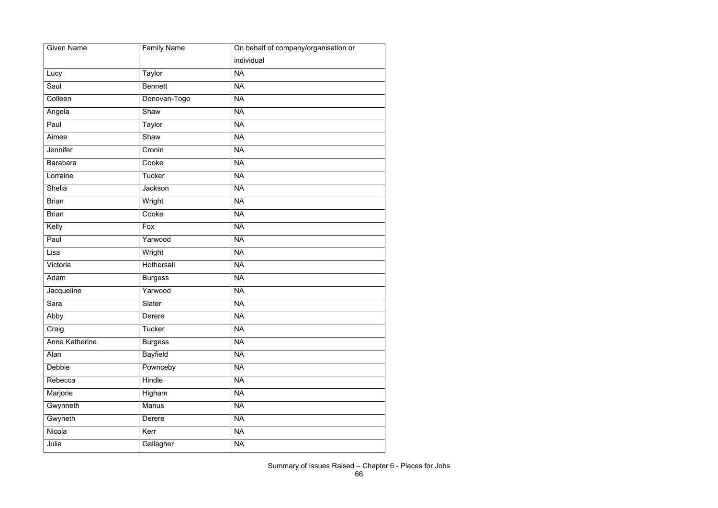| <b>Given Name</b> | <b>Family Name</b> | On behalf of company/organisation or |
|-------------------|--------------------|--------------------------------------|
|                   |                    | individual                           |
| Lucy              | Taylor             | <b>NA</b>                            |
| Saul              | <b>Bennett</b>     | <b>NA</b>                            |
| Colleen           | Donovan-Togo       | <b>NA</b>                            |
| Angela            | Shaw               | <b>NA</b>                            |
| Paul              | Taylor             | <b>NA</b>                            |
| Aimee             | Shaw               | <b>NA</b>                            |
| Jennifer          | Cronin             | <b>NA</b>                            |
| <b>Barabara</b>   | Cooke              | <b>NA</b>                            |
| Lorraine          | <b>Tucker</b>      | <b>NA</b>                            |
| Shelia            | Jackson            | <b>NA</b>                            |
| <b>Brian</b>      | Wright             | <b>NA</b>                            |
| <b>Brian</b>      | Cooke              | <b>NA</b>                            |
| Kelly             | Fox                | <b>NA</b>                            |
| Paul              | Yarwood            | <b>NA</b>                            |
| Lisa              | Wright             | <b>NA</b>                            |
| Victoria          | Hothersall         | <b>NA</b>                            |
| Adam              | <b>Burgess</b>     | <b>NA</b>                            |
| Jacqueline        | Yarwood            | <b>NA</b>                            |
| Sara              | Slater             | <b>NA</b>                            |
| Abby              | Derere             | <b>NA</b>                            |
| Craig             | Tucker             | <b>NA</b>                            |
| Anna Katherine    | <b>Burgess</b>     | <b>NA</b>                            |
| Alan              | <b>Bayfield</b>    | <b>NA</b>                            |
| Debbie            | Pownceby           | <b>NA</b>                            |
| Rebecca           | Hindle             | <b>NA</b>                            |
| Marjorie          | Higham             | <b>NA</b>                            |
| Gwynneth          | Manus              | <b>NA</b>                            |
| Gwyneth           | Derere             | <b>NA</b>                            |
| Nicola            | Kerr               | <b>NA</b>                            |
| Julia             | Gallagher          | <b>NA</b>                            |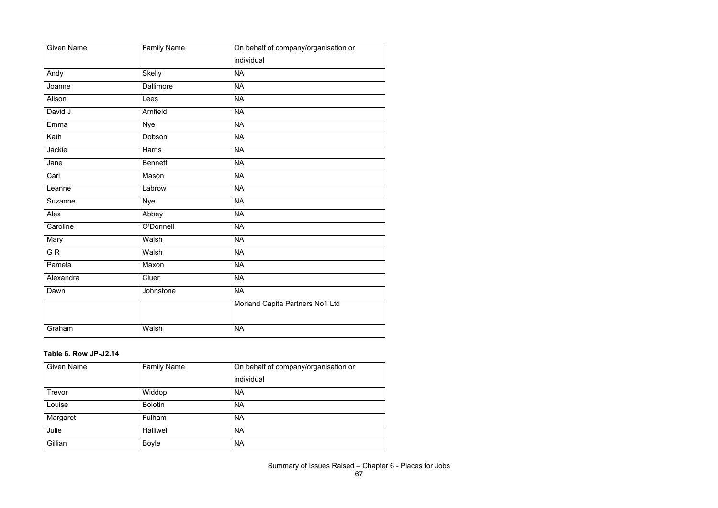| <b>Given Name</b> | <b>Family Name</b> | On behalf of company/organisation or |
|-------------------|--------------------|--------------------------------------|
|                   |                    | individual                           |
| Andy              | <b>Skelly</b>      | <b>NA</b>                            |
| Joanne            | <b>Dallimore</b>   | <b>NA</b>                            |
| Alison            | Lees               | <b>NA</b>                            |
| David J           | Arnfield           | <b>NA</b>                            |
| Emma              | <b>Nye</b>         | <b>NA</b>                            |
| Kath              | Dobson             | <b>NA</b>                            |
| Jackie            | Harris             | <b>NA</b>                            |
| Jane              | <b>Bennett</b>     | <b>NA</b>                            |
| Carl              | Mason              | <b>NA</b>                            |
| Leanne            | Labrow             | <b>NA</b>                            |
| Suzanne           | <b>Nye</b>         | <b>NA</b>                            |
| Alex              | Abbey              | <b>NA</b>                            |
| Caroline          | O'Donnell          | <b>NA</b>                            |
| Mary              | Walsh              | <b>NA</b>                            |
| $\overline{G}R$   | Walsh              | <b>NA</b>                            |
| Pamela            | Maxon              | <b>NA</b>                            |
| Alexandra         | Cluer              | <b>NA</b>                            |
| Dawn              | Johnstone          | <b>NA</b>                            |
|                   |                    | Morland Capita Partners No1 Ltd      |
| Graham            | Walsh              | <b>NA</b>                            |

#### **Table 6. Row JP-J2.14**

| <b>Given Name</b> | <b>Family Name</b> | On behalf of company/organisation or |
|-------------------|--------------------|--------------------------------------|
|                   |                    | individual                           |
| Trevor            | Widdop             | <b>NA</b>                            |
| Louise            | <b>Bolotin</b>     | <b>NA</b>                            |
| Margaret          | Fulham             | <b>NA</b>                            |
| Julie             | <b>Halliwell</b>   | <b>NA</b>                            |
| Gillian           | <b>Boyle</b>       | <b>NA</b>                            |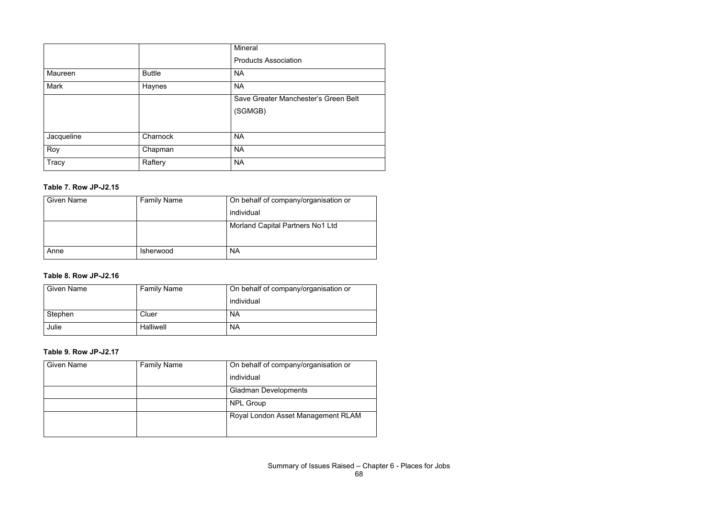|              |               | Mineral                              |
|--------------|---------------|--------------------------------------|
|              |               | <b>Products Association</b>          |
| Maureen      | <b>Buttle</b> | <b>NA</b>                            |
| Mark         | Haynes        | <b>NA</b>                            |
|              |               | Save Greater Manchester's Green Belt |
|              |               | (SGMGB)                              |
|              |               |                                      |
| Jacqueline   | Charnock      | <b>NA</b>                            |
| Roy          | Chapman       | <b>NA</b>                            |
| <b>Tracy</b> | Raftery       | <b>NA</b>                            |

#### **Table 7. Row JP-J2.15**

| <b>Given Name</b> | <b>Family Name</b> | On behalf of company/organisation or |
|-------------------|--------------------|--------------------------------------|
|                   |                    | individual                           |
|                   |                    | Morland Capital Partners No1 Ltd     |
|                   |                    |                                      |
| Anne              | <b>Isherwood</b>   | <b>NA</b>                            |

# **Table 8. Row JP-J2.16**

| <b>Given Name</b> | <b>Family Name</b> | On behalf of company/organisation or |
|-------------------|--------------------|--------------------------------------|
|                   |                    | individual                           |
| Stephen           | Cluer              | <b>NA</b>                            |
| Julie             | <b>Halliwell</b>   | <b>NA</b>                            |

#### **Table 9. Row JP-J2.17**

| <b>Given Name</b> | <b>Family Name</b> | On behalf of company/organisation or |
|-------------------|--------------------|--------------------------------------|
|                   |                    | individual                           |
|                   |                    | <b>Gladman Developments</b>          |
|                   |                    | <b>NPL Group</b>                     |
|                   |                    | Royal London Asset Management RLAM   |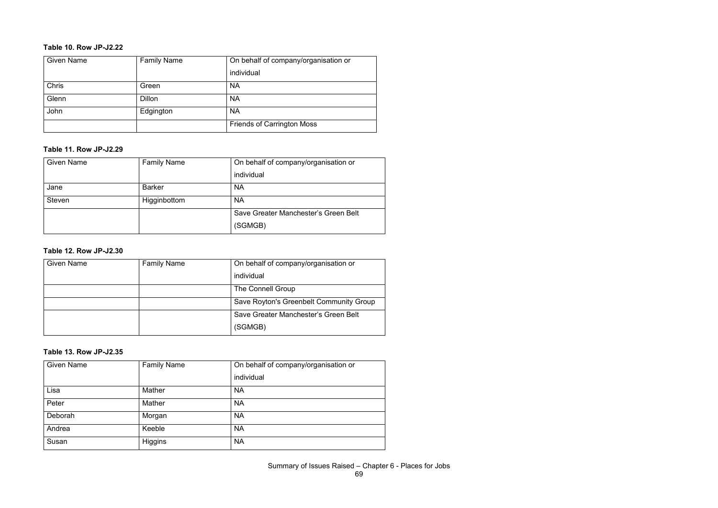#### **Table 10. Row JP-J2.22**

| <b>Given Name</b> | <b>Family Name</b> | On behalf of company/organisation or |
|-------------------|--------------------|--------------------------------------|
|                   |                    | individual                           |
| <b>Chris</b>      | Green              | <b>NA</b>                            |
| Glenn             | <b>Dillon</b>      | <b>NA</b>                            |
| John              | Edgington          | <b>NA</b>                            |
|                   |                    | <b>Friends of Carrington Moss</b>    |

#### **Table 11. Row JP-J2.29**

| <b>Given Name</b> | <b>Family Name</b> | On behalf of company/organisation or |
|-------------------|--------------------|--------------------------------------|
|                   |                    | individual                           |
| Jane              | <b>Barker</b>      | <b>NA</b>                            |
| <b>Steven</b>     | Higginbottom       | <b>NA</b>                            |
|                   |                    | Save Greater Manchester's Green Belt |
|                   |                    | (SGMGB)                              |

#### **Table 12. Row JP-J2.30**

| <b>Given Name</b> | <b>Family Name</b> | On behalf of company/organisation or    |
|-------------------|--------------------|-----------------------------------------|
|                   |                    | individual                              |
|                   |                    | <b>The Connell Group</b>                |
|                   |                    | Save Royton's Greenbelt Community Group |
|                   |                    | Save Greater Manchester's Green Belt    |
|                   |                    | (SGMGB)                                 |

#### **Table 13. Row JP-J2.35**

| <b>Given Name</b> | <b>Family Name</b> | On behalf of company/organisation or |
|-------------------|--------------------|--------------------------------------|
|                   |                    | individual                           |
| Lisa              | Mather             | <b>NA</b>                            |
| Peter             | Mather             | <b>NA</b>                            |
| Deborah           | Morgan             | <b>NA</b>                            |
| Andrea            | Keeble             | <b>NA</b>                            |
| Susan             | Higgins            | <b>NA</b>                            |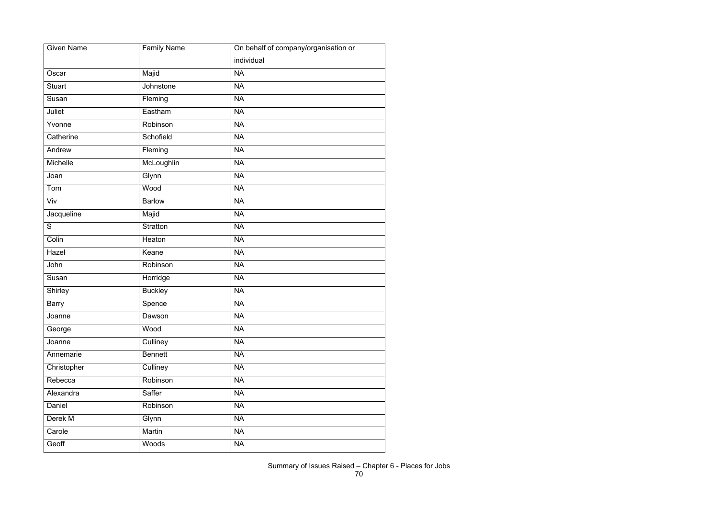| <b>Given Name</b> | <b>Family Name</b> | On behalf of company/organisation or |
|-------------------|--------------------|--------------------------------------|
|                   |                    | individual                           |
| Oscar             | Majid              | <b>NA</b>                            |
| <b>Stuart</b>     | Johnstone          | <b>NA</b>                            |
| Susan             | Fleming            | <b>NA</b>                            |
| Juliet            | Eastham            | <b>NA</b>                            |
| Yvonne            | Robinson           | <b>NA</b>                            |
| Catherine         | Schofield          | <b>NA</b>                            |
| Andrew            | Fleming            | <b>NA</b>                            |
| Michelle          | McLoughlin         | <b>NA</b>                            |
| Joan              | Glynn              | <b>NA</b>                            |
| Tom               | Wood               | <b>NA</b>                            |
| Viv               | <b>Barlow</b>      | <b>NA</b>                            |
| Jacqueline        | Majid              | <b>NA</b>                            |
| S                 | <b>Stratton</b>    | <b>NA</b>                            |
| Colin             | Heaton             | <b>NA</b>                            |
| Hazel             | Keane              | <b>NA</b>                            |
| John              | Robinson           | <b>NA</b>                            |
| Susan             | Horridge           | <b>NA</b>                            |
| Shirley           | <b>Buckley</b>     | <b>NA</b>                            |
| <b>Barry</b>      | Spence             | <b>NA</b>                            |
| Joanne            | Dawson             | <b>NA</b>                            |
| George            | Wood               | <b>NA</b>                            |
| Joanne            | Culliney           | <b>NA</b>                            |
| Annemarie         | <b>Bennett</b>     | <b>NA</b>                            |
| Christopher       | Culliney           | <b>NA</b>                            |
| Rebecca           | Robinson           | <b>NA</b>                            |
| Alexandra         | Saffer             | <b>NA</b>                            |
| Daniel            | Robinson           | <b>NA</b>                            |
| Derek M           | Glynn              | <b>NA</b>                            |
| Carole            | Martin             | <b>NA</b>                            |
| Geoff             | Woods              | <b>NA</b>                            |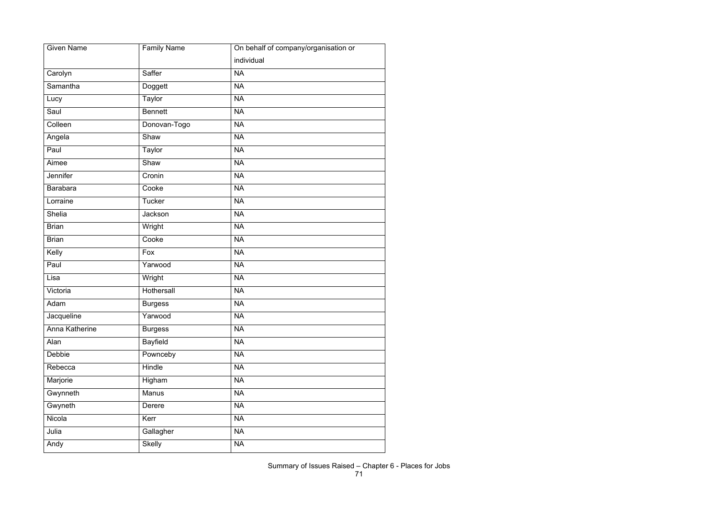| <b>Given Name</b> | <b>Family Name</b> | On behalf of company/organisation or |
|-------------------|--------------------|--------------------------------------|
|                   |                    | individual                           |
| Carolyn           | Saffer             | <b>NA</b>                            |
| Samantha          | Doggett            | <b>NA</b>                            |
| Lucy              | Taylor             | <b>NA</b>                            |
| Saul              | <b>Bennett</b>     | <b>NA</b>                            |
| Colleen           | Donovan-Togo       | <b>NA</b>                            |
| Angela            | Shaw               | <b>NA</b>                            |
| Paul              | Taylor             | <b>NA</b>                            |
| Aimee             | Shaw               | <b>NA</b>                            |
| Jennifer          | Cronin             | <b>NA</b>                            |
| <b>Barabara</b>   | Cooke              | <b>NA</b>                            |
| Lorraine          | <b>Tucker</b>      | <b>NA</b>                            |
| Shelia            | Jackson            | <b>NA</b>                            |
| <b>Brian</b>      | Wright             | <b>NA</b>                            |
| <b>Brian</b>      | Cooke              | <b>NA</b>                            |
| Kelly             | Fox                | <b>NA</b>                            |
| Paul              | Yarwood            | <b>NA</b>                            |
| Lisa              | Wright             | <b>NA</b>                            |
| Victoria          | Hothersall         | <b>NA</b>                            |
| Adam              | <b>Burgess</b>     | <b>NA</b>                            |
| Jacqueline        | Yarwood            | <b>NA</b>                            |
| Anna Katherine    | <b>Burgess</b>     | <b>NA</b>                            |
| Alan              | <b>Bayfield</b>    | <b>NA</b>                            |
| Debbie            | Pownceby           | <b>NA</b>                            |
| Rebecca           | Hindle             | <b>NA</b>                            |
| Marjorie          | Higham             | <b>NA</b>                            |
| Gwynneth          | Manus              | <b>NA</b>                            |
| Gwyneth           | Derere             | <b>NA</b>                            |
| Nicola            | Kerr               | <b>NA</b>                            |
| Julia             | Gallagher          | <b>NA</b>                            |
| Andy              | <b>Skelly</b>      | <b>NA</b>                            |
|                   |                    |                                      |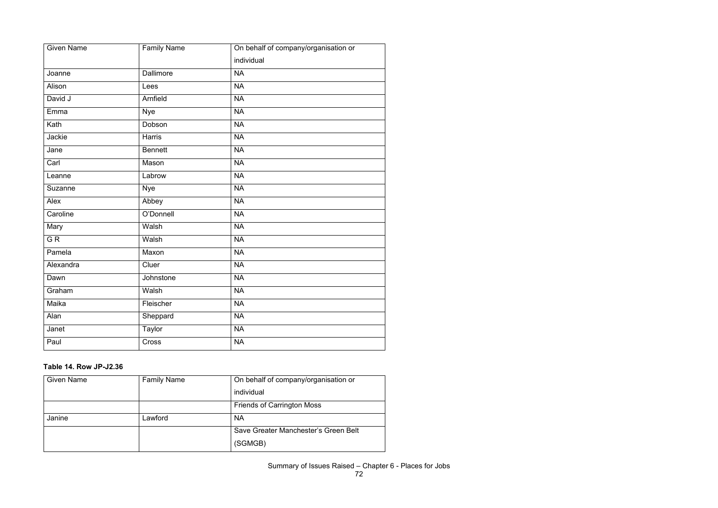| <b>Given Name</b> | <b>Family Name</b> | On behalf of company/organisation or |
|-------------------|--------------------|--------------------------------------|
|                   |                    | individual                           |
| Joanne            | <b>Dallimore</b>   | <b>NA</b>                            |
| Alison            | Lees               | <b>NA</b>                            |
| David J           | Arnfield           | <b>NA</b>                            |
| Emma              | <b>Nye</b>         | <b>NA</b>                            |
| Kath              | Dobson             | <b>NA</b>                            |
| Jackie            | Harris             | <b>NA</b>                            |
| Jane              | <b>Bennett</b>     | <b>NA</b>                            |
| Carl              | Mason              | <b>NA</b>                            |
| Leanne            | Labrow             | <b>NA</b>                            |
| Suzanne           | <b>Nye</b>         | <b>NA</b>                            |
| Alex              | Abbey              | <b>NA</b>                            |
| Caroline          | O'Donnell          | <b>NA</b>                            |
| <b>Mary</b>       | Walsh              | <b>NA</b>                            |
| G R               | Walsh              | NA                                   |
| Pamela            | Maxon              | <b>NA</b>                            |
| Alexandra         | Cluer              | <b>NA</b>                            |
| Dawn              | Johnstone          | <b>NA</b>                            |
| Graham            | Walsh              | <b>NA</b>                            |
| Maika             | Fleischer          | <b>NA</b>                            |
| Alan              | Sheppard           | <b>NA</b>                            |
| Janet             | <b>Taylor</b>      | <b>NA</b>                            |
| Paul              | Cross              | <b>NA</b>                            |

## **Table 14. Row JP-J2.36**

| <b>Given Name</b> | <b>Family Name</b> | On behalf of company/organisation or |
|-------------------|--------------------|--------------------------------------|
|                   |                    | individual                           |
|                   |                    | <b>Friends of Carrington Moss</b>    |
| Janine            | Lawford            | <b>NA</b>                            |
|                   |                    | Save Greater Manchester's Green Belt |
|                   |                    | (SGMGB)                              |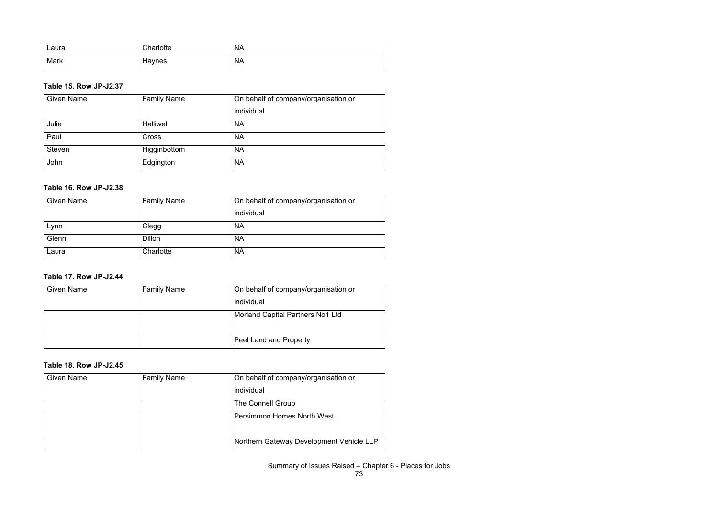| ∟aura | Charlotte | <b>NA</b> |
|-------|-----------|-----------|
| Mark  | Haynes    | <b>NA</b> |

## **Table 15. Row JP-J2.37**

| <b>Given Name</b> | <b>Family Name</b> | On behalf of company/organisation or |
|-------------------|--------------------|--------------------------------------|
|                   |                    | individual                           |
| Julie             | Halliwell          | <b>NA</b>                            |
| Paul              | <b>Cross</b>       | <b>NA</b>                            |
| <b>Steven</b>     | Higginbottom       | <b>NA</b>                            |
| John              | Edgington          | <b>NA</b>                            |

#### **Table 16. Row JP-J2.38**

| <b>Given Name</b> | <b>Family Name</b> | On behalf of company/organisation or |
|-------------------|--------------------|--------------------------------------|
|                   |                    | individual                           |
| Lynn              | Clegg              | <b>NA</b>                            |
| Glenn             | <b>Dillon</b>      | <b>NA</b>                            |
| Laura             | Charlotte          | <b>NA</b>                            |

## **Table 17. Row JP-J2.44**

| <b>Given Name</b> | <b>Family Name</b> | On behalf of company/organisation or |
|-------------------|--------------------|--------------------------------------|
|                   |                    | individual                           |
|                   |                    | Morland Capital Partners No1 Ltd     |
|                   |                    | Peel Land and Property               |

#### **Table 18. Row JP-J2.45**

| <b>Given Name</b> | <b>Family Name</b> | On behalf of company/organisation or     |
|-------------------|--------------------|------------------------------------------|
|                   |                    | individual                               |
|                   |                    | The Connell Group                        |
|                   |                    | <b>Persimmon Homes North West</b>        |
|                   |                    | Northern Gateway Development Vehicle LLP |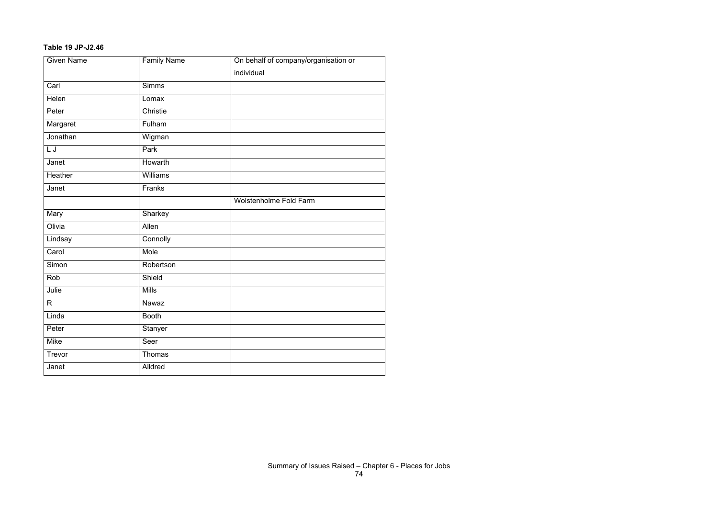## **Table 19 JP-J2.46**

| <b>Given Name</b> | <b>Family Name</b> | On behalf of company/organisation or |
|-------------------|--------------------|--------------------------------------|
|                   |                    | individual                           |
| Carl              | <b>Simms</b>       |                                      |
| Helen             | Lomax              |                                      |
| Peter             | Christie           |                                      |
| Margaret          | Fulham             |                                      |
| Jonathan          | Wigman             |                                      |
| L J               | Park               |                                      |
| Janet             | Howarth            |                                      |
| Heather           | Williams           |                                      |
| Janet             | Franks             |                                      |
|                   |                    | Wolstenholme Fold Farm               |
| Mary              | Sharkey            |                                      |
| Olivia            | Allen              |                                      |
| Lindsay           | Connolly           |                                      |
| Carol             | Mole               |                                      |
| Simon             | Robertson          |                                      |
| Rob               | Shield             |                                      |
| Julie             | <b>Mills</b>       |                                      |
| $\mathsf{R}$      | Nawaz              |                                      |
| Linda             | <b>Booth</b>       |                                      |
| Peter             | Stanyer            |                                      |
| Mike              | Seer               |                                      |
| Trevor            | Thomas             |                                      |
| Janet             | Alldred            |                                      |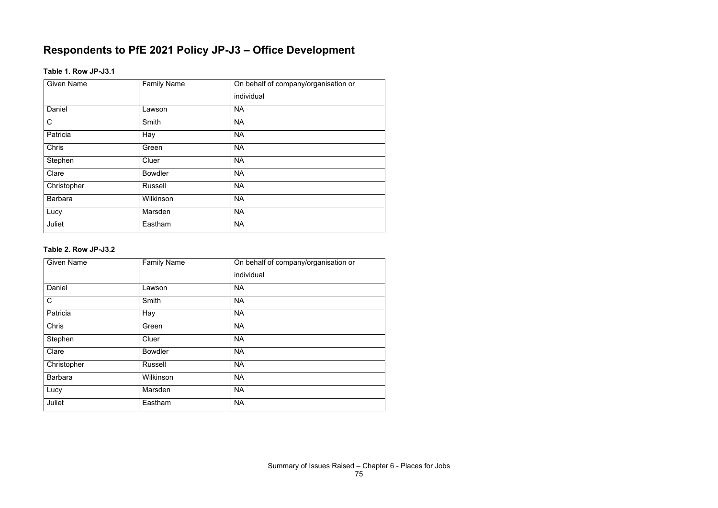## **Respondents to PfE 2021 Policy JP-J3 – Office Development**

## **Table 1. Row JP-J3.1**

| <b>Given Name</b> | <b>Family Name</b> | On behalf of company/organisation or |
|-------------------|--------------------|--------------------------------------|
|                   |                    | individual                           |
| Daniel            | Lawson             | <b>NA</b>                            |
| $\mathsf C$       | Smith              | <b>NA</b>                            |
| Patricia          | Hay                | <b>NA</b>                            |
| <b>Chris</b>      | Green              | <b>NA</b>                            |
| Stephen           | Cluer              | <b>NA</b>                            |
| Clare             | <b>Bowdler</b>     | <b>NA</b>                            |
| Christopher       | Russell            | <b>NA</b>                            |
| <b>Barbara</b>    | Wilkinson          | <b>NA</b>                            |
| Lucy              | Marsden            | <b>NA</b>                            |
| Juliet            | Eastham            | <b>NA</b>                            |

## **Table 2. Row JP-J3.2**

| <b>Given Name</b> | <b>Family Name</b> | On behalf of company/organisation or |
|-------------------|--------------------|--------------------------------------|
|                   |                    | individual                           |
| Daniel            | Lawson             | <b>NA</b>                            |
| $\mathsf C$       | Smith              | <b>NA</b>                            |
| Patricia          | Hay                | <b>NA</b>                            |
| Chris             | Green              | <b>NA</b>                            |
| Stephen           | Cluer              | <b>NA</b>                            |
| Clare             | <b>Bowdler</b>     | <b>NA</b>                            |
| Christopher       | <b>Russell</b>     | <b>NA</b>                            |
| <b>Barbara</b>    | Wilkinson          | <b>NA</b>                            |
| Lucy              | Marsden            | <b>NA</b>                            |
| Juliet            | Eastham            | <b>NA</b>                            |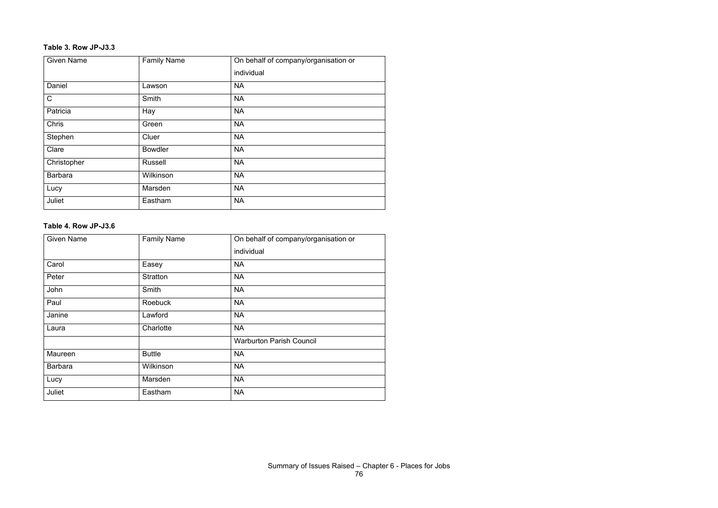#### **Table 3. Row JP-J3.3**

| <b>Given Name</b> | <b>Family Name</b> | On behalf of company/organisation or |
|-------------------|--------------------|--------------------------------------|
|                   |                    | individual                           |
| Daniel            | Lawson             | <b>NA</b>                            |
| $\mathsf C$       | Smith              | <b>NA</b>                            |
| Patricia          | Hay                | <b>NA</b>                            |
| <b>Chris</b>      | Green              | <b>NA</b>                            |
| Stephen           | Cluer              | <b>NA</b>                            |
| Clare             | <b>Bowdler</b>     | <b>NA</b>                            |
| Christopher       | <b>Russell</b>     | <b>NA</b>                            |
| <b>Barbara</b>    | Wilkinson          | <b>NA</b>                            |
| Lucy              | Marsden            | <b>NA</b>                            |
| Juliet            | Eastham            | <b>NA</b>                            |

#### **Table 4. Row JP-J3.6**

| <b>Given Name</b> | <b>Family Name</b> | On behalf of company/organisation or |
|-------------------|--------------------|--------------------------------------|
|                   |                    | individual                           |
| Carol             | Easey              | <b>NA</b>                            |
| Peter             | <b>Stratton</b>    | <b>NA</b>                            |
| John              | Smith              | <b>NA</b>                            |
| Paul              | <b>Roebuck</b>     | <b>NA</b>                            |
| Janine            | Lawford            | <b>NA</b>                            |
| Laura             | Charlotte          | <b>NA</b>                            |
|                   |                    | <b>Warburton Parish Council</b>      |
| Maureen           | <b>Buttle</b>      | <b>NA</b>                            |
| <b>Barbara</b>    | Wilkinson          | <b>NA</b>                            |
| Lucy              | Marsden            | <b>NA</b>                            |
| Juliet            | Eastham            | <b>NA</b>                            |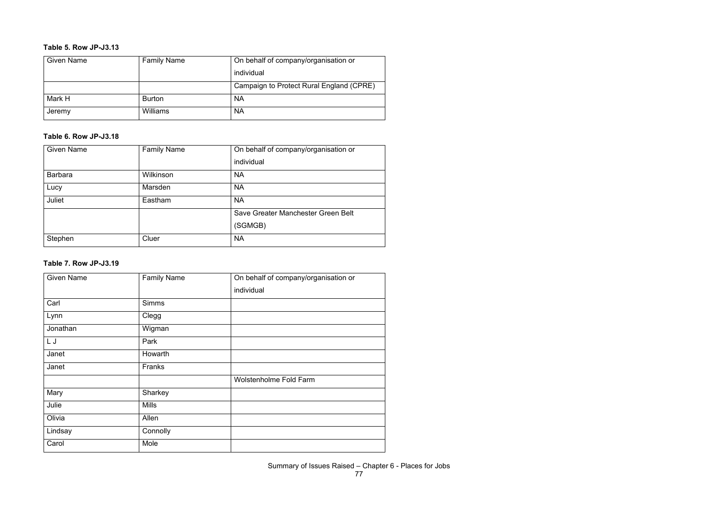#### **Table 5. Row JP-J3.13**

| <b>Given Name</b> | <b>Family Name</b> | On behalf of company/organisation or     |
|-------------------|--------------------|------------------------------------------|
|                   |                    | individual                               |
|                   |                    | Campaign to Protect Rural England (CPRE) |
| Mark H            | <b>Burton</b>      | <b>NA</b>                                |
| Jeremy            | Williams           | <b>NA</b>                                |

#### **Table 6. Row JP-J3.18**

| <b>Given Name</b> | <b>Family Name</b> | On behalf of company/organisation or |
|-------------------|--------------------|--------------------------------------|
|                   |                    | individual                           |
| <b>Barbara</b>    | Wilkinson          | <b>NA</b>                            |
| Lucy              | <b>Marsden</b>     | <b>NA</b>                            |
| Juliet            | Eastham            | <b>NA</b>                            |
|                   |                    | Save Greater Manchester Green Belt   |
|                   |                    | (SGMGB)                              |
| Stephen           | Cluer              | <b>NA</b>                            |

#### **Table 7. Row JP-J3.19**

| <b>Given Name</b> | <b>Family Name</b> | On behalf of company/organisation or |
|-------------------|--------------------|--------------------------------------|
|                   |                    | individual                           |
| Carl              | <b>Simms</b>       |                                      |
| Lynn              | Clegg              |                                      |
| Jonathan          | Wigman             |                                      |
| LJ                | Park               |                                      |
| Janet             | Howarth            |                                      |
| Janet             | Franks             |                                      |
|                   |                    | <b>Wolstenholme Fold Farm</b>        |
| Mary              | Sharkey            |                                      |
| Julie             | <b>Mills</b>       |                                      |
| Olivia            | Allen              |                                      |
| Lindsay           | Connolly           |                                      |
| Carol             | Mole               |                                      |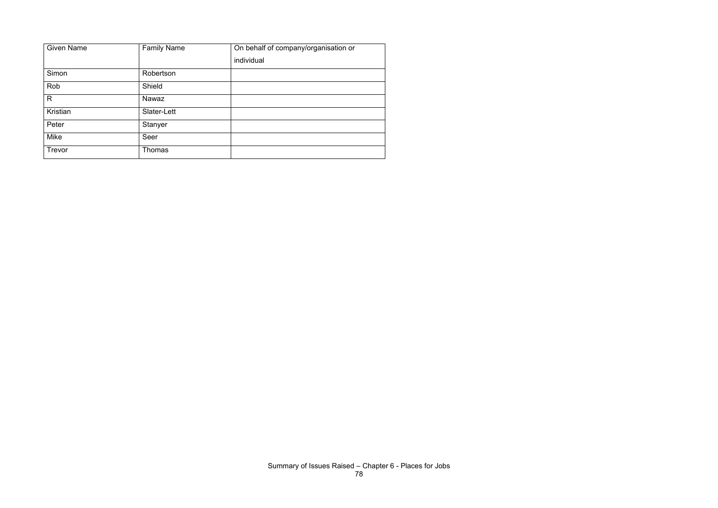| <b>Given Name</b> | <b>Family Name</b> | On behalf of company/organisation or |
|-------------------|--------------------|--------------------------------------|
|                   |                    | individual                           |
| Simon             | Robertson          |                                      |
| Rob               | Shield             |                                      |
| R                 | Nawaz              |                                      |
| Kristian          | Slater-Lett        |                                      |
| Peter             | Stanyer            |                                      |
| Mike              | Seer               |                                      |
| Trevor            | <b>Thomas</b>      |                                      |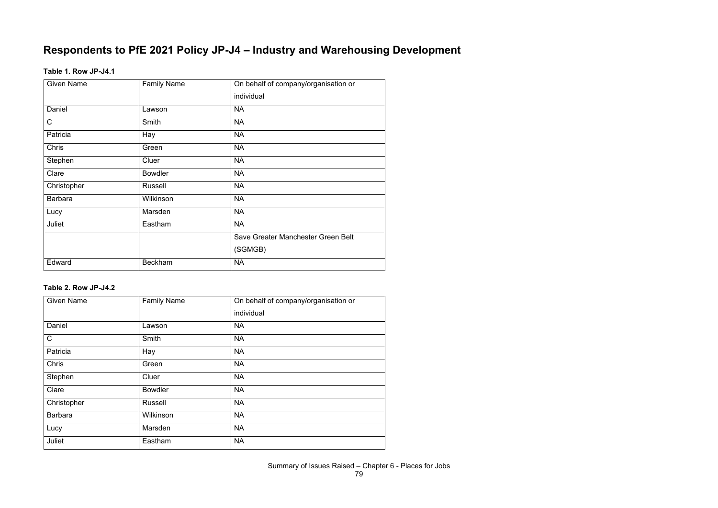# **Respondents to PfE 2021 Policy JP-J4 – Industry and Warehousing Development**

#### **Table 1. Row JP-J4.1**

| <b>Given Name</b> | <b>Family Name</b> | On behalf of company/organisation or |
|-------------------|--------------------|--------------------------------------|
|                   |                    | individual                           |
| Daniel            | Lawson             | <b>NA</b>                            |
| $\mathsf{C}$      | Smith              | <b>NA</b>                            |
| Patricia          | Hay                | <b>NA</b>                            |
| Chris             | Green              | <b>NA</b>                            |
| Stephen           | Cluer              | <b>NA</b>                            |
| Clare             | <b>Bowdler</b>     | <b>NA</b>                            |
| Christopher       | <b>Russell</b>     | <b>NA</b>                            |
| <b>Barbara</b>    | Wilkinson          | <b>NA</b>                            |
| Lucy              | Marsden            | <b>NA</b>                            |
| Juliet            | Eastham            | <b>NA</b>                            |
|                   |                    | Save Greater Manchester Green Belt   |
|                   |                    | (SGMGB)                              |
| Edward            | <b>Beckham</b>     | <b>NA</b>                            |

#### **Table 2. Row JP-J4.2**

| <b>Given Name</b> | <b>Family Name</b> | On behalf of company/organisation or |
|-------------------|--------------------|--------------------------------------|
|                   |                    | individual                           |
| Daniel            | Lawson             | <b>NA</b>                            |
| $\mathsf{C}$      | Smith              | <b>NA</b>                            |
| Patricia          | Hay                | <b>NA</b>                            |
| <b>Chris</b>      | Green              | <b>NA</b>                            |
| Stephen           | Cluer              | <b>NA</b>                            |
| Clare             | <b>Bowdler</b>     | <b>NA</b>                            |
| Christopher       | Russell            | <b>NA</b>                            |
| <b>Barbara</b>    | Wilkinson          | <b>NA</b>                            |
| Lucy              | Marsden            | <b>NA</b>                            |
| Juliet            | Eastham            | <b>NA</b>                            |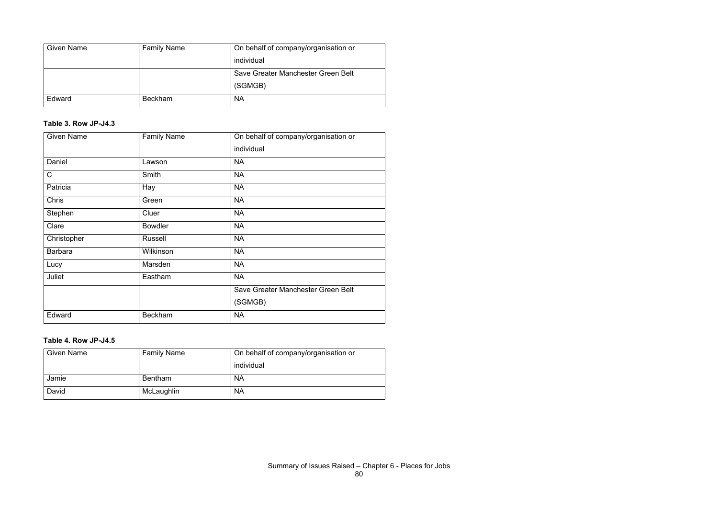| <b>Given Name</b> | <b>Family Name</b> | On behalf of company/organisation or |
|-------------------|--------------------|--------------------------------------|
|                   |                    | individual                           |
|                   |                    | Save Greater Manchester Green Belt   |
|                   |                    | (SGMGB)                              |
| Edward            | <b>Beckham</b>     | <b>NA</b>                            |

## **Table 3. Row JP-J4.3**

| <b>Given Name</b> | <b>Family Name</b> | On behalf of company/organisation or |
|-------------------|--------------------|--------------------------------------|
|                   |                    | individual                           |
| Daniel            | Lawson             | <b>NA</b>                            |
| $\mathsf{C}$      | Smith              | <b>NA</b>                            |
| Patricia          | Hay                | <b>NA</b>                            |
| Chris             | Green              | <b>NA</b>                            |
| Stephen           | Cluer              | <b>NA</b>                            |
| Clare             | <b>Bowdler</b>     | <b>NA</b>                            |
| Christopher       | Russell            | <b>NA</b>                            |
| <b>Barbara</b>    | Wilkinson          | <b>NA</b>                            |
| Lucy              | Marsden            | <b>NA</b>                            |
| Juliet            | Eastham            | <b>NA</b>                            |
|                   |                    | Save Greater Manchester Green Belt   |
|                   |                    | (SGMGB)                              |
| Edward            | <b>Beckham</b>     | <b>NA</b>                            |

#### **Table 4. Row JP-J4.5**

| <b>Given Name</b> | <b>Family Name</b> | On behalf of company/organisation or |
|-------------------|--------------------|--------------------------------------|
|                   |                    | individual                           |
| Jamie             | <b>Bentham</b>     | <b>NA</b>                            |
| David             | McLaughlin         | <b>NA</b>                            |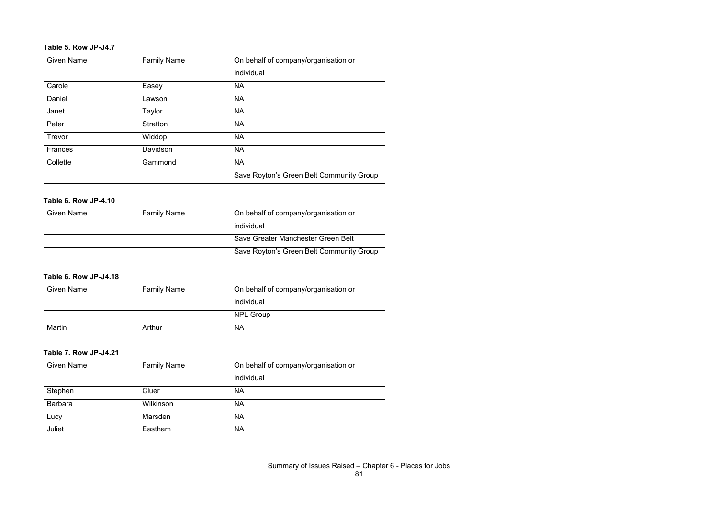## **Table 5. Row JP-J4.7**

| <b>Given Name</b> | <b>Family Name</b> | On behalf of company/organisation or     |
|-------------------|--------------------|------------------------------------------|
|                   |                    | individual                               |
| Carole            | Easey              | <b>NA</b>                                |
| Daniel            | Lawson             | <b>NA</b>                                |
| Janet             | Taylor             | <b>NA</b>                                |
| Peter             | <b>Stratton</b>    | <b>NA</b>                                |
| Trevor            | Widdop             | <b>NA</b>                                |
| <b>Frances</b>    | Davidson           | <b>NA</b>                                |
| Collette          | Gammond            | <b>NA</b>                                |
|                   |                    | Save Royton's Green Belt Community Group |

#### **Table 6. Row JP-4.10**

| <b>Given Name</b> | <b>Family Name</b> | On behalf of company/organisation or     |
|-------------------|--------------------|------------------------------------------|
|                   |                    | individual                               |
|                   |                    | Save Greater Manchester Green Belt       |
|                   |                    | Save Royton's Green Belt Community Group |

## **Table 6. Row JP-J4.18**

| <b>Given Name</b> | <b>Family Name</b> | On behalf of company/organisation or |
|-------------------|--------------------|--------------------------------------|
|                   |                    | individual                           |
|                   |                    | <b>NPL Group</b>                     |
| Martin            | Arthur             | <b>NA</b>                            |

#### **Table 7. Row JP-J4.21**

| <b>Given Name</b> | <b>Family Name</b> | On behalf of company/organisation or |
|-------------------|--------------------|--------------------------------------|
|                   |                    | individual                           |
| Stephen           | Cluer              | <b>NA</b>                            |
| <b>Barbara</b>    | Wilkinson          | <b>NA</b>                            |
| Lucy              | Marsden            | <b>NA</b>                            |
| Juliet            | Eastham            | <b>NA</b>                            |